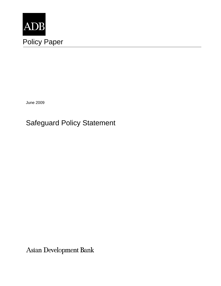

June 2009

# Safeguard Policy Statement

Asian Development Bank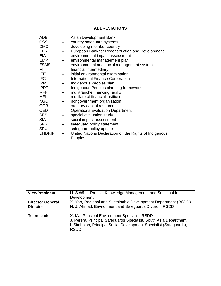# **ABBREVIATIONS**

| ADB           |                          | Asian Development Bank                                 |
|---------------|--------------------------|--------------------------------------------------------|
| <b>CSS</b>    |                          | country safeguard systems                              |
| <b>DMC</b>    | $\qquad \qquad -$        | developing member country                              |
| EBRD          | $\overline{\phantom{m}}$ | European Bank for Reconstruction and Development       |
| EIA.          | $\qquad \qquad -$        | environmental impact assessment                        |
| <b>EMP</b>    |                          | environmental management plan                          |
| <b>ESMS</b>   | $\qquad \qquad -$        | environmental and social management system             |
| FI.           | $\overline{\phantom{m}}$ | financial intermediary                                 |
| IEE.          |                          | initial environmental examination                      |
| <b>IFC</b>    |                          | <b>International Finance Corporation</b>               |
| <b>IPP</b>    | $\qquad \qquad -$        | Indigenous Peoples plan                                |
| <b>IPPF</b>   | $\overline{\phantom{m}}$ | Indigenous Peoples planning framework                  |
| <b>MFF</b>    |                          | multitranche financing facility                        |
| MFI           |                          | multilateral financial institution                     |
| <b>NGO</b>    |                          | nongovernment organization                             |
| <b>OCR</b>    |                          | ordinary capital resources                             |
| <b>OED</b>    | $\overline{\phantom{0}}$ | <b>Operations Evaluation Department</b>                |
| <b>SES</b>    |                          | special evaluation study                               |
| <b>SIA</b>    | $\overline{\phantom{m}}$ | social impact assessment                               |
| <b>SPS</b>    | $\overline{\phantom{m}}$ | safeguard policy statement                             |
| <b>SPU</b>    |                          | safeguard policy update                                |
| <b>UNDRIP</b> |                          | United Nations Declaration on the Rights of Indigenous |
|               |                          | Peoples                                                |

| <b>Vice-President</b>   | U. Schäfer-Preuss, Knowledge Management and Sustainable<br>Development                                                                                                                                  |
|-------------------------|---------------------------------------------------------------------------------------------------------------------------------------------------------------------------------------------------------|
| <b>Director General</b> | X. Yao, Regional and Sustainable Development Department (RSDD)                                                                                                                                          |
| <b>Director</b>         | N. J. Ahmad, Environment and Safeguards Division, RSDD                                                                                                                                                  |
| <b>Team leader</b>      | X. Ma, Principal Environment Specialist, RSDD<br>J. Perera, Principal Safeguards Specialist, South Asia Department<br>I. Simbolon, Principal Social Development Specialist (Safeguards),<br><b>RSDD</b> |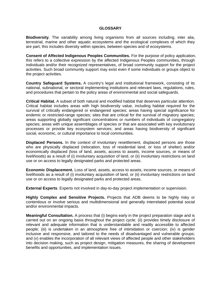#### **GLOSSARY**

**Biodiversity**. The variability among living organisms from all sources including, inter alia, terrestrial, marine and other aquatic ecosystems and the ecological complexes of which they are part; this includes diversity within species, between species and of ecosystems.

**Consent of Affected Indigenous Peoples Communities.** For the purpose of policy application, this refers to a collective expression by the affected Indigenous Peoples communities, through individuals and/or their recognized representatives, of broad community support for the project activities. Such broad community support may exist even if some individuals or groups object to the project activities.

**Country Safeguard Systems.** A country's legal and institutional framework, consisting of its national, subnational, or sectoral implementing institutions and relevant laws, regulations, rules, and procedures that pertain to the policy areas of environmental and social safeguards.

**Critical Habitat.** A subset of both natural and modified habitat that deserves particular attention. Critical habitat includes areas with high biodiversity value, including habitat required for the survival of critically endangered or endangered species; areas having special significance for endemic or restricted-range species; sites that are critical for the survival of migratory species; areas supporting globally significant concentrations or numbers of individuals of congregatory species; areas with unique assemblages of species or that are associated with key evolutionary processes or provide key ecosystem services; and areas having biodiversity of significant social, economic, or cultural importance to local communities.

**Displaced Persons.** In the context of involuntary resettlement, displaced persons are those who are physically displaced (relocation, loss of residential land, or loss of shelter) and/or economically displaced (loss of land, assets, access to assets, income sources, or means of livelihoods) as a result of (i) involuntary acquisition of land, or (ii) involuntary restrictions on land use or on access to legally designated parks and protected areas.

**Economic Displacement.** Loss of land, assets, access to assets, income sources, or means of livelihoods as a result of (i) involuntary acquisition of land, or (ii) involuntary restrictions on land use or on access to legally designated parks and protected areas.

**External Experts**. Experts not involved in day-to-day project implementation or supervision.

**Highly Complex and Sensitive Projects.** Projects that ADB deems to be highly risky or contentious or involve serious and multidimensional and generally interrelated potential social and/or environmental impacts.

**Meaningful Consultation.** A process that (i) begins early in the project preparation stage and is carried out on an ongoing basis throughout the project cycle; (ii) provides timely disclosure of relevant and adequate information that is understandable and readily accessible to affected people; (iii) is undertaken in an atmosphere free of intimidation or coercion; (iv) is gender inclusive and responsive, and tailored to the needs of disadvantaged and vulnerable groups; and (v) enables the incorporation of all relevant views of affected people and other stakeholders into decision making, such as project design, mitigation measures, the sharing of development benefits and opportunities, and implementation issues.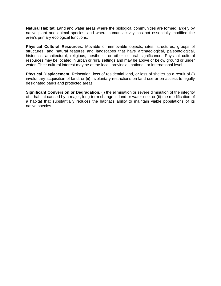**Natural Habitat.** Land and water areas where the biological communities are formed largely by native plant and animal species, and where human activity has not essentially modified the area's primary ecological functions.

**Physical Cultural Resources**. Movable or immovable objects, sites, structures, groups of structures, and natural features and landscapes that have archaeological, paleontological, historical, architectural, religious, aesthetic, or other cultural significance. Physical cultural resources may be located in urban or rural settings and may be above or below ground or under water. Their cultural interest may be at the local, provincial, national, or international level.

**Physical Displacement.** Relocation, loss of residential land, or loss of shelter as a result of (i) involuntary acquisition of land, or (ii) involuntary restrictions on land use or on access to legally designated parks and protected areas.

**Significant Conversion or Degradation**. (i) the elimination or severe diminution of the integrity of a habitat caused by a major, long-term change in land or water use; or (ii) the modification of a habitat that substantially reduces the habitat's ability to maintain viable populations of its native species.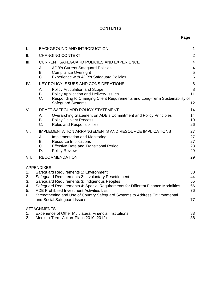### **CONTENTS**

| $\mathbf{I}$ .                                                                                          | <b>BACKGROUND AND INTRODUCTION</b>                                   |                                                                                                                                     |                         |  |  |  |
|---------------------------------------------------------------------------------------------------------|----------------------------------------------------------------------|-------------------------------------------------------------------------------------------------------------------------------------|-------------------------|--|--|--|
| II.                                                                                                     |                                                                      | <b>CHANGING CONTEXT</b>                                                                                                             |                         |  |  |  |
| III.                                                                                                    | <b>CURRENT SAFEGUARD POLICIES AND EXPERIENCE</b>                     |                                                                                                                                     |                         |  |  |  |
|                                                                                                         | Α.                                                                   | <b>ADB's Current Safeguard Policies</b>                                                                                             | $\overline{\mathbf{4}}$ |  |  |  |
|                                                                                                         | B.<br>C.                                                             | <b>Compliance Oversight</b><br>Experience with ADB's Safeguard Policies                                                             | 5<br>$6\phantom{1}$     |  |  |  |
| IV.                                                                                                     |                                                                      | <b>KEY POLICY ISSUES AND CONSIDERATIONS</b>                                                                                         |                         |  |  |  |
|                                                                                                         | Α.                                                                   | <b>Policy Articulation and Scope</b>                                                                                                | 8<br>8                  |  |  |  |
|                                                                                                         | B.                                                                   | Policy Application and Delivery Issues                                                                                              | 11                      |  |  |  |
|                                                                                                         | C.                                                                   | Responding to Changing Client Requirements and Long-Term Sustainability of<br><b>Safeguard Systems</b>                              | 12                      |  |  |  |
| V.                                                                                                      |                                                                      | DRAFT SAFEGUARD POLICY STATEMENT                                                                                                    | 14                      |  |  |  |
|                                                                                                         | А.                                                                   | Overarching Statement on ADB's Commitment and Policy Principles                                                                     | 14                      |  |  |  |
|                                                                                                         | В.<br>C.                                                             | <b>Policy Delivery Process</b><br>Roles and Responsibilities                                                                        | 19<br>26                |  |  |  |
| VI.                                                                                                     | <b>IMPLEMENTATION ARRANGEMENTS AND RESOURCE IMPLICATIONS</b>         |                                                                                                                                     |                         |  |  |  |
|                                                                                                         | А.                                                                   | Implementation and Monitoring                                                                                                       | 27<br>27                |  |  |  |
|                                                                                                         | В.                                                                   | <b>Resource Implications</b>                                                                                                        | 27                      |  |  |  |
|                                                                                                         | C.<br>D.                                                             | <b>Effective Date and Transitional Period</b><br><b>Policy Review</b>                                                               | 28<br>29                |  |  |  |
| VII.                                                                                                    |                                                                      | <b>RECOMMENDATION</b>                                                                                                               | 29                      |  |  |  |
|                                                                                                         |                                                                      |                                                                                                                                     |                         |  |  |  |
|                                                                                                         | <b>APPENDIXES</b>                                                    |                                                                                                                                     | 30                      |  |  |  |
| Safeguard Requirements 1: Environment<br>1.<br>Safeguard Requirements 2: Involuntary Resettlement<br>2. |                                                                      |                                                                                                                                     |                         |  |  |  |
| 3.                                                                                                      | Safeguard Requirements 3: Indigenous Peoples                         |                                                                                                                                     |                         |  |  |  |
| 4.<br>5.                                                                                                |                                                                      | Safeguard Requirements 4: Special Requirements for Different Finance Modalities<br><b>ADB Prohibited Investment Activities List</b> | 66<br>76                |  |  |  |
| 6.                                                                                                      |                                                                      | Strengthening and Use of Country Safeguard Systems to Address Environmental                                                         |                         |  |  |  |
|                                                                                                         |                                                                      | and Social Safeguard Issues                                                                                                         | 77                      |  |  |  |
|                                                                                                         | <b>ATTACHMENTS</b>                                                   |                                                                                                                                     |                         |  |  |  |
| 1.                                                                                                      | <b>Experience of Other Multilateral Financial Institutions</b><br>83 |                                                                                                                                     |                         |  |  |  |
| 2.                                                                                                      | 88<br>Medium-Term Action Plan (2010-2012)                            |                                                                                                                                     |                         |  |  |  |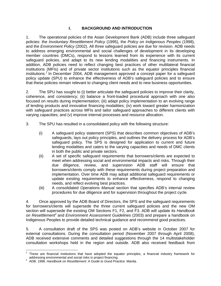#### **I. BACKGROUND AND INTRODUCTION**

1. The operational policies of the Asian Development Bank (ADB) include three safeguard policies: the *Involuntary Resettlement Policy* (1995), the *Policy on Indigenous Peoples* (1998), and the *Environment Policy* (2002). All three safeguard policies are due for revision. ADB needs to address emerging environmental and social challenges of development in its developing member countries (DMCs), respond to lessons learned from its experience with its current safeguard policies, and adapt to its new lending modalities and financing instruments. In addition, ADB policies need to reflect changing best practices of other multilateral financial institutions (MFIs) and of private sector institutions such as the equator principles financial institutions.<sup>1</sup> In December 2004, ADB management approved a concept paper for a safeguard policy update (SPU) to enhance the effectiveness of ADB's safeguard policies and to ensure that these policies remain relevant to changing client needs and to new business opportunities.

2. The SPU has sought to (i) better articulate the safeguard policies to improve their clarity, coherence, and consistency; (ii) balance a front-loaded procedural approach with one also focused on results during implementation; (iii) adapt policy implementation to an evolving range of lending products and innovative financing modalities; (iv) work toward greater harmonization with safeguard practices across MFIs and tailor safeguard approaches to different clients with varying capacities; and (v) improve internal processes and resource allocation.

- 3. The SPU has resulted in a consolidated policy with the following structure:
	- (i) A safeguard policy statement (SPS) that describes common objectives of ADB's safeguards, lays out policy principles, and outlines the delivery process for ADB's safeguard policy. The SPS is designed for application to current and future lending modalities and caters to the varying capacities and needs of DMC clients in both the public and private sectors.
	- (ii) A set of specific safeguard requirements that borrowers/clients are expected to meet when addressing social and environmental impacts and risks. Through their due diligence, review, and supervision ADB staff will ensure that borrowers/clients comply with these requirements during project preparation and implementation. Over time ADB may adopt additional safeguard requirements or update existing requirements to enhance effectiveness, respond to changing needs, and reflect evolving best practices.
	- (iii) A consolidated *Operations Manual* section that specifies ADB's internal review procedures for due diligence and for supervision throughout the project cycle.

4. Once approved by the ADB Board of Directors, the SPS and the safeguard requirements for borrowers/clients will supersede the three current safeguard policies and the new OM section will supersede the existing OM Sections F1, F2, and F3. ADB will update its *Handbook*  on Resettlement<sup>2</sup> and Environment Assessment Guidelines (2003) and prepare a handbook on Indigenous Peoples to provide detailed technical guidance and recommend good practices.

5. A consultation draft of the SPS was posted on ADB's website in October 2007 for external consultations. During the consultation period (November 2007 through April 2008), ADB received extensive comments and detailed suggestions through the 14 multistakeholder consultation workshops held in the region and outside. ADB also received feedback from

 1 These are financial institutions that have adopted the equator principles, a financial industry framework for

addressing environmental and social risks in project financing. 2 ADB. 1998. *Handbook on Resettlement: A Guide to Good Practice.* Manila.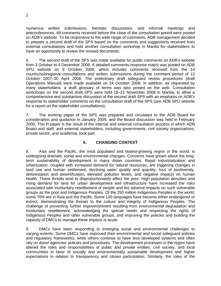numerous written submissions, thematic discussions, and informal meetings and teleconferences. All comments received before the close of the consultation period were posted on ADB's website. To be responsive to the wide range of comments, ADB management decided to prepare a second draft of the SPS based on the comments and suggestions received from external consultations and hold another consultation workshop in Manila for stakeholders to have an opportunity to review the revised documents.

6. The second draft of the SPS was made available for public comments on ADB's website from 3 October to 4 December 2008. A detailed comments-response matrix was posted on ADB SPU website on 9 October 2008, which includes comments received from the 14 country/subregional consultations and written submissions during the comment period of 12 October 2007–30 April 2008. The preliminary draft safeguard review procedures (draft Operations Manual) were made available on 24 October 2008. In addition, as requested by many stakeholders, a draft glossary of terms was also posted on the web. Consultation workshops on the second draft SPS were held 18–21 November 2008 in Manila, to allow a comprehensive and substantive discussion of the second draft SPS with an emphasis on ADB's response to stakeholder comments on the consultation draft of the SPS (see ADB SPU website for a report on the stakeholder consultations).

7. The working paper of the SPS was prepared and circulated to the ADB Board for consideration and guidance in January 2009, and the Board discussion was held in February 2009. This R-paper is the result of the internal and external consultation process in which ADB Board and staff, and external stakeholders, including governments, civil society organizations, private sector, and academia, took part.

#### **II. CHANGING CONTEXT**

8. Asia and the Pacific, the most populated and fastest-growing region in the world, is undergoing dramatic social and environmental changes. Concerns have grown about the longterm sustainability of development in many Asian countries. Rapid industrialization and urbanization, coupled with increased demand for natural resources, are triggering changes in land use and human settlement, declining water quality and quantity, loss of biodiversity, deforestation and desertification, elevated pollution levels, and negative impacts on human health. These threats tend to disproportionately affect the poor. High population densities and rising demand for land for urban development and infrastructure have increased the risks associated with involuntary resettlement of people and the adverse impacts on such vulnerable groups as the poor and Indigenous Peoples. Of the 250 million Indigenous Peoples in the world, some 70% are in Asia and the Pacific. Some 120 languages have become either endangered or extinct, demonstrating the threats to the culture and integrity of Indigenous Peoples. The challenge of preventing further impoverishment resulting from environmental degradation and involuntary resettlement, acknowledging the special needs and respecting the rights of Indigenous Peoples and other vulnerable groups, and improving the policies and building the capacity of DMCs to manage these impacts is acute.

9. DMCs have been responding to emerging social and environmental challenges to varying extents. Some DMCs have improved their environmental and social safeguard policies and regulatory frameworks, while others continue to have less developed systems and often rely on donor agencies' policies and procedures. The development processes in the region have altered the roles and responsibilities of public and private entities, civil society, and local communities in favor of socially and environmentally sustainable development and higher expectations in relation to transparency and citizen participation. Similarly, the roles of the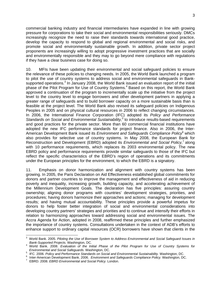commercial banking industry and financial intermediaries have expanded in line with growing pressure for corporations to take their social and environmental responsibilities seriously. DMCs increasingly recognize the need to raise their standards towards international good practice, develop the capacity to respond to global and regional environmental and social risks, and promote social and environmentally sustainable growth. In addition, private sector project proponents are increasingly willing to adopt progressive investment practices that are socially and environmentally responsible and they may to go beyond mere compliance with regulations if they have a clear business case for doing so.

10. MFIs have been updating their environmental and social safeguard policies to ensure the relevance of these policies to changing needs. In 2005, the World Bank launched a program to pilot the use of country systems to address social and environmental safeguards in Banksupported operations.<sup>3</sup> In January 2008, the World Bank issued an evaluation report of the initial phase of the Pilot Program for Use of Country Systems.<sup>4</sup> Based on this report, the World Bank approved a continuation of the program to incrementally scale up the initiative from the project level to the country level to engage borrowers and other development partners in applying a greater range of safeguards and to build borrower capacity on a more sustainable basis than is feasible at the project level. The World Bank also revised its safeguard policies on Indigenous Peoples in 2005 and on physical cultural resources in 2006 to reflect changing circumstances. In 2006, the International Finance Corporation (IFC) adopted its *Policy and Performance*  Standards on Social and Environmental Sustainability,<sup>5</sup> to introduce results-based requirements and good practices for the private sector. More than 60 commercial financial institutions have adopted the new IFC performance standards for project finance. Also in 2006, the Inter-American Development Bank issued its *Environment and Safeguards Compliance Policy*<sup>6</sup> which also provides for selective use of country systems. In May 2008, the European Bank for Reconstruction and Development (EBRD) adopted its *Environmental and Social Policy*,<sup>7</sup> along with 10 performance requirements, which replaces its 2003 environmental policy. The new EBRD policy and performance requirements provide similar safeguards to those of the IFC but reflect the specific characteristics of the EBRD's region of operations and its commitments under the European principles for the environment, to which the EBRD is a signatory.

11. Emphasis on donor harmonization and alignment with country systems has been growing. In 2005, the Paris Declaration on Aid Effectiveness established global commitments for donors and partner countries to improve the management and effectiveness of aid in reducing poverty and inequality, increasing growth, building capacity, and accelerating achievement of the Millennium Development Goals. The declaration has five principles: assuring country ownership; aligning donor programs with countries' development strategies, priorities, and procedures; having donors harmonize their approaches and actions; managing for development results; and having mutual accountability. These principles provide a powerful impetus for donors to help foster better integration of social and environmental considerations into developing country partners' strategies and priorities and to continue and intensify their efforts in relation to harmonizing approaches toward addressing social and environmental issues. The Accra Agenda for Action, adopted in 2008, reaffirmed these principles and further emphasized the importance of country systems. Consultations undertaken in the context of ADB's efforts to enhance support to ordinary capital resources (OCR) borrowers have shown that clients in the

 3 World Bank. 2005. *Piloting the Use of Borrower System to Address Environmental and Social Safeguard Issues in* 

*Bank-Supported Projects.* Washington, DC. 4 World Bank. 2008. *Evaluation of the Initial Phase of the Pilot Program for Use of Country Systems for Environmental and Social Safeguards.* Washington, DC*.* 5

<sup>&</sup>lt;sup>5</sup> IFC. 2006. *Policy and Performance Standards on Social and Environmental Sustainability. Washington, DC.*<br><sup>6</sup> Joter American Development Bank, 2006. *Environment and Sefequerde Complience Deliny Washington, DC*.

<sup>&</sup>lt;sup>o</sup> Inter-American Development Bank. 2006. *Environment and Safeguards Compliance Policy.* Washington, DC.<br><sup>7</sup> ERRD 2008, ERRD Environmental and Sesial Policy Lander.

EBRD. 2008. *EBRD Environmental and Social Policy.* London.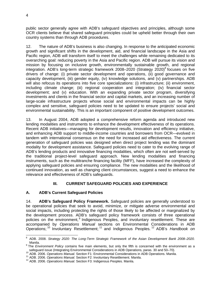public sector generally agree with ADB's safeguard objectives and principles, although some OCR clients believe that shared safeguard principles could be upheld better through their own country systems than through ADB procedures.

12. The nature of ADB's business is also changing. In response to the anticipated economic growth and significant shifts in the development, aid, and financial landscape in the Asia and Pacific region, ADB will transform itself to meet the challenges while remaining dedicated to its overarching goal: reducing poverty in the Asia and Pacific region. ADB will pursue its vision and mission by focusing on inclusive growth, environmentally sustainable growth, and regional integration. ADB's long-term strategic framework 2008-2020 (Strategy 2020)<sup>8</sup> focuses on five drivers of change: (i) private sector development and operations, (ii) good governance and capacity development, (iii) gender equity, (iv) knowledge solutions, and (v) partnerships. ADB will also refocus its operations into five core specializations: (i) infrastructure; (ii) environment, including climate change; (iii) regional cooperation and integration; (iv) financial sector development; and (v) education. With an expanding private sector program, diversifying investments and clients in the financial sector and capital markets, and an increasing number of large-scale infrastructure projects whose social and environmental impacts can be highly complex and sensitive, safeguard policies need to be updated to ensure projects' social and environmental sustainability. This is an important component of positive development outcomes.

13. In August 2004, ADB adopted a comprehensive reform agenda and introduced new lending modalities and instruments to enhance the development effectiveness of its operations. Recent ADB initiatives—managing for development results, innovation and efficiency initiative, and enhancing ADB support to middle-income countries and borrowers from OCR—evolved in tandem with international consensus on the need for increased aid effectiveness. The current generation of safeguard policies was designed when direct project lending was the dominant modality for development assistance. Safeguard policies need to cater to the evolving range of ADB's lending products and innovative financing modalities, which often are not well-served by the traditional project-level safeguard approach. New lending modalities and financing instruments, such as the multitranche financing facility (MFF), have increased the complexity of applying safeguard policies and ensuring compliance. The new modalities and the likelihood of continued innovation, as well as changing client circumstances, suggest a need to enhance the relevance and effectiveness of ADB's safeguards.

# **III. CURRENT SAFEGUARD POLICIES AND EXPERIENCE**

### **A. ADB's Current Safeguard Policies**

14. **ADB's Safeguard Policy Framework.** Safeguard policies are generally understood to be operational policies that seek to avoid, minimize, or mitigate adverse environmental and social impacts, including protecting the rights of those likely to be affected or marginalized by the development process. ADB's safeguard policy framework consists of three operational policies on the environment,<sup>9</sup> Indigenous Peoples, and involuntary resettlement. These are accompanied by *Operations Manual* sections on Environmental Considerations in ADB Operations; 10 Involuntary Resettlement; 11 and Indigenous Peoples*.* 12 ADB's *Handbook on* 

 8 ADB. 2008. *Strategy 2020: The Long-Term Strategic Framework of the Asian Development Bank 2008–2020.*

Manila.<br><sup>9</sup> The *Environment Policy* contains five main elements, but only the fifth is concerned with the environment as a safeguard issue (Integrating Environmental Considerations in ADB Operations, paras. 30 and 50–70).<br><sup>10</sup> ADB. 2006. Operations Manual. Section F1: Environmental Considerations in ADB Operations. Manila.<br><sup>11</sup> ADB. 2006. Oper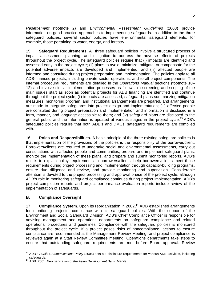*Resettlement* (footnote 2) and *Environmental Assessment Guidelines* (2003) provide information on good practice approaches to implementing safeguards. In addition to the three safeguard policies, several sector policies have environmental safeguard elements, for example, those pertaining to water, energy, and forestry.

15. **Safeguard Requirements.** All three safeguard policies involve a structured process of impact assessment, planning, and mitigation to address the adverse effects of projects throughout the project cycle. The safeguard policies require that (i) impacts are identified and assessed early in the project cycle; (ii) plans to avoid, minimize, mitigate, or compensate for the potential adverse impacts are developed and implemented; and (iii) affected people are informed and consulted during project preparation and implementation. The policies apply to all ADB-financed projects, including private sector operations, and to all project components. The internal procedural requirements are detailed in the *Operations Manual* sections (footnote 10– 12) and involve similar implementation processes as follows: (i) screening and scoping of the main issues start as soon as potential projects for ADB financing are identified and continue throughout the project cycle; (ii) impacts are assessed, safeguard plans summarizing mitigation measures, monitoring program, and institutional arrangements are prepared, and arrangements are made to integrate safeguards into project design and implementation; (iii) affected people are consulted during project preparation and implementation and information is disclosed in a form, manner, and language accessible to them; and (iv) safeguard plans are disclosed to the general public and the information is updated at various stages in the project cycle.<sup>13</sup> ADB's safeguard policies require that both ADB's and DMCs' safeguard requirements are complied with.

16. **Roles and Responsibilities.** A basic principle of the three existing safeguard policies is that implementation of the provisions of the policies is the responsibility of the borrower/client. Borrowers/clients are required to undertake social and environmental assessments, carry out consultations with affected people and communities, prepare and implement safeguard plans, monitor the implementation of these plans, and prepare and submit monitoring reports. ADB's role is to explain policy requirements to borrowers/clients, help borrowers/clients meet those requirements during project processing and implementation through capacity-building programs, ensure due diligence and review, and provide monitoring and supervision. Considerable attention is devoted to the project processing and approval phase of the project cycle, although ADB's role in monitoring safeguard compliance continues during project implementation. ADB's project completion reports and project performance evaluation reports include review of the implementation of safeguards.

### **B. Compliance Oversight**

17. **Compliance System.** Upon its reorganization in 2002,<sup>14</sup> ADB established arrangements for monitoring projects' compliance with its safeguard policies. With the support of the Environment and Social Safeguard Division, ADB's Chief Compliance Officer is responsible for advising management and operations departments on safeguard compliance and related operational procedures and guidelines. Compliance with the safeguard policies is monitored throughout the project cycle. If a project poses risks of noncompliance, actions to ensure compliance are recommended at the Management Review Meeting, and project compliance is reviewed again at a Staff Review Committee meeting. Operations departments take steps to ensure that outstanding safeguard requirements are met before Board approval. Review

<sup>-</sup>13 ADB's *Public Communications Policy* (2005) sets out disclosure requirements for various ADB activities, including safeguards. 14 ADB. 2001. *Reorganization of the Asian Development Bank*. Manila.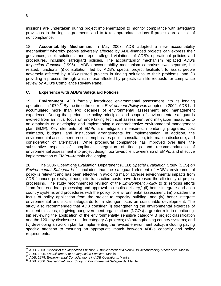missions are undertaken during project implementation to monitor compliance with safeguard provisions in the legal agreements and to take appropriate actions if projects are at risk of noncompliance.

18. **Accountability Mechanism.** In May 2003, ADB adopted a new accountability mechanism<sup>15</sup> whereby people adversely affected by ADB-financed projects can express their grievances; seek solutions; and report alleged violations of ADB's operational policies and procedures, including safeguard policies. The accountability mechanism replaced ADB's *Inspection Function* (1995).<sup>16</sup> ADB's accountability mechanism comprises two separate, but related, functions: (i) consultation, led by ADB's special project facilitator, to assist people adversely affected by ADB-assisted projects in finding solutions to their problems; and (ii) providing a process through which those affected by projects can file requests for compliance review by ADB's Compliance Review Panel.

### **C. Experience with ADB's Safeguard Policies**

19. **Environment.** ADB formally introduced environmental assessment into its lending operations in 1979.17 By the time the current *Environment Policy* was adopted in 2002, ADB had accumulated more than two decades of environmental assessment and management experience. During that period, the policy principles and scope of environmental safeguards evolved from an initial focus on undertaking technical assessment and mitigation measures to an emphasis on developing and implementing a comprehensive environmental management plan (EMP). Key elements of EMPs are mitigation measures, monitoring programs, cost estimates, budgets, and institutional arrangements for implementation. In addition, the environmental assessment process emphasizes public consultation, information disclosure, and consideration of alternatives. While procedural compliance has improved over time, the substantive aspects of compliance—integration of findings and recommendations of environmental assessment into project design, borrower/client ownership of EMPs, and effective implementation of EMPs—remain challenging.

20. The 2006 Operations Evaluation Department (OED) *Special Evaluation Study* (SES) *on Environmental Safeguards<sup>18</sup>* concluded that the safeguard element of ADB's environmental policy is relevant and has been effective in avoiding major adverse environmental impacts from ADB-financed projects, although its transaction costs have decreased the efficiency of project processing. The study recommended revision of the *Environment Policy* to (i) refocus efforts "from front-end loan processing and approval to results delivery," (ii) better integrate and align country systems and procedures with the policy for environmental assessment, (iii) broaden the focus of policy application from the project to capacity building, and (iv) better integrate environmental and social safeguards for a stronger focus on sustainable development. The study also recommended that ADB consider (i) strengthening the environmental expertise of resident missions; (ii) giving nongovernment organizations (NGOs) a greater role in monitoring; (iii) reviewing the application of the environmentally sensitive category B project classification and the 120-day disclosure rule for category A projects; (iv) strengthening country systems; and (v) developing an action plan for implementing the revised environment policy, including paying specific attention to ensuring an appropriate match between ADB's capacity and policy requirements.

 <sup>15</sup> ADB. 2003. Review of the Inspection Function: Establishment of a New ADB Accountability Mechanism. Manila.<br><sup>16</sup> ADB. 1995. Establishment of an Inspection Function. Manila.<br><sup>17</sup> ADB. 1979. Environmental Considerations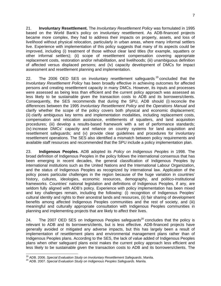21. **Involuntary Resettlement.** The *Involuntary Resettlement Policy* was formulated in 1995 based on the World Bank's policy on involuntary resettlement. As ADB-financed projects became more complex, they had to address their impacts on property, assets, and loss of livelihood without physical relocation, particularly in urban areas, where many informal settlers live. Experience with implementation of this policy suggests that many of its aspects could be improved, including (i) treatment of those without clear land titles (for example, squatters or other informal settlers); (ii) scope of resettlement compensation covering appropriate replacement costs, restoration and/or rehabilitation, and livelihoods; (iii) unambiguous definition of affected versus displaced persons; and (iv) capacity development of DMCs for impact assessment and resettlement planning and implementation.

22. The 2006 OED SES on involuntary resettlement safeguards<sup>19</sup> concluded that the *Involuntary Resettlement Policy* has been broadly effective in achieving outcomes for affected persons and creating resettlement capacity in many DMCs. However, its inputs and processes were assessed as being less than efficient and the current policy approach was assessed as less likely to be sustainable given the transaction costs to ADB and its borrowers/clients. Consequently, the SES recommends that during the SPU, ADB should (i) reconcile the differences between the 1995 *Involuntary Resettlement Policy* and the *Operations Manual* and clarify whether the scope of the policy covers both physical and economic displacement; (ii) clarify ambiguous key terms and implementation modalities, including replacement costs, compensation and relocation assistance, entitlements of squatters, and land acquisition procedures; (iii) develop a results-based framework with a set of performance standards; (iv) increase DMCs' capacity and reliance on country systems for land acquisition and resettlement safeguards; and (v) provide clear guidelines and procedures for involuntary resettlement operations. The SES also identified a mismatch between policy requirements and available staff resources and recommended that the SPU include a policy implementation plan.

23. **Indigenous Peoples.** ADB adopted its *Policy on Indigenous Peoples* in 1998. The broad definition of Indigenous Peoples in the policy follows the international consensus that has been emerging in recent decades, the general classification of Indigenous Peoples by international institutions such as the United Nations and the International Labour Organization, and the status of Indigenous Peoples as recognized by international law. Application of the policy poses particular challenges in the region because of the huge variation in countries' history, cultures, ideologies, economic resources, demography, and politico-institutional frameworks. Countries' national legislation and definitions of Indigenous Peoples, if any, are seldom fully aligned with ADB's policy. Experience with policy implementation has been mixed and key challenges remain, including the following: (i) recognition of Indigenous Peoples' cultural identity and rights to their ancestral lands and resources, (ii) fair sharing of development benefits among affected Indigenous Peoples communities and the rest of society, and (iii) meaningful and culturally appropriate consultation with Indigenous Peoples communities in planning and implementing projects that are likely to affect their lives.

24. The 2007 OED SES on Indigenous Peoples safeguards $^{20}$  concludes that the policy is relevant to ADB and its borrowers/clients, but is less effective. ADB-financed projects have generally avoided or mitigated any adverse impacts, but this has largely been a result of implementation of resettlement plans and environmental management plans rather than of Indigenous Peoples plans. According to the SES, the lack of value added of Indigenous Peoples plans when other safeguard plans exist makes the current policy approach less efficient and less likely to be sustainable given the transaction costs to ADB and its borrowers/clients. The

<sup>&</sup>lt;sup>19</sup> ADB. 2006. Special Evaluation Study on Involuntary Resettlement Safeguards. Manila.

<sup>&</sup>lt;sup>20</sup> ADB. 2007. Special Evaluation Study on Indigenous Peoples Safeguards. Manila.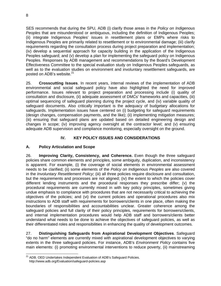SES recommends that during the SPU, ADB (i) clarify those areas in the *Policy on Indigenous Peoples* that are misunderstood or ambiguous, including the definition of Indigenous Peoples; (ii) integrate Indigenous Peoples' issues in resettlement plans or EMPs where risks to Indigenous Peoples are primarily related to resettlement or to environmental damage; (iii) clarify requirements regarding the consultation process during project preparation and implementation; (iv) develop a sequential approach for capacity building in the application of the Indigenous Peoples safeguard; and (v) develop a plan for implementing the safeguard policy on Indigenous Peoples. Responses by ADB management and recommendations by the Board's Development Effectiveness Committee to the special evaluation study on Indigenous Peoples safeguards, as well as to the evaluation studies on environment and involuntary resettlement safeguards, are posted on ADB's website.<sup>21</sup>

25. **Crosscutting Issues**. In recent years, internal reviews of the implementation of ADB environmental and social safeguard policy have also highlighted the need for improved performance. Issues relevant to project preparation and processing include (i) quality of consultation and disclosure, (ii) adequate assessment of DMCs' frameworks and capacities, (iii) optimal sequencing of safeguard planning during the project cycle, and (iv) variable quality of safeguard documents. Also critically important is the adequacy of budgetary allocations for safeguards. Implementation issues have centered on (i) budgeting for safeguard requirements (design changes, compensation payments, and the like); (ii) implementing mitigation measures; (iii) ensuring that safeguard plans are updated based on detailed engineering design and changes in scope; (iv) improving agency oversight at the contractor level; and (v) ensuring adequate ADB supervision and compliance monitoring, especially oversight on the ground.

### **IV. KEY POLICY ISSUES AND CONSIDERATIONS**

### **A. Policy Articulation and Scope**

26. **Improving Clarity, Consistency, and Coherence.** Even though the three safeguard policies share common elements and principles, some ambiguity, duplication, and inconsistency is apparent. For example, (i) the coverage of social elements in environmental assessment needs to be clarified; (ii) some elements of the *Policy on Indigenous Peoples* are also covered in the *Involuntary Resettlement Policy*; (iii) all three policies require disclosure and consultation, but the requirements and processes are not aligned; (iv) the extent to which the policies cover different lending instruments and the procedural responses they prescribe differ; (v) the procedural requirements are currently mixed in with key policy principles, sometimes giving undue emphasis to compliance with procedures that are not necessarily critical to achieving the objectives of the policies; and (vi) the current policies and operational procedures also mix instructions to ADB staff with requirements for borrowers/clients in one place, often making the boundaries of responsibilities and accountabilities unclear. Greater coherence among the safeguard policies and full clarity of their policy principles, requirements for borrowers/clients, and internal implementation procedures would help ADB staff and borrowers/clients better understand what needs to be done to achieve the objectives of safeguard policies, as well as their differentiated roles and responsibilities in enhancing the quality of development outcomes.

27. **Distinguishing Safeguards from Aspirational Development Objectives**. Safeguard "do no harm" elements are currently mixed with aspirational development objectives to varying extents in the three safeguard policies. For instance, ADB's *Environment Policy* contains five main elements: (i) promoting environmental interventions to reduce poverty, (ii) mainstreaming

<sup>-</sup><sup>21</sup> ADB. OED Undertakes Independent Evaluation of ADB's Safeguard Policies. http://www.adb.org/Evaluation/safeguard-policies.asp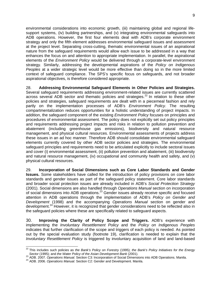environmental considerations into economic growth, (iii) maintaining global and regional lifesupport systems, (iv) building partnerships, and (v) integrating environmental safeguards into ADB operations. However, the first four elements deal with ADB's corporate environment strategy and only the fifth element addresses environmental safeguard issues and assessment at the project level. Separating cross-cutting, thematic environmental issues of an aspirational nature from the safeguard requirements would allow each issue to be addressed in a way that enhances the focus on and attention to appropriate implementation. In parallel, the aspirational elements of the *Environment Policy* would be delivered through a corporate-level environment strategy. Similarly, addressing the developmental aspirations of the *Policy on Indigenous Peoples* at a wider strategic level would be more effective than doing so in the more limited context of safeguard compliance. The SPS's specific focus on safeguards, and not broader aspirational objectives, is therefore considered appropriate.

28. **Addressing Environmental Safeguard Elements in Other Policies and Strategies.** Several safeguard requirements addressing environment-related issues are currently scattered across several ADB sector and thematic policies and strategies.<sup>22</sup> In relation to these other policies and strategies, safeguard requirements are dealt with in a piecemeal fashion and rely partly on the implementation processes of ADB's *Environment Policy*. The resulting compartmentalization reduces opportunities for a holistic understanding of project impacts. In addition, the safeguard component of the existing *Environment Policy* focuses on principles and procedures of environmental assessment. The policy does not explicitly set out policy principles and requirements addressing project impacts and risks in relation to pollution prevention and abatement (including greenhouse gas emissions), biodiversity and natural resource management, and physical cultural resources. Environmental assessments of projects address these issues in an ad hoc manner. Therefore ADB should consolidate environmental safeguard elements currently covered by other ADB sector policies and strategies. The environmental safeguard principles and requirements need to be articulated explicitly to include sectoral issues and cover (i) environmental assessment, (ii) pollution prevention and abatement, (iii) biodiversity and natural resource management, (iv) occupational and community health and safety, and (v) physical cultural resources.

29. **Incorporation of Social Dimensions such as Core Labor Standards and Gender Issues.** Some stakeholders have called for the introduction of policy provisions on core labor standards and gender issues as part of the safeguard policy statement. Core labor standards and broader social protection issues are already included in ADB's *Social Protection Strategy* (2001). Social dimensions are also handled through *Operations Manual* section on incorporation of social dimensions into ADB operations.23 Gender issues already receive specific and focused attention in ADB operations through the implementation of ADB's *Policy on Gender and Development* (1998) and the accompanying *Operations Manual* section on gender and development.<sup>24</sup> However, it is recognized that gender considerations need to be reflected also in the safeguard policies where these are specifically related to safeguard aspects.

30. **Improving the Clarity of Policy Scope and Triggers.** ADB's experience with implementing the *Involuntary Resettlement Policy* and the *Policy on Indigenous Peoples* indicates that further clarification of the scope and triggers of each policy is needed. As pointed out by the special evaluation study (footnote 19), clarification is needed to explain that the *Involuntary Resettlement Policy* is triggered by involuntary acquisition of land and land-based

<sup>-</sup>22 This includes such policies as *the Bank's Policy on Forestry* (1995); *the Bank's Policy Initiatives for the Energy* 

Sector (1995); and the Water Policy of the Asian Development Bank (2001).<br><sup>23</sup> ADB. 2007. Operations Manual. Section C3: Incorporation of Social Dimensions into ADB Operations. Manila.<br><sup>24</sup> ADB. 2006. Operations Manual. Se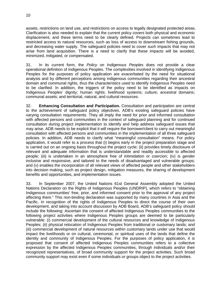assets, restrictions on land use, and restrictions on access to legally designated protected areas. Clarification is also needed to explain that the current policy covers both physical and economic displacement, and these terms need to be clearly defined. Projects can sometimes lead to restricted access to natural resources, such as loss of access to downstream fishing grounds, and decreasing water supply. The safeguard policies need to cover such impacts that may not arise from land acquisition. There is a need to clarify that these impacts will be avoided, minimized, mitigated, or compensated.

31. In its current form, the *Policy on Indigenous Peoples* does not provide a clear operational definition of Indigenous Peoples. The complexities involved in identifying Indigenous Peoples for the purposes of policy application are exacerbated by the need for situational analysis and by different perceptions among indigenous communities regarding their ancestral domain and communal rights, thus the characteristics used to identify Indigenous Peoples need to be clarified. In addition, the triggers of the policy need to be identified as impacts on Indigenous Peoples' dignity; human rights; livelihood systems; culture; ancestral domains; communal assets; and territorial, natural, and cultural resources.

32. **Enhancing Consultation and Participation.** Consultation and participation are central to the achievement of safeguard policy objectives. ADB's existing safeguard policies have varying consultation requirements. They all imply the need for prior and informed consultation with affected persons and communities in the context of safeguard planning and for continued consultation during project implementation to identify and help address safeguard issues that may arise. ADB needs to be explicit that it will require the borrower/client to carry out meaningful consultation with affected persons and communities in the implementation of all three safeguard policies. In addition, ADB needs to clarify what "meaningful consultation" means. For policy application, it would refer to a process that (i) begins early in the project preparation stage and is carried out on an ongoing basis throughout the project cycle; (ii) provides timely disclosure of relevant and adequate information that is understandable and readily accessible to affected people; (iii) is undertaken in an atmosphere free of intimidation or coercion; (iv) is gender inclusive and responsive, and tailored to the needs of disadvantaged and vulnerable groups; and (v) enables the incorporation of all relevant views of affected people and other stakeholders into decision making, such as project design, mitigation measures, the sharing of development benefits and opportunities, and implementation issues.

33. In September 2007, the United Nations 61st General Assembly adopted the United Nations Declaration on the Rights of Indigenous Peoples (UNDRIP), which refers to "obtaining Indigenous communities' free, prior, and informed consent prior to the approval of any project affecting them*.*" This non-binding declaration was supported by many countries in Asia and the Pacific. In recognition of the rights of Indigenous Peoples to direct the course of their own development, and taking into account discussion by ADB Board, ADB's safeguard policy should include the following: Ascertain the consent of affected Indigenous Peoples communities to the following project activities where Indigenous Peoples groups are deemed to be particularly vulnerable: (i) commercial development of the cultural resources and knowledge of Indigenous Peoples; (ii) physical relocation of Indigenous Peoples from traditional or customary lands; and (iii) commercial development of natural resources within customary lands under use that would impact the livelihoods or on cultural, ceremonial, or spiritual uses of the lands that define the identity and community of Indigenous Peoples. For the purposes of policy application, it is proposed that consent of affected Indigenous Peoples communities refers to a collective expression by the affected Indigenous Peoples communities, through individuals and/or their recognized representatives, of broad community support for the project activities. Such broad community support may exist even if some individuals or groups object to the project activities.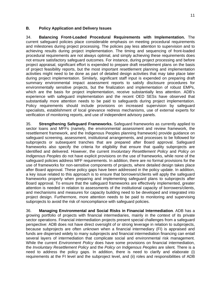#### **B. Policy Application and Delivery Issues**

34. **Balancing Front-Loaded Procedural Requirements with Implementation.** The current safeguard policies place considerable emphasis on meeting procedural requirements and milestones during project processing. The policies pay less attention to supervision and to achieving results during project implementation. The timing and sequencing of front-loaded procedural requirements are not always optimal, and simply achieving these requirements does not ensure satisfactory safeguard outcomes. For instance, during project processing and before project appraisal, significant effort is expended to prepare draft resettlement plans on the basis of project feasibility reports, but the most important resettlement planning and implementation activities might need to be done as part of detailed design activities that may take place later during project implementation. Similarly, significant staff input is expended on preparing draft summary environmental impact assessment reports to satisfy disclosure procedures for environmentally sensitive projects, but the finalization and implementation of robust EMPs, which are the basis for project implementation, receive substantially less attention. ADB's experience with safeguard implementation and the recent OED SESs have observed that substantially more attention needs to be paid to safeguards during project implementation. Policy requirements should include provisions on increased supervision by safeguard specialists, establishment of local grievance redress mechanisms, use of external experts for verification of monitoring reports, and use of independent advisory panels.

35. **Strengthening Safeguard Frameworks.** Safeguard frameworks as currently applied to sector loans and MFFs (namely, the environmental assessment and review framework, the resettlement framework, and the Indigenous Peoples planning framework) provide guidance on safeguard screening, assessment, institutional arrangements, and processes to be followed for subprojects or subsequent tranches that are prepared after Board approval. Safeguard frameworks also specify the criteria for eligibility that ensure that quality subprojects are identified and delivered. However, the current *Involuntary Resettlement Policy* and *Policy on Indigenous Peoples* do not have explicit provisions on the use of frameworks, while none of the safeguard policies address MFF requirements. In addition, there are no formal provisions for the use of frameworks for non-sensitive components of projects, where detailed design takes place after Board approval. These policy gaps have been addressed in the policy update. In addition, a key issue related to this approach is to ensure that borrowers/clients will apply the safeguard frameworks properly when preparing and implementing safeguard plans to subprojects after Board approval. To ensure that the safeguard frameworks are effectively implemented, greater attention is needed in relation to assessments of the institutional capacity of borrowers/clients, and mechanisms and measures for capacity building need to be developed and integrated into project design. Furthermore, more attention needs to be paid to monitoring and supervising subprojects to avoid the risk of noncompliance with safeguard policies.

36. **Managing Environmental and Social Risks in Financial Intermediation**. ADB has a growing portfolio of projects with financial intermediaries, mainly in the context of its private sector operations. Financial intermediation projects present special challenges from a safeguard perspective: ADB does not have direct oversight of or strong leverage in relation to subprojects, because subprojects are often unknown when a financial intermediary (FI) is appraised and funds are dispersed widely to many subprojects and financial intermediation financing can entail several layers of intermediation that complicate social and environmental risk management. While the current *Environment Policy* does have some provisions on financial intermediation, the *Involuntary Resettlement Policy* and the *Policy on Indigenous Peoples* are silent*.* There is a need to address the policy gaps. In addition, there is need to clarify and elaborate (i) requirements at the FI level and the subproject level, and (ii) roles and responsibilities of ADB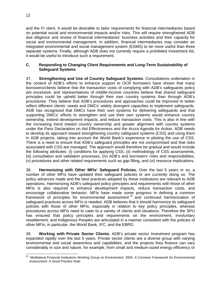and the FI client. It would be desirable to tailor requirements for financial intermediaries based on potential social and environmental impacts and/or risks. This will require strengthened ADB due diligence and review of financial intermediaries' business activities and their capacity for social and environmental management. In addition, financial intermediaries may consider an integrated environmental and social management system (ESMS) to be more useful than three separate systems. Finally, although ADB does not currently require a prohibited investment list, it would be useful to introduce such a requirement.

#### **C. Responding to Changing Client Requirements and Long-Term Sustainability of Safeguard Systems**

37. **Strengthening and Use of Country Safeguard Systems**. Consultations undertaken in the context of ADB's efforts to enhance support to OCR borrowers have shown that many borrowers/clients believe that the transaction costs of complying with ADB's safeguards policy are excessive, and representatives of middle-income countries believe that shared safeguard principles could be upheld better through their own country systems than through ADB's procedures. They believe that ADB'S procedures and approaches could be improved to better reflect different clients' needs and DMCs' widely divergent capacities to implement safeguards. ADB has recognized that DMCs have their own systems for delivering safeguards and that supporting DMCs' efforts to strengthen and use their own systems would enhance country ownership, extend development impacts, and reduce transaction costs. This is also in line with the increasing trend toward country ownership and greater alignment with country systems under the Paris Declaration on Aid Effectiveness and the Accra Agenda for Action. ADB needs to develop its approach toward strengthening country safeguard systems (CSS) and using them in ADB projects, taking into account the World Bank's experience in piloting the use of CSS. There is a need to ensure that ADB's safeguard principles are not compromised and that risks associated with CSS are managed. The approach would therefore be gradual and would include the following attributes: (i) conditions for applying CSS, (ii) methodology of CSS assessments, (iii) consultation and validation processes, (iv) ADB's and borrowers' roles and responsibilities, (v) procedures and other related requirements such as gap filling, and (vi) resource implications.

38. **Harmonizing with Other MFIs' Safeguard Policies.** Over the last 5 years or so, a number of other MFIs have updated their safeguard policies or are currently doing so. The policy advances made and the best practices adopted by these institutions are relevant to ADB operations. Harmonizing ADB's safeguard policy principles and requirements with those of other MFIs is also required to enhance development impacts, reduce transaction costs, and encourage collaborative behavior. MFIs have made some progress in defining a common framework of principles for environmental assessment  $25$  and continued harmonization of safeguard practices across MFIs is needed. ADB believes that it should harmonize its safeguard policies with those of other MFIs, especially in relation to key policy principles, whereas procedures across MFIs need to cater to a variety of clients and situations. Therefore the SPU has ensured that policy principles and requirements on the environment, involuntary resettlement, and Indigenous Peoples are articulated in a manner consistent with the policies of other MFIs, in particular, the World Bank, IFC, and the EBRD.

39. **Working with Private Sector Clients.** ADB's private sector investment program has expanded rapidly over the last 5 years. Private sector clients are a diverse group with varying environmental and social awareness and capabilities, and the projects they finance can vary considerably in size and nature, for example, from small and medium-sized energy efficiency or

 25 Multilateral Financial Institutions Working Group on Environment. 2005. *A Common Framework for Environmental Assessment: A Good Practice Note.*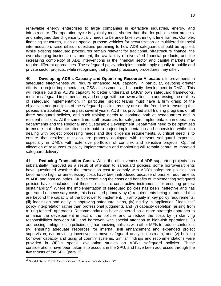renewable energy enterprises to large companies in extractive industries, energy, and infrastructure. The operation cycle is typically much shorter than that for public sector projects, and safeguard due diligence typically needs to be undertaken within tight time frames. Complex financing structures, such as special purpose vehicles for securitization or multitiered financial intermediation, raise difficult questions pertaining to how ADB safeguards should be applied. While existing safeguard procedures remain relevant for traditional infrastructure finance, the ever-changing business environment, the availability of diversified financial products, and the increasing complexity of ADB interventions in the financial sector and capital markets may require different approaches. The safeguard policy principles should apply equally to public and private sector projects, while recognizing that project processing procedures may differ.

40. **Developing ADB's Capacity and Optimizing Resource Allocation**. Improvements in safeguard effectiveness will require enhanced ADB capacity, in particular, devoting greater efforts to project implementation, CSS assessment, and capacity development in DMCs. This will require building ADB's capacity to better understand DMCs' own safeguard frameworks, monitor safeguard implementation, and engage with borrowers/clients in addressing the realities of safeguard implementation. In particular, project teams must have a firm grasp of the objectives and principles of the safeguard policies, as they are on the front line in ensuring that policies are applied. For the past several years, ADB has provided staff training programs on all three safeguard policies, and such training needs to continue both at headquarters and in resident missions. At the same time, staff resources for safeguard implementation in operations departments and the Regional and Sustainable Development Department need to be optimized to ensure that adequate attention is paid to project implementation and supervision while also dealing with project processing needs and due diligence requirements. A critical need is to ensure that resident missions are properly equipped with relevant safeguard expertise, especially in DMCs with extensive portfolios of complex and sensitive projects. Optimal allocation of resources to policy implementation and monitoring will remain central to improved safeguard delivery.

41. **Reducing Transaction Costs.** While the effectiveness of ADB-supported projects has substantially improved as a result of attention to safeguard policies, some borrowers/clients have questioned whether the transaction cost to comply with ADB's safeguard policies has become too high, or unnecessary costs have been introduced because of parallel requirements of ADB and host countries. Studies examining the costs and benefits of implementing safeguard policies have concluded that these policies are constructive instruments for ensuring project sustainability.<sup>26</sup> Where the implementation of safeguard policies has been ineffective and has generated unnecessary costs, this is caused primarily by (i) requirements being introduced that are beyond the capacity of the borrower to implement, (ii) ambiguity in key policy requirements, (iii) indecision and delay in approving safeguard plans, (iv) rigidity in application ("legalistic" policy interpretation rather than professional judgment), and (v) capacity depletion (arising from a "ring-fenced" approach). Recommendations have centered on a more strategic approach to enhance the development impact of the policies and to reduce the costs by (i) clarifying responsibilities between MFI and borrower, with special attention to high-risk operations; (ii) addressing ambiguities in policies; (iii) harmonizing policies with other MFIs to reduce confusion; (iv) ensuring adequate resources for internal skill enhancement and expanded project supervision; (v) providing incentives to move safeguard analysis upstream; and (v) building borrower capacity and using of country systems. Similar findings and recommendations were provided in OED's special evaluation studies on ADB's safeguard policies. These considerations have been taken into account in the SPU, and have been addressed through the five thrusts of the SPU (para. 2).

<sup>-</sup>26 World Bank. 2001. *Cost of Doing Business.* Washington, DC.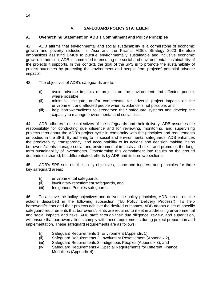### **V. SAFEGUARD POLICY STATEMENT**

#### **A. Overarching Statement on ADB's Commitment and Policy Principles**

42. ADB affirms that environmental and social sustainability is a cornerstone of economic growth and poverty reduction in Asia and the Pacific. ADB's Strategy 2020 therefore emphasizes assisting DMCs to pursue environmentally sustainable and inclusive economic growth. In addition, ADB is committed to ensuring the social and environmental sustainability of the projects it supports. In this context, the goal of the SPS is to promote the sustainability of project outcomes by protecting the environment and people from projects' potential adverse impacts.

43. The objectives of ADB's safeguards are to:

- (i) avoid adverse impacts of projects on the environment and affected people, where possible;
- (ii) minimize, mitigate, and/or compensate for adverse project impacts on the environment and affected people when avoidance is not possible; and
- (iii) help borrowers/clients to strengthen their safeguard systems and develop the capacity to manage environmental and social risks.

44. ADB adheres to the objectives of the safeguards and their delivery. ADB assumes the responsibility for conducting due diligence and for reviewing, monitoring, and supervising projects throughout the ADB's project cycle in conformity with the principles and requirements embodied in the SPS. By adhering to its social and environmental safeguards, ADB enhances the predictability, transparency, and accountability of its actions and decision making; helps borrowers/clients manage social and environmental impacts and risks; and promotes the longterm sustainability of investments. Transforming this commitment into results on the ground depends on shared, but differentiated, efforts by ADB and its borrowers/clients.

45. ADB's SPS sets out the policy objectives, scope and triggers, and principles for three key safeguard areas:

- (i) environmental safeguards,
- (ii) involuntary resettlement safeguards, and
- (iii) Indigenous Peoples safeguards.

46. To achieve the policy objectives and deliver the policy principles, ADB carries out the actions described in the following subsection ("B. Policy Delivery Process"). To help borrowers/clients and their projects achieve the desired outcomes, ADB adopts a set of specific safeguard requirements that borrowers/clients are required to meet in addressing environmental and social impacts and risks. ADB staff, through their due diligence, review, and supervision, will ensure that borrowers/clients comply with these requirements during project preparation and implementation. These safeguard requirements are as follows:

- (i) Safeguard Requirements 1: Environment (Appendix 1),
- (ii) Safeguard Requirements 2: Involuntary Resettlement (Appendix 2),
- (iii) Safeguard Requirements 3: Indigenous Peoples (Appendix 3), and
- (iv) Safeguard Requirements 4: Special Requirements for Different Finance Modalities (Appendix 4).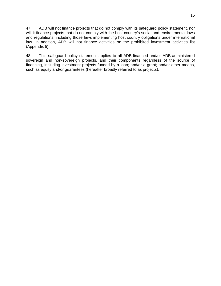47. ADB will not finance projects that do not comply with its safeguard policy statement, nor will it finance projects that do not comply with the host country's social and environmental laws and regulations, including those laws implementing host country obligations under international law. In addition, ADB will not finance activities on the prohibited investment activities list (Appendix 5).

48. This safeguard policy statement applies to all ADB-financed and/or ADB-administered sovereign and non-sovereign projects, and their components regardless of the source of financing, including investment projects funded by a loan; and/or a grant; and/or other means, such as equity and/or guarantees (hereafter broadly referred to as projects).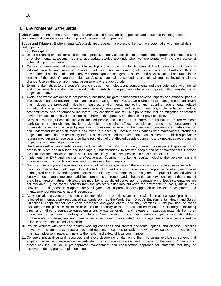#### **1. Environmental Safeguards**

**Objectives:** To ensure the environmental soundness and sustainability of projects and to support the integration of environmental considerations into the project decision-making process.

**Scope and Triggers:** Environmental safeguards are triggered if a project is likely to have potential environmental risks and impacts.

#### **Policy Principles:**

- 1. Use a screening process for each proposed project, as early as possible, to determine the appropriate extent and type of environmental assessment so that appropriate studies are undertaken commensurate with the significance of potential impacts and risks.
- 2. Conduct an environmental assessment for each proposed project to identify potential direct, indirect, cumulative, and induced impacts and risks to physical, biological, socioeconomic (including impacts on livelihood through environmental media, health and safety, vulnerable groups, and gender issues), and physical cultural resources in the context of the project's area of influence. Assess potential transboundary and global impacts, including climate change. Use strategic environmental assessment where appropriate.
- 3. Examine alternatives to the project's location, design, technology, and components and their potential environmental and social impacts and document the rationale for selecting the particular alternative proposed. Also consider the no project alternative.
- 4. Avoid, and where avoidance is not possible, minimize, mitigate, and/or offset adverse impacts and enhance positive impacts by means of environmental planning and management. Prepare an environmental management plan (EMP) that includes the proposed mitigation measures, environmental monitoring and reporting requirements, related institutional or organizational arrangements, capacity development and training measures, implementation schedule, cost estimates, and performance indicators. Key considerations for EMP preparation include mitigation of potential adverse impacts to the level of no significant harm to third parties, and the polluter pays principle.
- 5. Carry out meaningful consultation with affected people and facilitate their informed participation. Ensure women's participation in consultation. Involve stakeholders, including affected people and concerned nongovernment organizations, early in the project preparation process and ensure that their views and concerns are made known to and understood by decision makers and taken into account. Continue consultations with stakeholders throughout project implementation as necessary to address issues related to environmental assessment. Establish a grievance redress mechanism to receive and facilitate resolution of the affected people's concerns and grievances regarding the project's environmental performance.
- 6. Disclose a draft environmental assessment (including the EMP) in a timely manner, before project appraisal, in an accessible place and in a form and language(s) understandable to affected people and other stakeholders. Disclose the final environmental assessment, and its updates if any, to affected people and other stakeholders.
- 7. Implement the EMP and monitor its effectiveness. Document monitoring results, including the development and implementation of corrective actions, and disclose monitoring reports.
- 8. Do not implement project activities in areas of critical habitats, unless (i) there are no measurable adverse impacts on the critical habitat that could impair its ability to function, (ii) there is no reduction in the population of any recognized endangered or critically endangered species, and (iii) any lesser impacts are mitigated. If a project is located within a legally protected area, implement additional programs to promote and enhance the conservation aims of the protected area. In an area of natural habitats, there must be no significant conversion or degradation, unless (i) alternatives are not available, (ii) the overall benefits from the project substantially outweigh the environmental costs, and (iii) any conversion or degradation is appropriately mitigated. Use a precautionary approach to the use, development, and management of renewable natural resources.
- 9. Apply pollution prevention and control technologies and practices consistent with international good practices as reflected in internationally recognized standards such as the World Bank Group's Environmental, Health and Safety Guidelines. Adopt cleaner production processes and good energy efficiency practices. Avoid pollution, or, when avoidance is not possible, minimize or control the intensity or load of pollutant emissions and discharges, including direct and indirect greenhouse gases emissions, waste generation, and release of hazardous materials from their production, transportation, handling, and storage. Avoid the use of hazardous materials subject to international bans or phaseouts. Purchase, use, and manage pesticides based on integrated pest management approaches and reduce reliance on synthetic chemical pesticides.
- 10. Provide workers with safe and healthy working conditions and prevent accidents, injuries, and disease. Establish preventive and emergency preparedness and response measures to avoid, and where avoidance is not possible, to minimize, adverse impacts and risks to the health and safety of local communities.
- 11. Conserve physical cultural resources and avoid destroying or damaging them by using field-based surveys that employ qualified and experienced experts during environmental assessment. Provide for the use of "chance find" procedures that include a pre-approved management and conservation approach for materials that may be discovered during project implementation.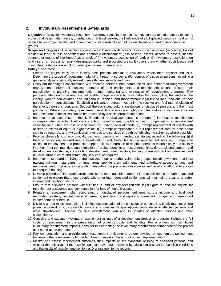#### **2. Involuntary Resettlement Safeguards**

**Objectives:** To avoid involuntary resettlement wherever possible; to minimize involuntary resettlement by exploring project and design alternatives; to enhance, or at least restore, the livelihoods of all displaced persons in real terms relative to pre-project levels; and to improve the standards of living of the displaced poor and other vulnerable groups.

**Scope and Triggers:** The involuntary resettlement safeguards covers physical displacement (relocation, loss of residential land, or loss of shelter) and economic displacement (loss of land, assets, access to assets, income sources, or means of livelihoods) as a result of (i) involuntary acquisition of land, or (ii) involuntary restrictions on land use or on access to legally designated parks and protected areas. It covers them whether such losses and involuntary restrictions are full or partial, permanent or temporary.

#### **Policy Principles:**

- 1. Screen the project early on to identify past, present, and future involuntary resettlement impacts and risks. Determine the scope of resettlement planning through a survey and/or census of displaced persons, including a gender analysis, specifically related to resettlement impacts and risks.
- 2. Carry out meaningful consultations with affected persons, host communities, and concerned nongovernment organizations. Inform all displaced persons of their entitlements and resettlement options. Ensure their participation in planning, implementation, and monitoring and evaluation of resettlement programs. Pay particular attention to the needs of vulnerable groups, especially those below the poverty line, the landless, the elderly, women and children, and Indigenous Peoples, and those without legal title to land, and ensure their participation in consultations. Establish a grievance redress mechanism to receive and facilitate resolution of the affected persons' concerns. Support the social and cultural institutions of displaced persons and their host population. Where involuntary resettlement impacts and risks are highly complex and sensitive, compensation and resettlement decisions should be preceded by a social preparation phase.
- 3. Improve, or at least restore, the livelihoods of all displaced persons through (i) land-based resettlement strategies when affected livelihoods are land based where possible or cash compensation at replacement value for land when the loss of land does not undermine livelihoods, (ii) prompt replacement of assets with access to assets of equal or higher value, (iii) prompt compensation at full replacement cost for assets that cannot be restored, and (iv) additional revenues and services through benefit sharing schemes where possible.
- 4. Provide physically and economically displaced persons with needed assistance, including the following: (i) if there is relocation, secured tenure to relocation land, better housing at resettlement sites with comparable access to employment and production opportunities, integration of resettled persons economically and socially into their host communities, and extension of project benefits to host communities; (ii) transitional support and development assistance, such as land development, credit facilities, training, or employment opportunities; and (iii) civic infrastructure and community services, as required.
- 5. Improve the standards of living of the displaced poor and other vulnerable groups, including women, to at least national minimum standards. In rural areas provide them with legal and affordable access to land and resources, and in urban areas provide them with appropriate income sources and legal and affordable access to adequate housing.
- 6. Develop procedures in a transparent, consistent, and equitable manner if land acquisition is through negotiated settlement to ensure that those people who enter into negotiated settlements will maintain the same or better income and livelihood status.
- 7. Ensure that displaced persons without titles to land or any recognizable legal rights to land are eligible for resettlement assistance and compensation for loss of nonland assets.
- 8. Prepare a resettlement plan elaborating on displaced persons' entitlements, the income and livelihood restoration strategy, institutional arrangements, monitoring and reporting framework, budget, and time-bound implementation schedule.
- 9. Disclose a draft resettlement plan, including documentation of the consultation process in a timely manner, before project appraisal, in an accessible place and a form and language(s) understandable to affected persons and other stakeholders. Disclose the final resettlement plan and its updates to affected persons and other stakeholders.
- 10. Conceive and execute involuntary resettlement as part of a development project or program. Include the full costs of resettlement in the presentation of project's costs and benefits. For a project with significant involuntary resettlement impacts, consider implementing the involuntary resettlement component of the project as a stand-alone operation.
- 11. Pay compensation and provide other resettlement entitlements before physical or economic displacement. Implement the resettlement plan under close supervision throughout project implementation.
- 12. Monitor and assess resettlement outcomes, their impacts on the standards of living of displaced persons, and whether the objectives of the resettlement plan have been achieved by taking into account the baseline conditions and the results of resettlement monitoring. Disclose monitoring reports.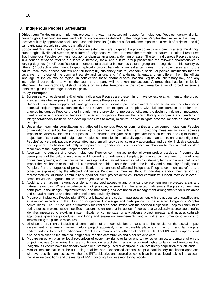#### **3. Indigenous Peoples Safeguards**

**Objectives:** To design and implement projects in a way that fosters full respect for Indigenous Peoples' identity, dignity, human rights, livelihood systems, and cultural uniqueness as defined by the Indigenous Peoples themselves so that they (i) receive culturally appropriate social and economic benefits, (ii) do not suffer adverse impacts as a result of projects, and (iii) can participate actively in projects that affect them.

**Scope and Triggers:** The Indigenous Peoples safeguards are triggered if a project directly or indirectly affects the dignity, human rights, livelihood systems, or culture of Indigenous Peoples or affects the territories or natural or cultural resources that Indigenous Peoples own, use, occupy, or claim as an ancestral domain or asset. The term Indigenous Peoples is used in a generic sense to refer to a distinct, vulnerable, social and cultural group possessing the following characteristics in varying degrees: (i) self-identification as members of a distinct indigenous cultural group and recognition of this identity by others; (ii) collective attachment to geographically distinct habitats or ancestral territories in the project area and to the natural resources in these habitats and territories; (iii) customary cultural, economic, social, or political institutions that are separate from those of the dominant society and culture; and (iv) a distinct language, often different from the official language of the country or region. In considering these characteristics, national legislation, customary law, and any international conventions to which the country is a party will be taken into account. A group that has lost collective attachment to geographically distinct habitats or ancestral territories in the project area because of forced severance remains eligible for coverage under this policy.

#### **Policy Principles:**

- 1. Screen early on to determine (i) whether Indigenous Peoples are present in, or have collective attachment to, the project area; and (ii) whether project impacts on Indigenous Peoples are likely.
- 2. Undertake a culturally appropriate and gender-sensitive social impact assessment or use similar methods to assess potential project impacts, both positive and adverse, on Indigenous Peoples. Give full consideration to options the affected Indigenous Peoples prefer in relation to the provision of project benefits and the design of mitigation measures. Identify social and economic benefits for affected Indigenous Peoples that are culturally appropriate and gender and intergenerationally inclusive and develop measures to avoid, minimize, and/or mitigate adverse impacts on Indigenous Peoples.
- 3. Undertake meaningful consultations with affected Indigenous Peoples communities and concerned Indigenous Peoples organizations to solicit their participation (i) in designing, implementing, and monitoring measures to avoid adverse impacts or, when avoidance is not possible, to minimize, mitigate, or compensate for such effects; and (ii) in tailoring project benefits for affected Indigenous Peoples communities in a culturally appropriate manner. To enhance Indigenous Peoples' active participation, projects affecting them will provide for culturally appropriate and gender inclusive capacity development. Establish a culturally appropriate and gender inclusive grievance mechanism to receive and facilitate resolution of the Indigenous Peoples' concerns.
- 4. Ascertain the consent of affected Indigenous Peoples communities to the following project activities: (i) commercial development of the cultural resources and knowledge of Indigenous Peoples; (ii) physical displacement from traditional or customary lands; and (iii) commercial development of natural resources within customary lands under use that would impact the livelihoods or the cultural, ceremonial, or spiritual uses that define the identity and community of Indigenous Peoples. For the purposes of policy application, the consent of affected Indigenous Peoples communities refers to a collective expression by the affected Indigenous Peoples communities, through individuals and/or their recognized representatives, of broad community support for such project activities. Broad community support may exist even if some individuals or groups object to the project activities.
- 5. Avoid, to the maximum extent possible, any restricted access to and physical displacement from protected areas and natural resources. Where avoidance is not possible, ensure that the affected Indigenous Peoples communities participate in the design, implementation, and monitoring and evaluation of management arrangements for such areas and natural resources and that their benefits are equitably shared.
- 6. Prepare an Indigenous Peoples plan (IPP) that is based on the social impact assessment with the assistance of qualified and experienced experts and that draw on indigenous knowledge and participation by the affected Indigenous Peoples communities. The IPP includes a framework for continued consultation with the affected Indigenous Peoples communities during project implementation; specifies measures to ensure that Indigenous Peoples receive culturally appropriate benefits; identifies measures to avoid, minimize, mitigate, or compensate for any adverse project impacts; and includes culturally appropriate grievance procedures, monitoring and evaluation arrangements, and a budget and time-bound actions for implementing the planned measures.
- 7. Disclose a draft IPP, including documentation of the consultation process and the results of the social impact assessment in a timely manner, before project appraisal, in an accessible place and in a form and language(s) understandable to affected Indigenous Peoples communities and other stakeholders. The final IPP and its updates will also be disclosed to the affected Indigenous Peoples communities and other stakeholders.
- 8. Prepare an action plan for legal recognition of customary rights to lands and territories or ancestral domains when the project involves (i) activities that are contingent on establishing legally recognized rights to lands and territories that Indigenous Peoples have traditionally owned or customarily used or occupied, or (ii) involuntary acquisition of such lands.
- 9. Monitor implementation of the IPP using qualified and experienced experts; adopt a participatory monitoring approach, wherever possible; and assess whether the IPP's objective and desired outcome have been achieved, taking into account the baseline conditions and the results of IPP monitoring. Disclose monitoring reports.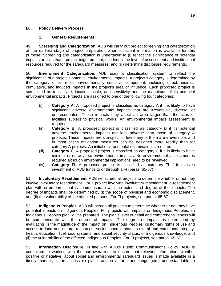### **B. Policy Delivery Process**

#### **1. General Requirements**

49. **Screening and Categorization.** ADB will carry out project screening and categorization at the earliest stage of project preparation when sufficient information is available for this purpose. Screening and categorization is undertaken to (i) reflect the significance of potential impacts or risks that a project might present; (ii) identify the level of assessment and institutional resources required for the safeguard measures; and (iii) determine disclosure requirements.

50. **Environment Categorization.** ADB uses a classification system to reflect the significance of a project's potential environmental impacts. A project's category is determined by the category of its most environmentally sensitive component, including direct, indirect, cumulative, and induced impacts in the project's area of influence. Each proposed project is scrutinized as to its type, location, scale, and sensitivity and the magnitude of its potential environmental impacts. Projects are assigned to one of the following four categories:

- (i) **Category A.** A proposed project is classified as category A if it is likely to have significant adverse environmental impacts that are irreversible, diverse, or unprecedented. These impacts may affect an area larger than the sites or facilities subject to physical works. An environmental impact assessment is required.
- (ii) **Category B.** A proposed project is classified as category B if its potential adverse environmental impacts are less adverse than those of category A projects. These impacts are site-specific, few if any of them are irreversible, and in most cases mitigation measures can be designed more readily than for category A projects. An initial environmental examination is required.
- (iii) **Category C.** A proposed project is classified as category C if it is likely to have minimal or no adverse environmental impacts. No environmental assessment is required although environmental implications need to be reviewed.
- (iv) **Category FI.** A proposed project is classified as category FI if it involves investment of ADB funds to or through a FI (paras. 65-67).

51. **Involuntary Resettlement.** ADB will screen all projects to determine whether or not they involve involuntary resettlement. For a project involving involuntary resettlement, a resettlement plan will be prepared that is commensurate with the extent and degree of the impacts. The degree of impacts shall be determined by (i) the scope of physical and economic displacement, and (ii) the vulnerability of the affected persons. For FI projects, see paras. 65-67.

52. **Indigenous Peoples.** ADB will screen all projects to determine whether or not they have potential impacts on Indigenous Peoples. For projects with impacts on Indigenous Peoples, an Indigenous Peoples plan will be prepared. The plan's level of detail and comprehensiveness will be commensurate with the degree of impacts. The degree of impacts is determined by evaluating (i) the magnitude of the impact on Indigenous Peoples' customary rights of use and access to land and natural resources; socioeconomic status; cultural and communal integrity; health, education, livelihood systems, and social security status; or indigenous knowledge; and (ii) the vulnerability of the affected Indigenous Peoples. For FI projects, see paras. 65-67.

53. **Information Disclosure.** In line with ADB's Public Communications Policy, ADB is committed to working with the borrower/client to ensure that relevant information (whether positive or negative) about social and environmental safeguard issues is made available in a timely manner, in an accessible place, and in a form and language(s) understandable to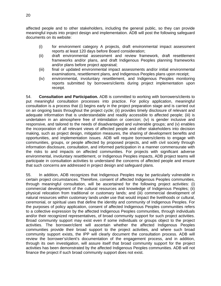affected people and to other stakeholders, including the general public, so they can provide meaningful inputs into project design and implementation. ADB will post the following safeguard documents on its website:

- (i) for environment category A projects, draft environmental impact assessment reports at least 120 days before Board consideration;
- (ii) draft environmental assessment and review framework, draft resettlement frameworks and/or plans, and draft Indigenous Peoples planning frameworks and/or plans before project appraisal;
- (iii) final or updated environmental impact assessments and/or initial environmental examinations, resettlement plans, and Indigenous Peoples plans upon receipt;
- (iv) environmental, involuntary resettlement, and Indigenous Peoples monitoring reports submitted by borrowers/clients during project implementation upon receipt.

54. **Consultation and Participation.** ADB is committed to working with borrowers/clients to put meaningful consultation processes into practice. For policy application, meaningful consultation is a process that (i) begins early in the project preparation stage and is carried out on an ongoing basis throughout the project cycle; (ii) provides timely disclosure of relevant and adequate information that is understandable and readily accessible to affected people; (iii) is undertaken in an atmosphere free of intimidation or coercion; (iv) is gender inclusive and responsive, and tailored to the needs of disadvantaged and vulnerable groups; and (v) enables the incorporation of all relevant views of affected people and other stakeholders into decision making, such as project design, mitigation measures, the sharing of development benefits and opportunities, and implementation issues. ADB will require borrowers/clients to engage with communities, groups, or people affected by proposed projects, and with civil society through information disclosure, consultation, and informed participation in a manner commensurate with the risks to and impacts on affected communities. For projects with significant adverse environmental, involuntary resettlement, or Indigenous Peoples impacts, ADB project teams will participate in consultation activities to understand the concerns of affected people and ensure that such concerns are addressed in project design and safeguard plans.

55. In addition, ADB recognizes that Indigenous Peoples may be particularly vulnerable in certain project circumstances. Therefore, consent of affected Indigenous Peoples communities, through meaningful consultation, will be ascertained for the following project activities: (i) commercial development of the cultural resources and knowledge of Indigenous Peoples; (ii) physical relocation from traditional or customary lands; and (iii) commercial development of natural resources within customary lands under use that would impact the livelihoods or cultural, ceremonial, or spiritual uses that define the identity and community of Indigenous Peoples. For the purposes of policy application, consent of affected Indigenous Peoples communities refers to a collective expression by the affected Indigenous Peoples communities, through individuals and/or their recognized representatives, of broad community support for such project activities. Broad community support may exist even if some individuals or groups object to the project activities. The borrower/client will ascertain whether the affected Indigenous Peoples communities provide their broad support to the project activities, and where such broad community support exists, the IPP will clearly document the consultation process. ADB will review the borrower's/client's documentation of the engagement process, and in addition, through its own investigation, will assure itself that broad community support for the project activities has been demonstrated by the affected Indigenous Peoples communities. ADB will not finance the project if such broad community support does not exist.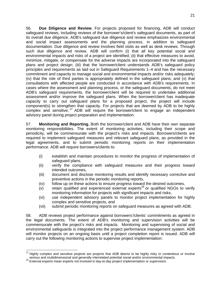56. **Due Diligence and Review.** For projects proposed for financing, ADB will conduct safeguard reviews, including reviews of the borrower's/client's safeguard documents, as part of its overall due diligence. ADB's safeguard due diligence and review emphasizes environmental and social impact assessments and the planning process, in addition to safeguard documentation. Due diligence and review involves field visits as well as desk reviews. Through such due diligence and review, ADB will confirm (i) that all key potential social and environmental impacts and risks of a project are identified; (ii) that effective measures to avoid, minimize, mitigate, or compensate for the adverse impacts are incorporated into the safeguard plans and project design; (iii) that the borrower/client understands ADB's safeguard policy principles and requirements as laid out in Safeguard Requirements 1–4 and has the necessary commitment and capacity to manage social and environmental impacts and/or risks adequately; (iv) that the role of third parties is appropriately defined in the safeguard plans; and (v) that consultations with affected people are conducted in accordance with ADB's requirements. In cases where the assessment and planning process, or the safeguard documents, do not meet ADB's safeguard requirements, the borrower/client will be required to undertake additional assessment and/or improve the safeguard plans. When the borrower/client has inadequate capacity to carry out safeguard plans for a proposed project, the project will include component(s) to strengthen that capacity. For projects that are deemed by ADB to be highly complex and sensitive,  $27$  ADB will require the borrower/client to engage an independent advisory panel during project preparation and implementation.

57. **Monitoring and Reporting.** Both the borrower/client and ADB have their own separate monitoring responsibilities. The extent of monitoring activities, including their scope and periodicity, will be commensurate with the project's risks and impacts. Borrowers/clients are required to implement safeguard measures and relevant safeguard plans, as provided in the legal agreements, and to submit periodic monitoring reports on their implementation performance. ADB will require borrowers/clients to:

- (i) establish and maintain procedures to monitor the progress of implementation of safeguard plans,
- (ii) verify the compliance with safeguard measures and their progress toward intended outcomes,
- (iii) document and disclose monitoring results and identify necessary corrective and preventive actions in the periodic monitoring reports,
- (iv) follow up on these actions to ensure progress toward the desired outcomes,
- $(v)$  retain qualified and experienced external experts<sup>28</sup> or qualified NGOs to verify monitoring information for projects with significant impacts and risks,
- (vi) use independent advisory panels to monitor project implementation for highly complex and sensitive projects, and
- (vii) submit periodic monitoring reports on safeguard measures as agreed with ADB.

58. ADB reviews project performance against borrowers'/clients' commitments as agreed in the legal documents. The extent of ADB's monitoring and supervision activities will be commensurate with the project's risks and impacts. Monitoring and supervising of social and environmental safeguards is integrated into the project performance management system. ADB will monitor projects on an ongoing basis until a project completion report is issued. ADB will carry out the following monitoring actions to supervise project implementation:

<sup>-</sup> $27$  Highly complex and sensitive projects are projects that ADB deems to be highly risky or contentious or involve serious and multidimensional and generally interrelated potential social and/or environmental impacts.<br><sup>28</sup> External experts mean experts not involved in day-to-day project implementation or supervision.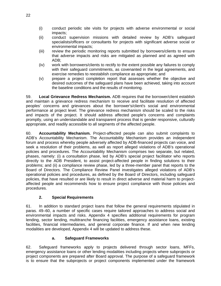- (i) conduct periodic site visits for projects with adverse environmental or social impacts;
- (ii) conduct supervision missions with detailed review by ADB's safeguard specialists/officers or consultants for projects with significant adverse social or environmental impacts;
- (iii) review the periodic monitoring reports submitted by borrowers/clients to ensure that adverse impacts and risks are mitigated as planned and as agreed with ADB;
- (iv) work with borrowers/clients to rectify to the extent possible any failures to comply with their safeguard commitments, as covenanted in the legal agreements, and exercise remedies to reestablish compliance as appropriate; and
- (v) prepare a project completion report that assesses whether the objective and desired outcomes of the safeguard plans have been achieved, taking into account the baseline conditions and the results of monitoring.

59. **Local Grievance Redress Mechanism.** ADB requires that the borrower/client establish and maintain a grievance redress mechanism to receive and facilitate resolution of affected peoples' concerns and grievances about the borrower's/client's social and environmental performance at project level. The grievance redress mechanism should be scaled to the risks and impacts of the project. It should address affected people's concerns and complaints promptly, using an understandable and transparent process that is gender responsive, culturally appropriate, and readily accessible to all segments of the affected people.

60. **Accountability Mechanism.** Project-affected people can also submit complaints to ADB's Accountability Mechanism. The Accountability Mechanism provides an independent forum and process whereby people adversely affected by ADB-financed projects can voice, and seek a resolution of their problems, as well as report alleged violations of ADB's operational policies and procedures. The Accountability Mechanism comprises two separate, but related, phases, namely: (i) a consultation phase, led by ADB's special project facilitator who reports directly to the ADB President, to assist project-affected people in finding solutions to their problems; and (ii) a compliance review phase, led by a three-member panel that reports to the Board of Directors. The Compliance Review Panel investigates alleged violations of ADB's operational policies and procedures, as defined by the Board of Directors, including safeguard policies, that have resulted or are likely to result in direct adverse and material harm to projectaffected people and recommends how to ensure project compliance with those policies and procedures.

# **2. Special Requirements**

61. In addition to standard project loans that follow the general requirements stipulated in paras. 49–60, a number of specific cases require tailored approaches to address social and environmental impacts and risks. Appendix 4 specifies additional requirements for program lending, sector lending, multitranche financing facilities, emergency assistance loans, existing facilities, financial intermediaries, and general corporate finance. If and when new lending modalities are developed, Appendix 4 will be updated to address these.

# **a. Safeguard Frameworks**

62. Safeguard frameworks apply to projects delivered through sector loans, MFFs, emergency assistance loans or other lending modalities including projects where subprojects or project components are prepared after Board approval. The purpose of a safeguard framework is to ensure that the subprojects or project components implemented under the framework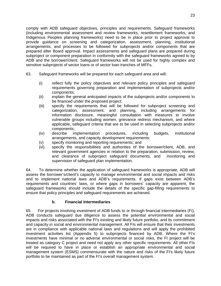comply with ADB safeguard objectives, principles and requirements. Safeguard frameworks (including environmental assessment and review frameworks, resettlement frameworks, and Indigenous Peoples planning frameworks) need to be in place prior to project approval to provide guidance on screening and categorization, assessment, planning, institutional arrangements, and processes to be followed for subprojects and/or components that are prepared after Board approval. Impact assessments and safeguard plans are prepared during subproject or component preparation in conformity with the safeguard frameworks agreed to by ADB and the borrower/client. Safeguard frameworks will not be used for highly complex and sensitive subprojects of sector loans or of sector loan tranches of MFFs**.** 

- 63. Safeguard frameworks will be prepared for each safeguard area and will:
	- (i) reflect fully the policy objectives and relevant policy principles and safeguard requirements governing preparation and implementation of subprojects and/or components;
	- (ii) explain the general anticipated impacts of the subprojects and/or components to be financed under the proposed project;
	- (iii) specify the requirements that will be followed for subproject screening and categorization, assessment, and planning, including arrangements for information disclosure, meaningful consultation with measures to involve vulnerable groups including women, grievance redress mechanism, and where applicable, safeguard criteria that are to be used in selecting subprojects and/or components;
	- (iv) describe implementation procedures, including budgets, institutional arrangements, and capacity development requirements;
	- (v) specify monitoring and reporting requirements; and
	- (vi) specify the responsibilities and authorities of the borrower/client, ADB, and relevant government agencies in relation to the preparation, submission, review, and clearance of subproject safeguard documents, and monitoring and supervision of safeguard plan implementation.

64. To determine whether the application of safeguard frameworks is appropriate, ADB will assess the borrower's/client's capacity to manage environmental and social impacts and risks and to implement national laws and ADB's requirements. If gaps exist between ADB's requirements and countries' laws, or where gaps in borrowers' capacity are apparent, the safeguard frameworks should include the details of the specific gap-filling requirements to ensure that policy principles and safeguard requirements are achieved.

### **b. Financial Intermediaries**

65. For projects involving investment of ADB funds to or through financial intermediaries (FI), ADB conducts safeguard due diligence to assess the potential environmental and social impacts and risks associated with the FI's existing and likely future portfolio, and its commitment and capacity in social and environmental management. All FIs will ensure that their investments are in compliance with applicable national laws and regulations and will apply the prohibited investment activities list (Appendix 5) to subprojects financed by ADB. Where the FI's investments have minimal or no adverse environmental or social risks, the FI project will be treated as category C project and need not apply any other specific requirements. All other FIs will be required to have in place or establish an appropriate environmental and social management system (ESMS) commensurate with the nature and risks of the FI's likely future portfolio to be maintained as part of the FI's overall management system.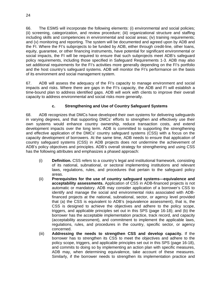66. The ESMS will incorporate the following elements: (i) environmental and social policies; (ii) screening, categorization, and review procedure; (iii) organizational structure and staffing including skills and competencies in environmental and social areas; (iv) training requirements; and (v) monitoring and reporting. The system will be documented and agreed upon by ADB and the FI. Where the FI's subprojects to be funded by ADB, either through credit-line, other loans, equity, guarantee, or other financing instruments, have potential for significant environmental or social impacts, the FI will be required to ensure that such subprojects meet ADB's safeguard policy requirements, including those specified in Safeguard Requirements 1-3. ADB may also set additional requirements for the FI's activities more generally depending on the FI's portfolio and the host country's safeguard systems. ADB will monitor the FI's performance on the basis of its environment and social management system.

67. ADB will assess the adequacy of the FI's capacity to manage environment and social impacts and risks. Where there are gaps in the FI's capacity, the ADB and FI will establish a time-bound plan to address identified gaps. ADB will work with clients to improve their overall capacity to address environmental and social risks more generally.

# **c. Strengthening and Use of Country Safeguard Systems**

68. ADB recognizes that DMCs have developed their own systems for delivering safeguards in varying degrees, and that supporting DMCs' efforts to strengthen and effectively use their own systems would enhance country ownership, reduce transaction costs, and extend development impacts over the long term. ADB is committed to supporting the strengthening and effective application of the DMCs' country safeguard systems (CSS) with a focus on the capacity development of borrowers. At the same time, ADB needs to ensure that application of country safeguard systems (CSS) in ADB projects does not undermine the achievement of ADB's policy objectives and principles. ADB's overall strategy for strengthening and using CSS has the following attributes and emphasizes a phased approach:

- (i) **Definition.** CSS refers to a country's legal and institutional framework, consisting of its national, subnational, or sectoral implementing institutions and relevant laws, regulations, rules, and procedures that pertain to the safeguard policy areas.
- (ii) **Prerequisites for the use of country safeguard systems—equivalence and acceptability assessments.** Application of CSS in ADB-financed projects is not automatic or mandatory. ADB may consider application of a borrower's CSS to identify and manage the social and environmental risks associated with ADBfinanced projects at the national, subnational, sector, or agency level provided that (a) the CSS is equivalent to ADB's (equivalence assessment), that is, the CSS is designed to achieve the objectives and adhere to the policy scope, triggers, and applicable principles set out in this SPS (page 16-18); and (b) the borrower has the acceptable implementation practice, track record, and capacity (acceptability assessment), and commitment to implement the applicable laws, regulations, rules, and procedures in the country, specific sector, or agency concerned.
- (iii) **Addressing the needs to strengthen CSS and develop capacity.** If the borrower has to strengthen its CSS to meet the objectives and adhere to the policy scope, triggers, and applicable principles set out in this SPS (page 16-18), and commits to doing so by implementing an action plan with specific measures, ADB may, when determining equivalence, take account of these measures. Similarly, if the borrower needs to strengthen its implementation practice and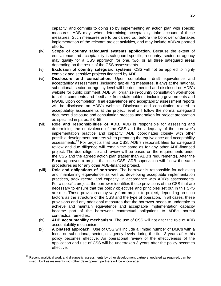capacity, and commits to doing so by implementing an action plan with specific measures, ADB may, when determining acceptability, take account of these measures. Such measures are to be carried out before the borrower undertakes implementation of the relevant project activities, and may include ADB-supported efforts.

- (iv) **Scope of country safeguard systems application.** Because the extent of equivalence and acceptability is safeguard specific, a country, sector, or agency may qualify for a CSS approach for one, two, or all three safeguard areas depending on the result of the CSS assessments.
- (v) **Exclusion of country safeguard systems**. CSS will not be applied to highly complex and sensitive projects financed by ADB.
- (vi) **Disclosure and consultation.** Upon completion, draft equivalence and acceptability assessments (including gap-filling measures, if any) at the national, subnational, sector, or agency level will be documented and disclosed on ADB's website for public comment. ADB will organize in-country consultation workshops to solicit comments and feedback from stakeholders, including governments and NGOs. Upon completion, final equivalence and acceptability assessment reports will be disclosed on ADB's website. Disclosure and consultation related to acceptability assessments at the project level will follow the normal safeguard document disclosure and consultation process undertaken for project preparation as specified in paras. 53–55.
- (vii) **Role and responsibilities of ADB.** ADB is responsible for assessing and determining the equivalence of the CSS and the adequacy of the borrower's implementation practice and capacity. ADB coordinates closely with other possible development partners when preparing the equivalence and acceptability assessments.<sup>29</sup> For projects that use CSS, ADB's responsibilities for safeguard review and due diligence will remain the same as for any other ADB-financed project. The due diligence and review will be based on the requirements under the CSS and the agreed action plan (rather than ADB's requirements). After the Board approves a project that uses CSS, ADB supervision will follow the same procedures as for any other ADB-financed project.
- (viii) **Role and obligations of borrower.** The borrower is responsible for achieving and maintaining equivalence as well as developing acceptable implementation practices, track record, and capacity, in accordance with ADB's assessments. For a specific project, the borrower identifies those provisions of the CSS that are necessary to ensure that the policy objectives and principles set out in this SPS are met. These provisions may vary from project to project, depending on such factors as the structure of the CSS and the type of operation. In all cases, these provisions and any additional measures that the borrower needs to undertake to achieve and maintain equivalence and acceptable implementation capacity become part of the borrower's contractual obligations to ADB's normal contractual remedies.
- (ix) **ADB accountability mechanism.** The use of CSS will not alter the role of ADB accountability mechanism.
- (x) **A phased approach.** Use of CSS will include a limited number of DMCs with a focus on subnational, sector, or agency levels during the first 3 years after this policy becomes effective. An operational review of the effectiveness of the application and use of CSS will be undertaken 3 years after the policy becomes effective.

-

 $^{29}$  Recent analytical work and diagnostic assessments by other development partners, updated as required, can be used. Joint assessments with other development partners will be encouraged.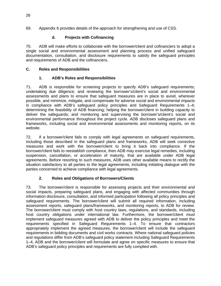69. Appendix 6 provides details of the approach for strengthening and use of CSS.

# **d. Projects with Cofinancing**

70. ADB will make efforts to collaborate with the borrower/client and cofinanciers to adopt a single social and environmental assessment and planning process and unified safeguard documentation, consultation, and disclosure requirements to satisfy the safeguard principles and requirements of ADB and the cofinanciers.

### **C. Roles and Responsibilities**

### **1. ADB's Roles and Responsibilities**

71. ADB is responsible for screening projects to specify ADB's safeguard requirements; undertaking due diligence; and reviewing the borrower's/client's social and environmental assessments and plans to ensure that safeguard measures are in place to avoid, wherever possible, and minimize, mitigate, and compensate for adverse social and environmental impacts in compliance with ADB's safeguard policy principles and Safeguard Requirements 1–4; determining the feasibility of ADB financing; helping the borrower/client in building capacity to deliver the safeguards; and monitoring and supervising the borrower's/client's social and environmental performance throughout the project cycle. ADB discloses safeguard plans and frameworks, including social and environmental assessments and monitoring reports, on its website.

72. If a borrower/client fails to comply with legal agreements on safeguard requirements, including those described in the safeguard plans and frameworks, ADB will seek corrective measures and work with the borrower/client to bring it back into compliance. If the borrower/client fails to reestablish compliance, then ADB may exercise legal remedies, including suspension, cancellation, or acceleration of maturity, that are available under ADB legal agreements. Before resorting to such measures, ADB uses other available means to rectify the situation satisfactory to all parties to the legal agreements, including initiating dialogue with the parties concerned to achieve compliance with legal agreements.

# **2. Roles and Obligations of Borrowers/Clients**

73. The borrower/client is responsible for assessing projects and their environmental and social impacts, preparing safeguard plans, and engaging with affected communities through information disclosure, consultation, and informed participation following all policy principles and safeguard requirements. The borrower/client will submit all required information, including assessment reports, safeguard plans/frameworks, and monitoring reports, to ADB for review. The borrower/client must comply with host country laws, regulations, and standards, including host country obligations under international law. Furthermore, the borrower/client must implement safeguard measures agreed with ADB to deliver the policy principles and meet the requirements specified in Safeguard Requirements 1–4. To ensure that contractors appropriately implement the agreed measures, the borrower/client will include the safeguard requirements in bidding documents and civil works contracts. Where national safeguard policies and regulations differ from ADB's safeguard policy statement including Safeguard Requirements 1–4, ADB and the borrower/client will formulate and agree on specific measures to ensure that ADB's safeguard policy principles and requirements are fully complied with.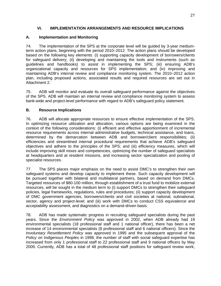### **VI. IMPLEMENTATION ARRANGEMENTS AND RESOURCE IMPLICATIONS**

### **A. Implementation and Monitoring**

74. The implementation of the SPS at the corporate level will be guided by 3-year mediumterm action plans, beginning with the period 2010–2012. The action plans should be developed based on the following key elements: (i) supporting capacity development of borrowers/clients for safeguard delivery; (ii) developing and maintaining the tools and instruments (such as guidelines and handbooks) to assist in implementing the SPS; (iii) ensuring ADB's organizational capacity and resources for SPS implementation; and (iv) improving and maintaining ADB's internal review and compliance monitoring system. The 2010–2012 action plan, including proposed actions, associated results and required resources are set out in Attachment 2.

75. ADB will monitor and evaluate its overall safeguard performance against the objectives of the SPS. ADB will maintain an internal review and compliance monitoring system to assess bank-wide and project-level performance with regard to ADB's safeguard policy statement.

### **B. Resource Implications**

76. ADB will allocate appropriate resources to ensure effective implementation of the SPS. In optimizing resource utilization and allocation, various options are being examined in the context of the following considerations: (i) efficient and effective apportionment of incremental resource requirements across internal administrative budgets, technical assistance, and loans, determined by the demarcation between ADB and borrower/client responsibilities; (ii) efficiencies and streamlined internal procedural requirements that achieve ADB's safeguard objectives and adhere to the principles of the SPS; and (iii) efficiency measures, which will include improving skill mixes and competencies, optimizing the number of safeguard specialists at headquarters and at resident missions, and increasing sector specialization and pooling of specialist resources.

77. The SPS places major emphasis on the need to assist DMC's to strengthen their own safeguard systems and develop capacity to implement these. Such capacity development will be pursued together with bilateral and multilateral partners, based on demand from DMCs. Targeted resources of \$80-100 million, through establishment of a trust fund to mobilize external resources, will be sought in the medium term to (i) support DMCs to strengthen their safeguard policies, legal frameworks, regulations, rules and procedures; (ii) support capacity development of DMC government agencies, borrowers/clients and civil societies at national, subnational, sector, agency and project-level; and (iii) work with DMCs to conduct CSS equivalence and acceptability assessment, and diagnostics on a demand-driven basis.

78. ADB has made systematic progress in recruiting safeguard specialists during the past years. Since the *Environment Policy* was approved in 2002, when ADB already had 19 environmental specialists (18 professional staff and 1 national officer), there has been a net increase of 14 environmental specialists (8 professional staff and 6 national officers). Since the *Involuntary Resettlement Policy* was approved in 1995 and the subsequent approval of the *Policy on Indigenous Peoples* in 1998, the number of staff with social safeguard expertise has increased from only 1 professional staff to 22 professional staff and 9 national officers by May 2009. Currently, ADB has a total of 48 professional staff positions for safeguard review work,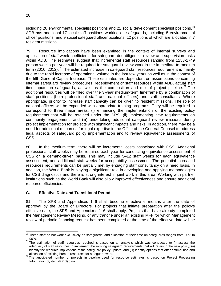including 26 environmental specialist positions and 22 social development specialist positions.<sup>30</sup> ADB has additional 17 local staff positions working on safeguards, including 8 environmental officer positions, and 9 social safeguard officer positions, 12 positions of which are allocated in 7 resident missions.

79. Resource implications have been examined in the context of internal surveys and application of staff-week coefficients for safeguard due diligence, review and supervision tasks within ADB. The estimates suggest that incremental staff resources ranging from 1253-1749 person-weeks per year will be required for safeguard review work in the immediate to medium term  $(2010-2012)$ .<sup>31</sup> The estimated increase in safeguard staff resources requirement is mainly due to the rapid increase of operational volume in the last few years as well as in the context of the fifth General Capital Increase. These estimates are dependent on assumptions concerning internal safeguard review procedures, redeployment of staff resources within ADB, actual staff time inputs on safeguards, as well as the composition and mix of project pipeline.<sup>32</sup> The additional resources will be filled over the 3-year medium-term timeframe by a combination of staff positions (both professional staff and national officers) and staff consultants. Where appropriate, priority to increase staff capacity can be given to resident missions. The role of national officers will be expanded with appropriate training programs. They will be required to correspond to three major areas: (i) enhancing the implementation of the existing policy requirements that will be retained under the SPS; (ii) implementing new requirements on community engagement; and (iii) undertaking additional safeguard review missions during project implementation for projects with significant impacts and risks. In addition, there may be a need for additional resources for legal expertise in the Office of the General Counsel to address legal aspects of safeguard policy implementation and to review equivalence assessments of CSS.

80. In the medium term, there will be incremental costs associated with CSS. Additional professional staff weeks may be required each year for conducting equivalence assessment of CSS on a demand-driven basis. This may include 5–12 staff weeks for each equivalence assessment, and additional staff-weeks for acceptability assessment. The potential increased resources requirements can be partially met by engaging staff consultancy on a need basis. In addition, the World Bank is playing a significant role in developing and applying methodologies for CSS diagnostics and there is strong interest in joint work in this area. Working with partner institutions such as the World Bank will also allow improved effectiveness and ensure additional resource efficiencies.

### **C. Effective Date and Transitional Period**

81. The SPS and Appendixes 1–6 shall become effective 6 months after the date of approval by the Board of Directors. For projects that initiate preparation after the policy's effective date, the SPS and Appendixes 1–6 shall apply. Projects that have already completed the Management Review Meeting, or any tranche under an existing MFF for which Management review of periodic financing request has been completed at the time of the effective date will be

 $\overline{a}$  $30$  These staff do not work exclusively on safeguards, and allocation of their time on safeguards ranges from 30% to

<sup>90%.&</sup>lt;br><sup>31</sup> The estimation of staff resources required is based on an analysis which was conducted to (i) assess the adequacy of staff resources to implement the existing safeguard requirements that will retain in the new policy; (ii) identify the resource implications of the safeguard policy update; and (iii) identify options that offer optimal use and

allocation of existing human resources for safeguard work.<br> $32$ The anticipated number of projects in pipeline used for resource estimates is based on Project Processing Information System (PPIS) data.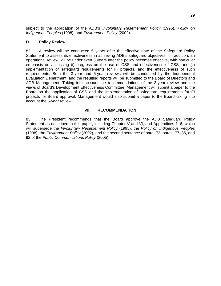subject to the application of the ADB's *Involuntary Resettlement Policy* (1995), *Policy on Indigenous Peoples* (1998), and *Environment Policy* (2002).

#### **D. Policy Review**

82. A review will be conducted 5 years after the effective date of the Safeguard Policy Statement to assess its effectiveness in achieving ADB's safeguard objectives. In addition, an operational review will be undertaken 3 years after the policy becomes effective, with particular emphasis on assessing (i) progress on the use of CSS and effectiveness of CSS; and (ii) implementation of safeguard requirements for FI projects, and the effectiveness of such requirements. Both the 3-year and 5-year reviews will be conducted by the Independent Evaluation Department, and the resulting reports will be submitted to the Board of Directors and ADB Management. Taking into account the recommendations of the 3-year review and the views of Board's Development Effectiveness Committee, Management will submit a paper to the Board on the application of CSS and the implementation of safeguard requirements for FI projects for Board approval. Management would also submit a paper to the Board taking into account the 5-year review.

#### **VII. RECOMMENDATION**

83. The President recommends that the Board approve the ADB Safeguard Policy Statement as described in this paper, including Chapter V and VI, and Appendixes 1–6, which will supersede the *Involuntary Resettlement Policy* (1995), the *Policy on Indigenous Peoples* (1998), the *Environment Policy* (2002), and the second sentence of para. 73, paras. 77–85, and 92 of the *Public Communications Policy* (2005).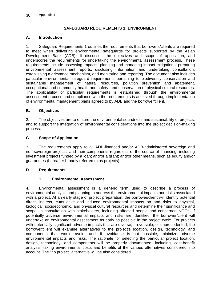#### **SAFEGUARD REQUIREMENTS 1: ENVIRONMENT**

#### **A. Introduction**

1. Safeguard Requirements 1 outlines the requirements that borrowers/clients are required to meet when delivering environmental safeguards for projects supported by the Asian Development Bank (ADB). It discusses the objectives and scope of application, and underscores the requirements for undertaking the environmental assessment process. These requirements include assessing impacts, planning and managing impact mitigations, preparing environmental assessment reports, disclosing information and undertaking consultation, establishing a grievance mechanism, and monitoring and reporting. The document also includes particular environmental safeguard requirements pertaining to biodiversity conservation and sustainable management of natural resources, pollution prevention and abatement, occupational and community health and safety, and conservation of physical cultural resources. The applicability of particular requirements is established through the environmental assessment process and compliance with the requirements is achieved through implementation of environmental management plans agreed to by ADB and the borrower/client.

#### **B. Objectives**

2. The objectives are to ensure the environmental soundness and sustainability of projects, and to support the integration of environmental considerations into the project decision-making process.

#### **C. Scope of Application**

3. The requirements apply to all ADB-financed and/or ADB-administered sovereign and non-sovereign projects, and their components regardless of the source of financing, including investment projects funded by a loan; and/or a grant; and/or other means, such as equity and/or guarantees (hereafter broadly referred to as projects).

#### **D. Requirements**

#### **1. Environmental Assessment**

4. Environmental assessment is a generic term used to describe a process of environmental analysis and planning to address the environmental impacts and risks associated with a project. At an early stage of project preparation, the borrower/client will identify potential direct, indirect, cumulative and induced environmental impacts on and risks to physical, biological, socioeconomic, and physical cultural resources and determine their significance and scope, in consultation with stakeholders, including affected people and concerned NGOs. If potentially adverse environmental impacts and risks are identified, the borrower/client will undertake an environmental assessment as early as possible in the project cycle. For projects with potentially significant adverse impacts that are diverse, irreversible, or unprecedented, the borrower/client will examine alternatives to the project's location, design, technology, and components that would avoid, and, if avoidance is not possible, minimize adverse environmental impacts and risks. The rationale for selecting the particular project location, design, technology, and components will be properly documented, including, cost-benefit analysis, taking environmental costs and benefits of the various alternatives considered into account. The "no project" alternative will be also considered.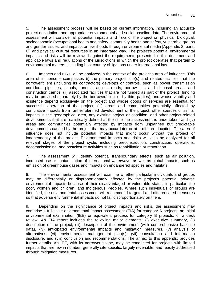5. The assessment process will be based on current information, including an accurate project description, and appropriate environmental and social baseline data. The environmental assessment will consider all potential impacts and risks of the project on physical, biological, socioeconomic (occupational health and safety, community health and safety, vulnerable groups and gender issues, and impacts on livelihoods through environmental media [Appendix 2, para. 6]) and physical cultural resources in an integrated way. The project's potential environmental impacts and risks will be reviewed against the requirements presented in this document and applicable laws and regulations of the jurisdictions in which the project operates that pertain to environmental matters, including host country obligations under international law.

6. Impacts and risks will be analyzed in the context of the project's area of influence. This area of influence encompasses (i) the primary project site(s) and related facilities that the borrower/client (including its contractors) develops or controls, such as power transmission corridors, pipelines, canals, tunnels, access roads, borrow pits and disposal areas, and construction camps; (ii) associated facilities that are not funded as part of the project (funding may be provided separately by the borrower/client or by third parties), and whose viability and existence depend exclusively on the project and whose goods or services are essential for successful operation of the project; (iii) areas and communities potentially affected by cumulative impacts from further planned development of the project, other sources of similar impacts in the geographical area, any existing project or condition, and other project-related developments that are realistically defined at the time the assessment is undertaken; and (iv) areas and communities potentially affected by impacts from unplanned but predictable developments caused by the project that may occur later or at a different location. The area of influence does not include potential impacts that might occur without the project or independently of the project. Environmental impacts and risks will also be analyzed for all relevant stages of the project cycle, including preconstruction, construction, operations, decommissioning, and postclosure activities such as rehabilitation or restoration.

7. The assessment will identify potential transboundary effects, such as air pollution, increased use or contamination of international waterways, as well as global impacts, such as emission of greenhouse gases and impacts on endangered species and habitats.

8. The environmental assessment will examine whether particular individuals and groups may be differentially or disproportionately affected by the project's potential adverse environmental impacts because of their disadvantaged or vulnerable status, in particular, the poor, women and children, and Indigenous Peoples. Where such individuals or groups are identified, the environmental assessment will recommend targeted and differentiated measures so that adverse environmental impacts do not fall disproportionately on them.

9. Depending on the significance of project impacts and risks, the assessment may comprise a full-scale environmental impact assessment (EIA) for category A projects, an initial environmental examination (IEE) or equivalent process for category B projects, or a desk review. An EIA report includes the following major elements: (i) executive summary, (ii) description of the project, (iii) description of the environment (with comprehensive baseline data), (iv) anticipated environmental impacts and mitigation measures, (v) analysis of alternatives, (vi) environmental management plan(s), (vii) consultation and information disclosure, and (viii) conclusion and recommendations. The annex to this appendix provides further details. An IEE, with its narrower scope, may be conducted for projects with limited impacts that are few in number, generally site-specific, largely reversible, and readily addressed through mitigation measures.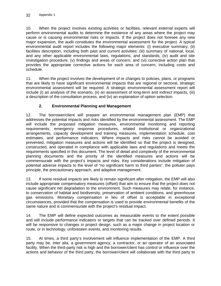10. When the project involves existing activities or facilities, relevant external experts will perform environmental audits to determine the existence of any areas where the project may cause or is causing environmental risks or impacts. If the project does not foresee any new major expansion, the audit constitutes the environmental assessment for the project. A typical environmental audit report includes the following major elements: (i) executive summary; (ii) facilities description, including both past and current activities; (iii) summary of national, local, and any other applicable environmental laws, regulations, and standards; (iv) audit and site investigation procedure; (v) findings and areas of concern; and (vi) corrective action plan that provides the appropriate corrective actions for each area of concern, including costs and schedule.

11. When the project involves the development of or changes to policies, plans, or programs that are likely to have significant environmental impacts that are regional or sectoral, strategic environmental assessment will be required. A strategic environmental assessment report will include (i) an analysis of the scenario, (ii) an assessment of long-term and indirect impacts, (iii) a description of the consultation process, and (iv) an explanation of option selection.

# **2. Environmental Planning and Management**

12. The borrower/client will prepare an environmental management plan (EMP) that addresses the potential impacts and risks identified by the environmental assessment. The EMP will include the proposed mitigation measures, environmental monitoring and reporting requirements, emergency response procedures, related institutional or organizational arrangements, capacity development and training measures, implementation schedule, cost estimates, and performance indicators. Where impacts and risks cannot be avoided or prevented, mitigation measures and actions will be identified so that the project is designed, constructed, and operated in compliance with applicable laws and regulations and meets the requirements specified in this document. The level of detail and complexity of the environmental planning documents and the priority of the identified measures and actions will be commensurate with the project's impacts and risks. Key considerations include mitigation of potential adverse impacts to the level of "no significant harm to third parties", the polluter pays principle, the precautionary approach, and adaptive management.

13. If some residual impacts are likely to remain significant after mitigation, the EMP will also include appropriate compensatory measures (offset) that aim to ensure that the project does not cause significant net degradation to the environment. Such measures may relate, for instance, to conservation of habitat and biodiversity, preservation of ambient conditions, and greenhouse gas emissions. Monetary compensation in lieu of offset is acceptable in exceptional circumstances, provided that the compensation is used to provide environmental benefits of the same nature and is commensurate with the project's residual impact.

14. The EMP will define expected outcomes as measurable events to the extent possible and will include performance indicators or targets that can be tracked over defined periods. It will be responsive to changes in project design, such as a major change in project location or route, or in technology, unforeseen events, and monitoring results.

15. At times, a third party's involvement will influence implementation of the EMP. A third party may be, inter alia, a government agency, a contractor, or an operator of an associated facility. When the third-party risk is high and the borrower/client has control or influence over the actions and behavior of the third party, the borrower/client will collaborate with the third party to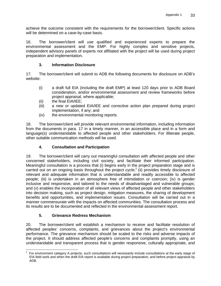achieve the outcome consistent with the requirements for the borrower/client. Specific actions will be determined on a case-by-case basis.

16. The borrower/client will use qualified and experienced experts to prepare the environmental assessment and the EMP. For highly complex and sensitive projects, independent advisory panels of experts not affiliated with the project will be used during project preparation and implementation.

### **3. Information Disclosure**

17. The borrower/client will submit to ADB the following documents for disclosure on ADB's website:

- (i) a draft full EIA (including the draft EMP) at least 120 days prior to ADB Board consideration, and/or environmental assessment and review frameworks before project appraisal, where applicable;
- (ii) the final EIA/IEE;
- (iii) a new or updated EIA/IEE and corrective action plan prepared during project implementation, if any; and
- (iv) the environmental monitoring reports.

18. The borrower/client will provide relevant environmental information, including information from the documents in para. 17 in a timely manner, in an accessible place and in a form and language(s) understandable to affected people and other stakeholders. For illiterate people, other suitable communication methods will be used.

## **4. Consultation and Participation**

19. The borrower/client will carry out meaningful consultation with affected people and other concerned stakeholders, including civil society, and facilitate their informed participation. Meaningful consultation is a process that (i) begins early in the project preparation stage and is carried out on an ongoing basis throughout the project cycle;<sup>1</sup> (ii) provides timely disclosure of relevant and adequate information that is understandable and readily accessible to affected people; (iii) is undertaken in an atmosphere free of intimidation or coercion; (iv) is gender inclusive and responsive, and tailored to the needs of disadvantaged and vulnerable groups; and (v) enables the incorporation of all relevant views of affected people and other stakeholders into decision making, such as project design, mitigation measures, the sharing of development benefits and opportunities, and implementation issues. Consultation will be carried out in a manner commensurate with the impacts on affected communities. The consultation process and its results are to be documented and reflected in the environmental assessment report.

#### **5. Grievance Redress Mechanism**

20. The borrower/client will establish a mechanism to receive and facilitate resolution of affected peoples' concerns, complaints, and grievances about the project's environmental performance. The grievance mechanism should be scaled to the risks and adverse impacts of the project. It should address affected people's concerns and complaints promptly, using an understandable and transparent process that is gender responsive, culturally appropriate, and

 1 For environment category A projects, such consultations will necessarily include consultations at the early stage of EIA field work and when the draft EIA report is available during project preparation, and before project appraisal by ADB.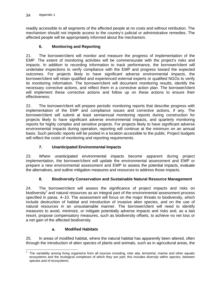readily accessible to all segments of the affected people at no costs and without retribution. The mechanism should not impede access to the country's judicial or administrative remedies. The affected people will be appropriately informed about the mechanism.

## **6. Monitoring and Reporting**

21. The borrower/client will monitor and measure the progress of implementation of the EMP. The extent of monitoring activities will be commensurate with the project's risks and impacts. In addition to recording information to track performance, the borrower/client will undertake inspections to verify compliance with the EMP and progress toward the expected outcomes. For projects likely to have significant adverse environmental impacts, the borrower/client will retain qualified and experienced external experts or qualified NGOs to verify its monitoring information. The borrower/client will document monitoring results, identify the necessary corrective actions, and reflect them in a corrective action plan. The borrower/client will implement these corrective actions and follow up on these actions to ensure their effectiveness.

22. The borrower/client will prepare periodic monitoring reports that describe progress with implementation of the EMP and compliance issues and corrective actions, if any. The borrower/client will submit at least semiannual monitoring reports during construction for projects likely to have significant adverse environmental impacts, and quarterly monitoring reports for highly complex and sensitive projects. For projects likely to have significant adverse environmental impacts during operation, reporting will continue at the minimum on an annual basis. Such periodic reports will be posted in a location accessible to the public. Project budgets will reflect the costs of monitoring and reporting requirements.

## **7. Unanticipated Environmental Impacts**

23. Where unanticipated environmental impacts become apparent during project implementation, the borrower/client will update the environmental assessment and EMP or prepare a new environmental assessment and EMP to assess the potential impacts, evaluate the alternatives, and outline mitigation measures and resources to address those impacts.

## **8. Biodiversity Conservation and Sustainable Natural Resource Management**

24. The borrower/client will assess the significance of project impacts and risks on biodiversity<sup>2</sup> and natural resources as an integral part of the environmental assessment process specified in paras. 4–10. The assessment will focus on the major threats to biodiversity, which include destruction of habitat and introduction of invasive alien species, and on the use of natural resources in an unsustainable manner. The borrower/client will need to identify measures to avoid, minimize, or mitigate potentially adverse impacts and risks and, as a last resort, propose compensatory measures, such as biodiversity offsets, to achieve no net loss or a net gain of the affected biodiversity.

#### **a. Modified Habitats**

25. In areas of modified habitat, where the natural habitat has apparently been altered, often through the introduction of alien species of plants and animals, such as in agricultural areas, the

**EXENDED THE VARKS TO THE VIDEO THE VIDEO THE VIDEO THE VIDEO THE VIDEO THE VIDEO THE VIDEO THE VIDEO THE VIDEO**<br><sup>2</sup> The variability among living organisms from all sources including, inter alia, terrestrial, marine and ot ecosystems and the ecological complexes of which they are part; this includes diversity within species, between species and of ecosystems.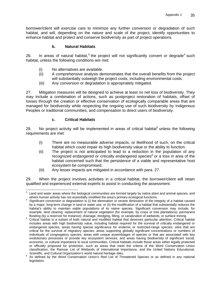borrower/client will exercise care to minimize any further conversion or degradation of such habitat, and will, depending on the nature and scale of the project, identify opportunities to enhance habitat and protect and conserve biodiversity as part of project operations.

### **b. Natural Habitats**

26. In areas of natural habitat,<sup>3</sup> the project will not significantly convert or degrade<sup>4</sup> such habitat, unless the following conditions are met:

- (i) No alternatives are available.
- (ii) A comprehensive analysis demonstrates that the overall benefits from the project will substantially outweigh the project costs, including environmental costs.
- (iii) Any conversion or degradation is appropriately mitigated.

27. Mitigation measures will be designed to achieve at least no net loss of biodiversity. They may include a combination of actions, such as postproject restoration of habitats, offset of losses through the creation or effective conservation of ecologically comparable areas that are managed for biodiversity while respecting the ongoing use of such biodiversity by Indigenous Peoples or traditional communities, and compensation to direct users of biodiversity.

### **c. Critical Habitats**

28. No project activity will be implemented in areas of critical habitat<sup>5</sup> unless the following requirements are met:

- (i) There are no measurable adverse impacts, or likelihood of such, on the critical habitat which could impair its high biodiversity value or the ability to function.
- (ii) The project is not anticipated to lead to a reduction in the population of any recognized endangered or critically endangered species $^6$  or a loss in area of the habitat concerned such that the persistence of a viable and representative host ecosystem be compromised.
- (iii) Any lesser impacts are mitigated in accordance with para. 27.

29. When the project involves activities in a critical habitat, the borrower/client will retain qualified and experienced external experts to assist in conducting the assessment.

 3 Land and water areas where the biological communities are formed largely by native plant and animal species, and

where human activity has not essentially modified the area's primary ecological functions.<br><sup>4</sup> Significant conversion or degradation is (i) the elimination or severe diminution of the integrity of a habitat caused by a major, long-term change in land or water use; or (ii) the modification of a habitat that substantially reduces the habitat's ability to maintain viable populations of its native species. Significant conversion may include, for example, land clearing; replacement of natural vegetation (for example, by crops or tree plantations); permanent flooding (by a reservoir for instance); drainage, dredging, filling, or canalization of wetlands; or surface

flooding (by a reservoir for instance); drainage, dredging, filling, or canalization of wetlands; or surface mining.<br><sup>5</sup> Critical habitat is a subset of both natural and modified habitat that deserves particular attention. includes areas with high biodiversity value, including habitat required for the survival of critically endangered or endangered species; areas having special significance for endemic or restricted-range species; sites that are critical for the survival of migratory species; areas supporting globally significant concentrations or numbers of individuals of congregatory species; areas with unique assemblages of species or that are associated with key evolutionary processes or provide key ecosystem services; and areas having biodiversity of significant social, economic, or cultural importance to local communities. Critical habitats include those areas either legally protected or officially proposed for protection, such as areas that meet the criteria of the Word Conservation Union classification, the Ramsar List of Wetlands of International Importance, and the United Nations Educational, Scientific, and Cultural Organization's world natural heritage sites.<br><sup>6</sup> As defined by the Word Conservation Union's Pod List of Three

As defined by the Word Conservation Union's Red List of Threatened Species or as defined in any national legislation.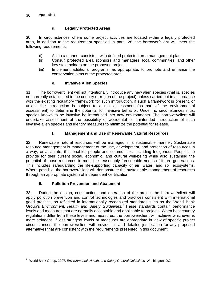## **d. Legally Protected Areas**

30. In circumstances where some project activities are located within a legally protected area, in addition to the requirement specified in para. 28, the borrower/client will meet the following requirements:

- (i) Act in a manner consistent with defined protected area management plans.
- (ii) Consult protected area sponsors and managers, local communities, and other key stakeholders on the proposed project.
- (iii) Implement additional programs, as appropriate, to promote and enhance the conservation aims of the protected area.

#### **e. Invasive Alien Species**

31. The borrower/client will not intentionally introduce any new alien species (that is, species not currently established in the country or region of the project) unless carried out in accordance with the existing regulatory framework for such introduction, if such a framework is present, or unless the introduction is subject to a risk assessment (as part of the environmental assessment) to determine the potential for invasive behavior. Under no circumstances must species known to be invasive be introduced into new environments. The borrower/client will undertake assessment of the possibility of accidental or unintended introduction of such invasive alien species and identify measures to minimize the potential for release.

### **f. Management and Use of Renewable Natural Resources**

32. Renewable natural resources will be managed in a sustainable manner. Sustainable resource management is management of the use, development, and protection of resources in a way, or at a rate, that enables people and communities, including Indigenous Peoples, to provide for their current social, economic, and cultural well-being while also sustaining the potential of those resources to meet the reasonably foreseeable needs of future generations. This includes safeguarding the life-supporting capacity of air, water, and soil ecosystems. Where possible, the borrower/client will demonstrate the sustainable management of resources through an appropriate system of independent certification.

## **9. Pollution Prevention and Abatement**

33. During the design, construction, and operation of the project the borrower/client will apply pollution prevention and control technologies and practices consistent with international good practice, as reflected in internationally recognized standards such as the World Bank Group's *Environment, Health and Safety Guidelines.*<sup>7</sup> These standards contain performance levels and measures that are normally acceptable and applicable to projects. When host country regulations differ from these levels and measures, the borrower/client will achieve whichever is more stringent. If less stringent levels or measures are appropriate in view of specific project circumstances, the borrower/client will provide full and detailed justification for any proposed alternatives that are consistent with the requirements presented in this document.

 7 World Bank Group, 2007. *Environmental, Health, and Safety General Guidelines.* Washington, DC.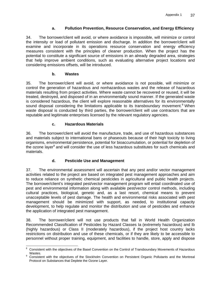## **a. Pollution Prevention, Resource Conservation, and Energy Efficiency**

34. The borrower/client will avoid, or where avoidance is impossible, will minimize or control the intensity or load of pollutant emission and discharge. In addition the borrower/client will examine and incorporate in its operations resource conservation and energy efficiency measures consistent with the principles of cleaner production. When the project has the potential to constitute a significant source of emissions in an already degraded area, strategies that help improve ambient conditions, such as evaluating alternative project locations and considering emissions offsets, will be introduced.

## **b. Wastes**

35. The borrower/client will avoid, or where avoidance is not possible, will minimize or control the generation of hazardous and nonhazardous wastes and the release of hazardous materials resulting from project activities. Where waste cannot be recovered or reused, it will be treated, destroyed, and disposed of in an environmentally sound manner. If the generated waste is considered hazardous, the client will explore reasonable alternatives for its environmentally sound disposal considering the limitations applicable to its transboundary movement.<sup>8</sup> When waste disposal is conducted by third parties, the borrower/client will use contractors that are reputable and legitimate enterprises licensed by the relevant regulatory agencies.

# **c. Hazardous Materials**

36. The borrower/client will avoid the manufacture, trade, and use of hazardous substances and materials subject to international bans or phaseouts because of their high toxicity to living organisms, environmental persistence, potential for bioaccumulation, or potential for depletion of the ozone layer<sup>9</sup> and will consider the use of less hazardous substitutes for such chemicals and materials.

# **d. Pesticide Use and Management**

37. The environmental assessment will ascertain that any pest and/or vector management activities related to the project are based on integrated pest management approaches and aim to reduce reliance on synthetic chemical pesticides in agricultural and public health projects. The borrower/client's integrated pest/vector management program will entail coordinated use of pest and environmental information along with available pest/vector control methods, including cultural practices, biological, genetic and, as a last resort, chemical means to prevent unacceptable levels of pest damage. The health and environmental risks associated with pest management should be minimized with support, as needed, to institutional capacity development, to help regulate and monitor the distribution and use of pesticides and enhance the application of integrated pest management.

38. The borrower/client will not use products that fall in World Health Organization Recommended Classification of Pesticides by Hazard Classes Ia (extremely hazardous) and Ib (highly hazardous) or Class II (moderately hazardous), if the project host country lacks restrictions on distribution and use of these chemicals, or if they are likely to be accessible to personnel without proper training, equipment, and facilities to handle, store, apply and dispose

 8 Consistent with the objectives of the Basel Convention on the Control of Transboundary Movements of Hazardous Wastes.

Consistent with the objectives of the Stockholm Convention on Persistent Organic Pollutants and the Montreal Protocol on Substances that Deplete the Ozone Layer.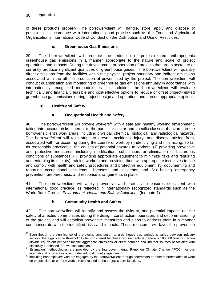of these products properly. The borrower/client will handle, store, apply and dispose of pesticides in accordance with international good practice such as the Food and Agricultural Organization's International Code of Conduct on the Distribution and Use of Pesticides.

### **e. Greenhouse Gas Emissions**

39. The borrower/client will promote the reduction of project-related anthropogenic greenhouse gas emissions in a manner appropriate to the nature and scale of project operations and impacts. During the development or operation of projects that are expected to or currently produce significant quantities of greenhouse gases,<sup>10</sup> the borrower/client will quantify direct emissions from the facilities within the physical project boundary and indirect emissions associated with the off-site production of power used by the project. The borrower/client will conduct quantification and monitoring of greenhouse gas emissions annually in accordance with internationally recognized methodologies.<sup>11</sup> In addition, the borrower/client will evaluate technically and financially feasible and cost-effective options to reduce or offset project-related greenhouse gas emissions during project design and operation, and pursue appropriate options.

#### **10. Health and Safety**

## **a. Occupational Health and Safety**

40. The borrower/client will provide workers<sup>12</sup> with a safe and healthy working environment, taking into account risks inherent to the particular sector and specific classes of hazards in the borrower's/client's work areas, including physical, chemical, biological, and radiological hazards. The borrower/client will take steps to prevent accidents, injury, and disease arising from, associated with, or occurring during the course of work by (i) identifying and minimizing, so far as reasonably practicable, the causes of potential hazards to workers; (ii) providing preventive and protective measures, including modification, substitution, or elimination of hazardous conditions or substances; (iii) providing appropriate equipment to minimize risks and requiring and enforcing its use; (iv) training workers and providing them with appropriate incentives to use and comply with health and safety procedures and protective equipment; (v) documenting and reporting occupational accidents, diseases, and incidents; and (vi) having emergency prevention, preparedness, and response arrangements in place.

41. The borrower/client will apply preventive and protective measures consistent with international good practice, as reflected in internationally recognized standards such as the World Bank Group's *Environment, Health and Safety Guidelines* (footnote 7)*.*

## **b. Community Health and Safety**

42. The borrower/client will identify and assess the risks to, and potential impacts on, the safety of affected communities during the design, construction, operation, and decommissioning of the project, and will establish preventive measures and plans to address them in a manner commensurate with the identified risks and impacts. These measures will favor the prevention

<sup>-</sup> $10$  Even though the significance of a project's contribution to greenhouse gas emissions varies between industry sectors, the significance threshold to be considered for these requirements is generally 100,000 tons of carbon dioxide equivalent per year for the aggregate emissions of direct sources and indirect sources associated with<br>electricity purchased for own consumption.

electricity purchased for own consumption.<br>
11 Estimation methodologies are provided by the Intergovernmental Panel on Climate Change (IPCC), various<br>
international organizations, and relevant host country agencies.

international organizations, and relevant host country agencies. 12 Including nonemployee workers engaged by the borrower/client through contractors or other intermediaries to work on project sites or perform work directly related to the project's core functions.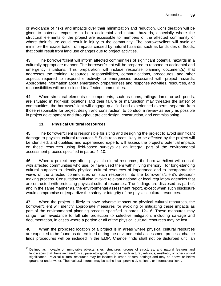or avoidance of risks and impacts over their minimization and reduction. Consideration will be given to potential exposure to both accidental and natural hazards, especially where the structural elements of the project are accessible to members of the affected community or where their failure could result in injury to the community. The borrower/client will avoid or minimize the exacerbation of impacts caused by natural hazards, such as landslides or floods, that could result from land use changes due to project activities.

43. The borrower/client will inform affected communities of significant potential hazards in a culturally appropriate manner. The borrower/client will be prepared to respond to accidental and emergency situations. This preparation will include response planning document(s) that addresses the training, resources, responsibilities, communications, procedures, and other aspects required to respond effectively to emergencies associated with project hazards. Appropriate information about emergency preparedness and response activities, resources, and responsibilities will be disclosed to affected communities.

44. When structural elements or components, such as dams, tailings dams, or ash ponds, are situated in high-risk locations and their failure or malfunction may threaten the safety of communities, the borrower/client will engage qualified and experienced experts, separate from those responsible for project design and construction, to conduct a review as early as possible in project development and throughout project design, construction, and commissioning.

# **11. Physical Cultural Resources**

45. The borrower/client is responsible for siting and designing the project to avoid significant damage to physical cultural resources.<sup>13</sup> Such resources likely to be affected by the project will be identified, and qualified and experienced experts will assess the project's potential impacts on these resources using field-based surveys as an integral part of the environmental assessment process specified in paras. 4–10.

46. When a project may affect physical cultural resources, the borrower/client will consult with affected communities who use, or have used them within living memory, for long-standing cultural purposes to identify physical cultural resources of importance and to incorporate the views of the affected communities on such resources into the borrower's/client's decisionmaking process. Consultation will also involve relevant national or local regulatory agencies that are entrusted with protecting physical cultural resources. The findings are disclosed as part of, and in the same manner as, the environmental assessment report, except when such disclosure would compromise or jeopardize the safety or integrity of the physical cultural resources.

47. When the project is likely to have adverse impacts on physical cultural resources, the borrower/client will identify appropriate measures for avoiding or mitigating these impacts as part of the environmental planning process specified in paras. 12–16. These measures may range from avoidance to full site protection to selective mitigation, including salvage and documentation, in cases where a portion or all of the physical cultural resources may be lost.

48. When the proposed location of a project is in areas where physical cultural resources are expected to be found as determined during the environmental assessment process, chance finds procedures will be included in the EMP. Chance finds shall not be disturbed until an

 <sup>13</sup> Defined as movable or immovable objects, sites, structures, groups of structures, and natural features and landscapes that have archaeological, paleontological, historical, architectural, religious, aesthetic, or other cultural significance. Physical cultural resources may be located in urban or rural settings and may be above or below ground or under water. Their cultural interest may be at the local, provincial, national, or international level.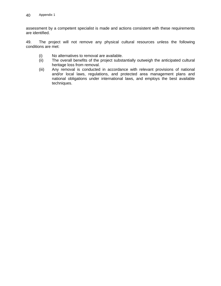assessment by a competent specialist is made and actions consistent with these requirements are identified.

49. The project will not remove any physical cultural resources unless the following conditions are met:

- (i) No alternatives to removal are available.
- (ii) The overall benefits of the project substantially outweigh the anticipated cultural heritage loss from removal.
- (iii) Any removal is conducted in accordance with relevant provisions of national and/or local laws, regulations, and protected area management plans and national obligations under international laws, and employs the best available techniques.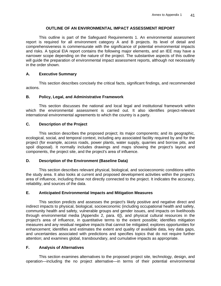#### **OUTLINE OF AN ENVIRONMENTAL IMPACT ASSESSMENT REPORT**

This outline is part of the Safeguard Requirements 1. An environmental assessment report is required for all environment category A and B projects. Its level of detail and comprehensiveness is commensurate with the significance of potential environmental impacts and risks. A typical EIA report contains the following major elements, and an IEE may have a narrower scope depending on the nature of the project. The substantive aspects of this outline will guide the preparation of environmental impact assessment reports, although not necessarily in the order shown.

### **A. Executive Summary**

This section describes concisely the critical facts, significant findings, and recommended actions.

#### **B. Policy, Legal, and Administrative Framework**

This section discusses the national and local legal and institutional framework within which the environmental assessment is carried out. It also identifies project-relevant international environmental agreements to which the country is a party.

### **C. Description of the Project**

This section describes the proposed project; its major components; and its geographic, ecological, social, and temporal context, including any associated facility required by and for the project (for example, access roads, power plants, water supply, quarries and borrow pits, and spoil disposal). It normally includes drawings and maps showing the project's layout and components, the project site, and the project's area of influence.

#### **D. Description of the Environment (Baseline Data)**

This section describes relevant physical, biological, and socioeconomic conditions within the study area. It also looks at current and proposed development activities within the project's area of influence, including those not directly connected to the project. It indicates the accuracy, reliability, and sources of the data.

#### **E. Anticipated Environmental Impacts and Mitigation Measures**

This section predicts and assesses the project's likely positive and negative direct and indirect impacts to physical, biological, socioeconomic (including occupational health and safety, community health and safety, vulnerable groups and gender issues, and impacts on livelihoods through environmental media [Appendix 2, para. 6]), and physical cultural resources in the project's area of influence, in quantitative terms to the extent possible; identifies mitigation measures and any residual negative impacts that cannot be mitigated; explores opportunities for enhancement; identifies and estimates the extent and quality of available data, key data gaps, and uncertainties associated with predictions and specifies topics that do not require further attention; and examines global, transboundary, and cumulative impacts as appropriate.

#### **F. Analysis of Alternatives**

This section examines alternatives to the proposed project site, technology, design, and operation—including the no project alternative—in terms of their potential environmental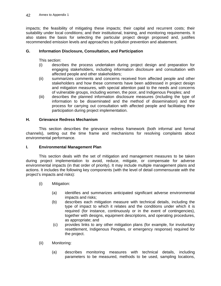impacts; the feasibility of mitigating these impacts; their capital and recurrent costs; their suitability under local conditions; and their institutional, training, and monitoring requirements. It also states the basis for selecting the particular project design proposed and, justifies recommended emission levels and approaches to pollution prevention and abatement.

### **G. Information Disclosure, Consultation, and Participation**

This section:

- (i) describes the process undertaken during project design and preparation for engaging stakeholders, including information disclosure and consultation with affected people and other stakeholders;
- (ii) summarizes comments and concerns received from affected people and other stakeholders and how these comments have been addressed in project design and mitigation measures, with special attention paid to the needs and concerns of vulnerable groups, including women, the poor, and Indigenous Peoples; and
- (iii) describes the planned information disclosure measures (including the type of information to be disseminated and the method of dissemination) and the process for carrying out consultation with affected people and facilitating their participation during project implementation.

#### **H. Grievance Redress Mechanism**

This section describes the grievance redress framework (both informal and formal channels), setting out the time frame and mechanisms for resolving complaints about environmental performance.

#### **I. Environmental Management Plan**

This section deals with the set of mitigation and management measures to be taken during project implementation to avoid, reduce, mitigate, or compensate for adverse environmental impacts (in that order of priority). It may include multiple management plans and actions. It includes the following key components (with the level of detail commensurate with the project's impacts and risks):

- (i) Mitigation:
	- (a) identifies and summarizes anticipated significant adverse environmental impacts and risks;
	- (b) describes each mitigation measure with technical details, including the type of impact to which it relates and the conditions under which it is required (for instance, continuously or in the event of contingencies), together with designs, equipment descriptions, and operating procedures, as appropriate; and
	- (c) provides links to any other mitigation plans (for example, for involuntary resettlement, Indigenous Peoples, or emergency response) required for the project.
- (ii) Monitoring:
	- (a) describes monitoring measures with technical details, including parameters to be measured, methods to be used, sampling locations,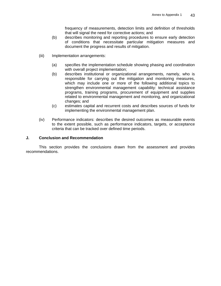frequency of measurements, detection limits and definition of thresholds that will signal the need for corrective actions; and

- (b) describes monitoring and reporting procedures to ensure early detection of conditions that necessitate particular mitigation measures and document the progress and results of mitigation.
- (iii) Implementation arrangements:
	- (a) specifies the implementation schedule showing phasing and coordination with overall project implementation;
	- (b) describes institutional or organizational arrangements, namely, who is responsible for carrying out the mitigation and monitoring measures, which may include one or more of the following additional topics to strengthen environmental management capability: technical assistance programs, training programs, procurement of equipment and supplies related to environmental management and monitoring, and organizational changes; and
	- (c) estimates capital and recurrent costs and describes sources of funds for implementing the environmental management plan.
- (iv) Performance indicators: describes the desired outcomes as measurable events to the extent possible, such as performance indicators, targets, or acceptance criteria that can be tracked over defined time periods.

#### **J. Conclusion and Recommendation**

This section provides the conclusions drawn from the assessment and provides recommendations.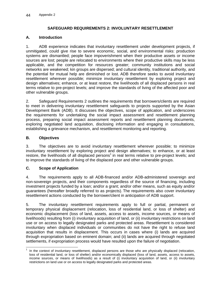### **SAFEGUARD REQUIREMENTS 2: INVOLUNTARY RESETTLEMENT**

#### **A. Introduction**

1. ADB experience indicates that involuntary resettlement under development projects, if unmitigated, could give rise to severe economic, social, and environmental risks: production systems are dismantled; people face impoverishment when their productive assets or income sources are lost; people are relocated to environments where their productive skills may be less applicable, and the competition for resources greater; community institutions and social networks are weakened; kin groups are dispersed; and cultural identity, traditional authority, and the potential for mutual help are diminished or lost. ADB therefore seeks to avoid involuntary resettlement wherever possible; minimize involuntary resettlement by exploring project and design alternatives; enhance, or at least restore, the livelihoods of all displaced persons in real terms relative to pre-project levels; and improve the standards of living of the affected poor and other vulnerable groups.

2. Safeguard Requirements 2 outlines the requirements that borrowers/clients are required to meet in delivering involuntary resettlement safeguards to projects supported by the Asian Development Bank (ADB). It discusses the objectives, scope of application, and underscores the requirements for undertaking the social impact assessment and resettlement planning process, preparing social impact assessment reports and resettlement planning documents, exploring negotiated land acquisition, disclosing information and engaging in consultations, establishing a grievance mechanism, and resettlement monitoring and reporting.

### **B. Objectives**

3. The objectives are to avoid involuntary resettlement wherever possible; to minimize involuntary resettlement by exploring project and design alternatives; to enhance, or at least restore, the livelihoods of all displaced persons<sup>1</sup> in real terms relative to pre-project levels; and to improve the standards of living of the displaced poor and other vulnerable groups.

#### **C. Scope of Application**

4. The requirements apply to all ADB-financed and/or ADB-administered sovereign and non-sovereign projects, and their components regardless of the source of financing, including investment projects funded by a loan; and/or a grant; and/or other means, such as equity and/or guarantees (hereafter broadly referred to as projects). The requirements also cover involuntary resettlement actions conducted by the borrower/client in anticipation of ADB support.

5. The involuntary resettlement requirements apply to full or partial, permanent or temporary physical displacement (relocation, loss of residential land, or loss of shelter) and economic displacement (loss of land, assets, access to assets, income sources, or means of livelihoods) resulting from (i) involuntary acquisition of land, or (ii) involuntary restrictions on land use or on access to legally designated parks and protected areas. Resettlement is considered involuntary when displaced individuals or communities do not have the right to refuse land acquisition that results in displacement. This occurs in cases where (i) lands are acquired through expropriation based on eminent domain; and (ii) lands are acquired through negotiated settlements, if expropriation process would have resulted upon the failure of negotiation.

<sup>-</sup>1 In the context of involuntary resettlement, displaced persons are those who are physically displaced (relocation, loss of residential land, or loss of shelter) and/or economically displaced (loss of land, assets, access to assets, income sources, or means of livelihoods) as a result of (i) involuntary acquisition of land, or (ii) involuntary restrictions on land use or on access to legally designated parks and protected areas.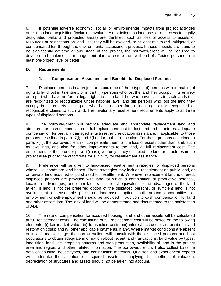6. If potential adverse economic, social, or environmental impacts from project activities other than land acquisition (including involuntary restrictions on land use, or on access to legally designated parks and protected areas) are identified, such as loss of access to assets or resources or restrictions on land use, they will be avoided, or at least minimized, mitigated, or compensated for, through the environmental assessment process. If these impacts are found to be significantly adverse at any stage of the project, the borrower/client will be required to develop and implement a management plan to restore the livelihood of affected persons to at least pre-project level or better.

### **D. Requirements**

## **1. Compensation, Assistance and Benefits for Displaced Persons**

7. Displaced persons in a project area could be of three types: (i) persons with formal legal rights to land lost in its entirety or in part; (ii) persons who lost the land they occupy in its entirety or in part who have no formal legal rights to such land, but who have claims to such lands that are recognized or recognizable under national laws; and (iii) persons who lost the land they occupy in its entirety or in part who have neither formal legal rights nor recognized or recognizable claims to such land. The involuntary resettlement requirements apply to all three types of displaced persons.

8. The borrower/client will provide adequate and appropriate replacement land and structures or cash compensation at full replacement cost for lost land and structures, adequate compensation for partially damaged structures, and relocation assistance, if applicable, to those persons described in para. 7(i) and 7(ii) prior to their relocation. For those persons described in para. 7(iii), the borrower/client will compensate them for the loss of assets other than land, such as dwellings, and also for other improvements to the land, at full replacement cost. The entitlements of those under para. 7(iii) is given only if they occupied the land or structures in the project area prior to the cutoff date for eligibility for resettlement assistance.

9. Preference will be given to land-based resettlement strategies for displaced persons whose livelihoods are land-based. These strategies may include resettlement on public land, or on private land acquired or purchased for resettlement. Whenever replacement land is offered, displaced persons are provided with land for which a combination of productive potential, locational advantages, and other factors is at least equivalent to the advantages of the land taken. If land is not the preferred option of the displaced persons, or sufficient land is not available at a reasonable price, non-land-based options built around opportunities for employment or self-employment should be provided in addition to cash compensation for land and other assets lost. The lack of land will be demonstrated and documented to the satisfaction of ADB.

10. The rate of compensation for acquired housing, land and other assets will be calculated at full replacement costs. The calculation of full replacement cost will be based on the following elements: (i) fair market value; (ii) transaction costs; (iii) interest accrued, (iv) transitional and restoration costs; and (v) other applicable payments, if any. Where market conditions are absent or in a formative stage, the borrower/client will consult with the displaced persons and host populations to obtain adequate information about recent land transactions, land value by types, land titles, land use, cropping patterns and crop production, availability of land in the project area and region, and other related information. The borrower/client will also collect baseline data on housing, house types, and construction materials. Qualified and experienced experts will undertake the valuation of acquired assets. In applying this method of valuation, depreciation of structures and assets should not be taken into account.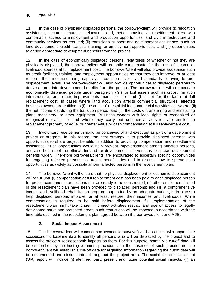11. In the case of physically displaced persons, the borrower/client will provide (i) relocation assistance, secured tenure to relocation land, better housing at resettlement sites with comparable access to employment and production opportunities, and civic infrastructure and community services as required; (ii) transitional support and development assistance, such as land development, credit facilities, training, or employment opportunities; and (iii) opportunities to derive appropriate development benefits from the project.

12. In the case of economically displaced persons, regardless of whether or not they are physically displaced, the borrower/client will promptly compensate for the loss of income or livelihood sources at full replacement cost. The borrower/client will also provide assistance such as credit facilities, training, and employment opportunities so that they can improve, or at least restore, their income-earning capacity, production levels, and standards of living to predisplacement levels. The borrower/client will also provide opportunities to displaced persons to derive appropriate development benefits from the project. The borrower/client will compensate economically displaced people under paragraph 7(iii) for lost assets such as crops, irrigation infrastructure, and other improvements made to the land (but not for the land) at full replacement cost. In cases where land acquisition affects commercial structures, affected business owners are entitled to (i) the costs of reestablishing commercial activities elsewhere; (ii) the net income lost during the transition period; and (iii) the costs of transferring and reinstalling plant, machinery, or other equipment. Business owners with legal rights or recognized or recognizable claims to land where they carry out commercial activities are entitled to replacement property of equal or greater value or cash compensation at full replacement cost.

13. Involuntary resettlement should be conceived of and executed as part of a development project or program. In this regard, the best strategy is to provide displaced persons with opportunities to share project benefits in addition to providing compensation and resettlement assistance. Such opportunities would help prevent impoverishment among affected persons, and also help meet the ethical demand for development interventions to spread development benefits widely. Therefore borrowers/clients are encouraged to ascertain specific opportunities for engaging affected persons as project beneficiaries and to discuss how to spread such opportunities as widely as possible among affected persons in the resettlement plan.

14. The borrower/client will ensure that no physical displacement or economic displacement will occur until (i) compensation at full replacement cost has been paid to each displaced person for project components or sections that are ready to be constructed; (ii) other entitlements listed in the resettlement plan have been provided to displaced persons; and (iii) a comprehensive income and livelihood rehabilitation program, supported by an adequate budget, is in place to help displaced persons improve, or at least restore, their incomes and livelihoods. While compensation is required to be paid before displacement, full implementation of the resettlement plan might take longer. If project activities restrict land use or access to legally designated parks and protected areas, such restrictions will be imposed in accordance with the timetable outlined in the resettlement plan agreed between the borrower/client and ADB.

## **2. Social Impact Assessment**

15. The borrower/client will conduct socioeconomic survey(s) and a census, with appropriate socioeconomic baseline data to identify all persons who will be displaced by the project and to assess the project's socioeconomic impacts on them. For this purpose, normally a cut-off date will be established by the host government procedures. In the absence of such procedures, the borrower/client will establish a cut-off date for eligibility. Information regarding the cutoff date will be documented and disseminated throughout the project area. The social impact assessment (SIA) report will include (i) identified past, present and future potential social impacts, (ii) an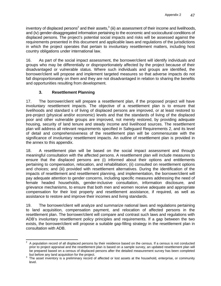inventory of displaced persons<sup>2</sup> and their assets,<sup>3</sup> (iii) an assessment of their income and livelihoods, and (iv) gender-disaggregated information pertaining to the economic and sociocultural conditions of displaced persons. The project's potential social impacts and risks will be assessed against the requirements presented in this document and applicable laws and regulations of the jurisdictions in which the project operates that pertain to involuntary resettlement matters, including host country obligations under international law.

16. As part of the social impact assessment, the borrower/client will identify individuals and groups who may be differentially or disproportionately affected by the project because of their disadvantaged or vulnerable status. Where such individuals and groups are identified, the borrower/client will propose and implement targeted measures so that adverse impacts do not fall disproportionately on them and they are not disadvantaged in relation to sharing the benefits and opportunities resulting from development.

# **3. Resettlement Planning**

17. The borrower/client will prepare a resettlement plan, if the proposed project will have involuntary resettlement impacts. The objective of a resettlement plan is to ensure that livelihoods and standard s of living of displaced persons are improved, or at least restored to pre-project (physical and/or economic) levels and that the standards of living of the displaced poor and other vulnerable groups are improved, not merely restored, by providing adequate housing, security of land tenure and steady income and livelihood sources. The resettlement plan will address all relevant requirements specified in Safeguard Requirements 2, and its level of detail and comprehensiveness of the resettlement plan will be commensurate with the significance of involuntary resettlement impacts. An outline of resettlement plan is provided in the annex to this appendix.

18. A resettlement plan will be based on the social impact assessment and through meaningful consultation with the affected persons. A resettlement plan will include measures to ensure that the displaced persons are (i) informed about their options and entitlements pertaining to compensation, relocation, and rehabilitation; (ii) consulted on resettlement options and choices; and (iii) provided with resettlement alternatives. During the identification of the impacts of resettlement and resettlement planning, and implementation, the borrower/client will pay adequate attention to gender concerns, including specific measures addressing the need of female headed households, gender-inclusive consultation, information disclosure, and grievance mechanisms, to ensure that both men and women receive adequate and appropriate compensation for their lost property and resettlement assistance, if required, as well as assistance to restore and improve their incomes and living standards.

19. The borrower/client will analyze and summarize national laws and regulations pertaining to land acquisition, compensation payment, and relocation of affected persons in the resettlement plan. The borrower/client will compare and contrast such laws and regulations with ADB's involuntary resettlement policy principles and requirements. If a gap between the two exists, the borrower/client will propose a suitable gap-filling strategy in the resettlement plan in consultation with ADB.

 $\frac{1}{2}$  A population record of all displaced persons by their residence based on the census. If a census is not conducted prior to project appraisal and the resettlement plan is based on a sample survey, an updated resettlement plan will be prepared based on a census of displaced persons after the detailed measurement survey has been completed but before any land acquisition for the project.

 $3$  The asset inventory is a preliminary record of affected or lost assets at the household, enterprise, or community level.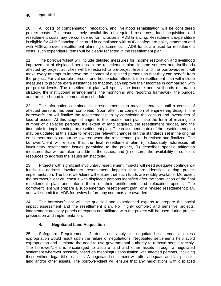20. All costs of compensation, relocation, and livelihood rehabilitation will be considered project costs. To ensure timely availability of required resources, land acquisition and resettlement costs may be considered for inclusion in ADB financing. Resettlement expenditure is eligible for ADB financing if incurred in compliance with ADB's safeguard policy statement and with ADB-approved resettlement planning documents. If ADB funds are used for resettlement costs, such expenditure items will be clearly reflected in the resettlement plan.

21. The borrower/client will include detailed measures for income restoration and livelihood improvement of displaced persons in the resettlement plan. Income sources and livelihoods affected by project activities will be restored to pre-project levels, and the borrower/client will make every attempt to improve the incomes of displaced persons so that they can benefit from the project. For vulnerable persons and households affected, the resettlement plan will include measures to provide extra assistance so that they can improve their incomes in comparison with pre-project levels. The resettlement plan will specify the income and livelihoods restoration strategy, the institutional arrangements, the monitoring and reporting framework, the budget, and the time-bound implementation schedule.

22. The information contained in a resettlement plan may be tentative until a census of affected persons has been completed. Soon after the completion of engineering designs, the borrower/client will finalize the resettlement plan by completing the census and inventories of loss of assets. At this stage, changes to the resettlement plan take the form of revising the number of displaced persons, the extent of land acquired, the resettlement budget, and the timetable for implementing the resettlement plan. The entitlement matrix of the resettlement plan may be updated at this stage to reflect the relevant changes but the standards set in the original entitlement matrix cannot be lowered when the resettlement plan is revised and finalized. The borrower/client will ensure that the final resettlement plan (i) adequately addresses all involuntary resettlement issues pertaining to the project, (ii) describes specific mitigation measures that will be taken to address the issues, and (iii) ensures the availability of sufficient resources to address the issues satisfactorily.

23. Projects with significant involuntary resettlement impacts will need adequate contingency funds to address involuntary resettlement impacts that are identified during project implementation. The borrower/client will ensure that such funds are readily available. Moreover, the borrower/client will consult with displaced persons identified after the formulation of the final resettlement plan and inform them of their entitlements and relocation options. The borrower/client will prepare a supplementary resettlement plan, or a revised resettlement plan, and will submit it to ADB for review before any contracts are awarded.

24. The borrower/client will use qualified and experienced experts to prepare the social impact assessment and the resettlement plan. For highly complex and sensitive projects, independent advisory panels of experts not affiliated with the project will be used during project preparation and implementation.

## **4. Negotiated Land Acquisition**

25. Safeguard Requirements 2 does not apply to negotiated settlements, unless expropriation would result upon the failure of negotiations. Negotiated settlements help avoid expropriation and eliminate the need to use governmental authority to remove people forcibly. The borrower/client is encouraged to acquire land and other assets through a negotiated settlement wherever possible, based on meaningful consultation with affected persons, including those without legal title to assets. A negotiated settlement will offer adequate and fair price for land and/or other assets. The borrower/client will ensure that any negotiations with displaced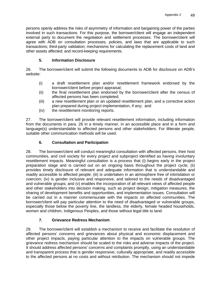persons openly address the risks of asymmetry of information and bargaining power of the parties involved in such transactions. For this purpose, the borrower/client will engage an independent external party to document the negotiation and settlement processes. The borrower/client will agree with ADB on consultation processes, policies, and laws that are applicable to such transactions; third-party validation; mechanisms for calculating the replacement costs of land and other assets affected; and record-keeping requirements.

## **5. Information Disclosure**

26. The borrower/client will submit the following documents to ADB for disclosure on ADB's website:

- (i) a draft resettlement plan and/or resettlement framework endorsed by the borrower/client before project appraisal;
- (ii) the final resettlement plan endorsed by the borrower/client after the census of affected persons has been completed;
- (iii) a new resettlement plan or an updated resettlement plan, and a corrective action plan prepared during project implementation, if any; and
- (iv) the resettlement monitoring reports.

27. The borrower/client will provide relevant resettlement information, including information from the documents in para. 26 in a timely manner, in an accessible place and in a form and language(s) understandable to affected persons and other stakeholders. For illiterate people, suitable other communication methods will be used.

# **6. Consultation and Participation**

28. The borrower/client will conduct meaningful consultation with affected persons, their host communities, and civil society for every project and subproject identified as having involuntary resettlement impacts. Meaningful consultation is a process that (i) begins early in the project preparation stage and is carried out on an ongoing basis throughout the project cycle; (ii) provides timely disclosure of relevant and adequate information that is understandable and readily accessible to affected people; (iii) is undertaken in an atmosphere free of intimidation or coercion; (iv) is gender inclusive and responsive, and tailored to the needs of disadvantaged and vulnerable groups; and (v) enables the incorporation of all relevant views of affected people and other stakeholders into decision making, such as project design, mitigation measures, the sharing of development benefits and opportunities, and implementation issues. Consultation will be carried out in a manner commensurate with the impacts on affected communities. The borrower/client will pay particular attention to the need of disadvantaged or vulnerable groups, especially those below the poverty line, the landless, the elderly, female headed households, women and children, Indigenous Peoples, and those without legal title to land.

## **7. Grievance Redress Mechanism**

29. The borrower/client will establish a mechanism to receive and facilitate the resolution of affected persons' concerns and grievances about physical and economic displacement and other project impacts, paying particular attention to the impacts on vulnerable groups. The grievance redress mechanism should be scaled to the risks and adverse impacts of the project. It should address affected persons' concerns and complaints promptly, using an understandable and transparent process that is gender responsive, culturally appropriate, and readily accessible to the affected persons at no costs and without retribution. The mechanism should not impede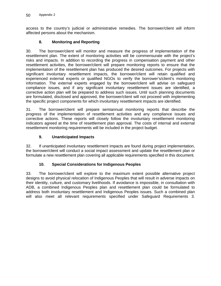access to the country's judicial or administrative remedies. The borrower/client will inform affected persons about the mechanism.

### **8. Monitoring and Reporting**

30. The borrower/client will monitor and measure the progress of implementation of the resettlement plan. The extent of monitoring activities will be commensurate with the project's risks and impacts. In addition to recording the progress in compensation payment and other resettlement activities, the borrower/client will prepare monitoring reports to ensure that the implementation of the resettlement plan has produced the desired outcomes. For projects with significant involuntary resettlement impacts, the borrower/client will retain qualified and experienced external experts or qualified NGOs to verify the borrower's/client's monitoring information. The external experts engaged by the borrower/client will advise on safeguard compliance issues, and if any significant involuntary resettlement issues are identified, a corrective action plan will be prepared to address such issues. Until such planning documents are formulated, disclosed and approved, the borrower/client will not proceed with implementing the specific project components for which involuntary resettlement impacts are identified.

31. The borrower/client will prepare semiannual monitoring reports that describe the progress of the implementation of resettlement activities and any compliance issues and corrective actions. These reports will closely follow the involuntary resettlement monitoring indicators agreed at the time of resettlement plan approval. The costs of internal and external resettlement monitoring requirements will be included in the project budget.

### **9. Unanticipated Impacts**

32. If unanticipated involuntary resettlement impacts are found during project implementation, the borrower/client will conduct a social impact assessment and update the resettlement plan or formulate a new resettlement plan covering all applicable requirements specified in this document.

## **10. Special Considerations for Indigenous Peoples**

33. The borrower/client will explore to the maximum extent possible alternative project designs to avoid physical relocation of Indigenous Peoples that will result in adverse impacts on their identity, culture, and customary livelihoods. If avoidance is impossible, in consultation with ADB, a combined Indigenous Peoples plan and resettlement plan could be formulated to address both involuntary resettlement and Indigenous Peoples issues. Such a combined plan will also meet all relevant requirements specified under Safeguard Requirements 3.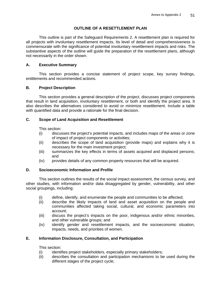## **OUTLINE OF A RESETTLEMENT PLAN**

This outline is part of the Safeguard Requirements 2. A resettlement plan is required for all projects with involuntary resettlement impacts. Its level of detail and comprehensiveness is commensurate with the significance of potential involuntary resettlement impacts and risks. The substantive aspects of the outline will guide the preparation of the resettlement plans, although not necessarily in the order shown.

## **A. Executive Summary**

This section provides a concise statement of project scope, key survey findings, entitlements and recommended actions.

## **B. Project Description**

 This section provides a general description of the project, discusses project components that result in land acquisition, involuntary resettlement, or both and identify the project area. It also describes the alternatives considered to avoid or minimize resettlement. Include a table with quantified data and provide a rationale for the final decision.

## **C. Scope of Land Acquisition and Resettlement**

This section:

- (i) discusses the project's potential impacts, and includes maps of the areas or zone of impact of project components or activities;
- (ii) describes the scope of land acquisition (provide maps) and explains why it is necessary for the main investment project;
- (iii) summarizes the key effects in terms of assets acquired and displaced persons; and
- (iv) provides details of any common property resources that will be acquired.

## **D. Socioeconomic Information and Profile**

This section outlines the results of the social impact assessment, the census survey, and other studies, with information and/or data disaggregated by gender, vulnerability, and other social groupings, including:

- (i) define, identify, and enumerate the people and communities to be affected;<br>(ii) describe the likely impacts of land and asset acquisition on the people
- describe the likely impacts of land and asset acquisition on the people and communities affected taking social, cultural, and economic parameters into account;
- (iii) discuss the project's impacts on the poor, indigenous and/or ethnic minorities, and other vulnerable groups; and
- (iv) identify gender and resettlement impacts, and the socioeconomic situation, impacts, needs, and priorities of women.

## **E. Information Disclosure, Consultation, and Participation**

This section:

- (i) identifies project stakeholders, especially primary stakeholders;
- (ii) describes the consultation and participation mechanisms to be used during the different stages of the project cycle;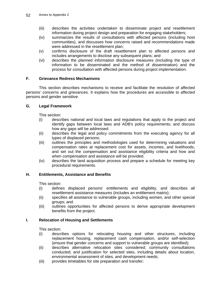- (iii) describes the activities undertaken to disseminate project and resettlement information during project design and preparation for engaging stakeholders;
- (iv) summarizes the results of consultations with affected persons (including host communities), and discusses how concerns raised and recommendations made were addressed in the resettlement plan;
- (v) confirms disclosure of the draft resettlement plan to affected persons and includes arrangements to disclose any subsequent plans; and
- (vi) describes the planned information disclosure measures (including the type of information to be disseminated and the method of dissemination) and the process for consultation with affected persons during project implementation.

#### **F. Grievance Redress Mechanisms**

This section describes mechanisms to receive and facilitate the resolution of affected persons' concerns and grievances. It explains how the procedures are accessible to affected persons and gender sensitive.

#### **G. Legal Framework**

This section:

- (i) describes national and local laws and regulations that apply to the project and identify gaps between local laws and ADB's policy requirements; and discuss how any gaps will be addressed.
- (ii) describes the legal and policy commitments from the executing agency for all types of displaced persons;
- (iii) outlines the principles and methodologies used for determining valuations and compensation rates at replacement cost for assets, incomes, and livelihoods; and set out the compensation and assistance eligibility criteria and how and when compensation and assistance will be provided.
- (iv) describes the land acquisition process and prepare a schedule for meeting key procedural requirements.

#### **H. Entitlements, Assistance and Benefits**

This section:

- (i) defines displaced persons' entitlements and eligibility, and describes all resettlement assistance measures (includes an entitlement matrix);
- (ii) specifies all assistance to vulnerable groups, including women, and other special groups; and.
- (iii) outlines opportunities for affected persons to derive appropriate development benefits from the project.

#### **I. Relocation of Housing and Settlements**

This section:

- (i) describes options for relocating housing and other structures, including replacement housing, replacement cash compensation, and/or self-selection (ensure that gender concerns and support to vulnerable groups are identified);
- (ii) describes alternative relocation sites considered; community consultations conducted; and justification for selected sites, including details about location, environmental assessment of sites, and development needs;
- (iii) provides timetables for site preparation and transfer;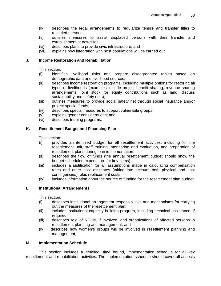- (iv) describes the legal arrangements to regularize tenure and transfer titles to resettled persons;
- (v) outlines measures to assist displaced persons with their transfer and establishment at new sites;
- (vi) describes plans to provide civic infrastructure; and
- (vii) explains how integration with host populations will be carried out.

#### **J. Income Restoration and Rehabilitation**

This section:

- (i) identifies livelihood risks and prepare disaggregated tables based on demographic data and livelihood sources;
- (ii) describes income restoration programs, including multiple options for restoring all types of livelihoods (examples include project benefit sharing, revenue sharing arrangements, joint stock for equity contributions such as land, discuss sustainability and safety nets);
- (iii) outlines measures to provide social safety net through social insurance and/or project special funds;
- (iv) describes special measures to support vulnerable groups;
- (v) explains gender considerations; and
- (vi) describes training programs.

### **K. Resettlement Budget and Financing Plan**

This section:

- (i) provides an itemized budget for all resettlement activities, including for the resettlement unit, staff training, monitoring and evaluation, and preparation of resettlement plans during loan implementation.
- (ii) describes the flow of funds (the annual resettlement budget should show the budget-scheduled expenditure for key items).
- (iii) includes a justification for all assumptions made in calculating compensation rates and other cost estimates (taking into account both physical and cost contingencies), plus replacement costs.
- (iv) includes information about the source of funding for the resettlement plan budget.

#### **L. Institutional Arrangements**

This section:

- (i) describes institutional arrangement responsibilities and mechanisms for carrying out the measures of the resettlement plan;
- (ii) includes institutional capacity building program, including technical assistance, if required;
- (iii) describes role of NGOs, if involved, and organizations of affected persons in resettlement planning and management; and
- (iv) describes how women's groups will be involved in resettlement planning and management,

#### **M. Implementation Schedule**

This section includes a detailed, time bound, implementation schedule for all key resettlement and rehabilitation activities. The implementation schedule should cover all aspects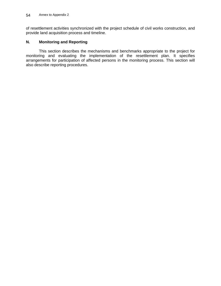of resettlement activities synchronized with the project schedule of civil works construction, and provide land acquisition process and timeline.

## **N. Monitoring and Reporting**

This section describes the mechanisms and benchmarks appropriate to the project for monitoring and evaluating the implementation of the resettlement plan. It specifies arrangements for participation of affected persons in the monitoring process. This section will also describe reporting procedures.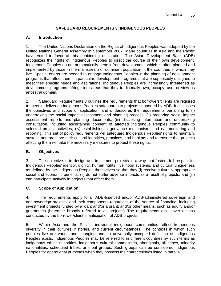### **SAFEGUARD REQUIREMENTS 3: INDIGENOUS PEOPLES**

### **A. Introduction**

1. The United Nations Declaration on the Rights of Indigenous Peoples was adopted by the United Nations General Assembly in September 2007. Many countries in Asia and the Pacific have voted in favor of this nonbinding declaration. The Asian Development Bank (ADB) recognizes the rights of Indigenous Peoples to direct the course of their own development. Indigenous Peoples do not automatically benefit from development, which is often planned and implemented by those in the mainstream or dominant population in the countries in which they live. Special efforts are needed to engage Indigenous Peoples in the planning of development programs that affect them, in particular, development programs that are supposedly designed to meet their specific needs and aspirations. Indigenous Peoples are increasingly threatened as development programs infringe into areas that they traditionally own, occupy, use, or view as ancestral domain.

2. Safeguard Requirements 3 outlines the requirements that borrowers/clients are required to meet in delivering Indigenous Peoples safeguards to projects supported by ADB. It discusses the objectives and scope of application, and underscores the requirements pertaining to (i) undertaking the social impact assessment and planning process; (ii) preparing social impact assessment reports and planning documents; (iii) disclosing information and undertaking consultation, including ascertaining consent of affected Indigenous Peoples community to selected project activities; (iv) establishing a grievance mechanism; and (v) monitoring and reporting. This set of policy requirements will safeguard Indigenous Peoples' rights to maintain, sustain, and preserve their cultural identities, practices, and habitats and to ensure that projects affecting them will take the necessary measures to protect these rights.

#### **B. Objectives**

3. The objective is to design and implement projects in a way that fosters full respect for Indigenous Peoples' identity, dignity, human rights, livelihood systems, and cultural uniqueness as defined by the Indigenous Peoples themselves so that they (i) receive culturally appropriate social and economic benefits, (ii) do not suffer adverse impacts as a result of projects, and (iii) can participate actively in projects that affect them.

## **C. Scope of Application**

4. The requirements apply to all ADB-financed and/or ADB-administered sovereign and non-sovereign projects, and their components regardless of the source of financing, including investment projects funded by a loan; and/or a grant; and/or other means, such as equity and/or guarantees (hereafter broadly referred to as projects). The requirements also cover actions conducted by the borrower/client in anticipation of ADB projects.

5. Within Asia and the Pacific, individual indigenous communities reflect tremendous diversity in their cultures, histories, and current circumstances. The contexts in which such peoples live are varied and changing and no universally accepted definition of Indigenous Peoples exists. Indigenous Peoples may be referred to in different countries by such terms as indigenous ethnic minorities, indigenous cultural communities, aboriginals, hill tribes, minority nationalities, scheduled tribes, or tribal groups. Such groups can be considered Indigenous Peoples for operational purposes when they possess the characteristics listed in para. 6.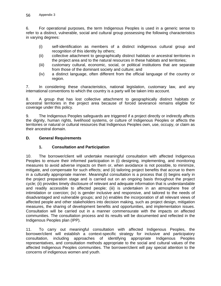6. For operational purposes, the term Indigenous Peoples is used in a generic sense to refer to a distinct, vulnerable, social and cultural group possessing the following characteristics in varying degrees:

- (i) self-identification as members of a distinct indigenous cultural group and recognition of this identity by others;
- (ii) collective attachment to geographically distinct habitats or ancestral territories in the project area and to the natural resources in these habitats and territories;
- (iii) customary cultural, economic, social, or political institutions that are separate from those of the dominant society and culture; and
- (iv) a distinct language, often different from the official language of the country or region.

7. In considering these characteristics, national legislation, customary law, and any international conventions to which the country is a party will be taken into account.

8. A group that has lost collective attachment to geographically distinct habitats or ancestral territories in the project area because of forced severance remains eligible for coverage under this policy.

9. The Indigenous Peoples safeguards are triggered if a project directly or indirectly affects the dignity, human rights, livelihood systems, or culture of Indigenous Peoples or affects the territories or natural or cultural resources that Indigenous Peoples own, use, occupy, or claim as their ancestral domain.

### **D. General Requirements**

## **1. Consultation and Participation**

10. The borrower/client will undertake meaningful consultation with affected Indigenous Peoples to ensure their informed participation in (i) designing, implementing, and monitoring measures to avoid adverse impacts on them or, when avoidance is not possible, to minimize, mitigate, and compensate for such effects; and (ii) tailoring project benefits that accrue to them in a culturally appropriate manner. Meaningful consultation is a process that (i) begins early in the project preparation stage and is carried out on an ongoing basis throughout the project cycle; (ii) provides timely disclosure of relevant and adequate information that is understandable and readily accessible to affected people; (iii) is undertaken in an atmosphere free of intimidation or coercion; (iv) is gender inclusive and responsive, and tailored to the needs of disadvantaged and vulnerable groups; and (v) enables the incorporation of all relevant views of affected people and other stakeholders into decision making, such as project design, mitigation measures, the sharing of development benefits and opportunities, and implementation issues. Consultation will be carried out in a manner commensurate with the impacts on affected communities. The consultation process and its results will be documented and reflected in the Indigenous Peoples plan (IPP).

11. To carry out meaningful consultation with affected Indigenous Peoples, the borrower/client will establish a context-specific strategy for inclusive and participatory consultation, including approaches of identifying appropriate Indigenous Peoples representatives, and consultation methods appropriate to the social and cultural values of the affected Indigenous Peoples communities. The borrower/client will pay special attention to the concerns of indigenous women and youth.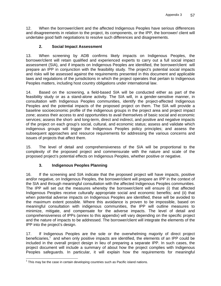12. When the borrower/client and the affected Indigenous Peoples have serious differences and disagreements in relation to the project, its components, or the IPP, the borrower/ client will undertake good faith negotiations to resolve such differences and disagreements.

## **2. Social Impact Assessment**

13. When screening by ADB confirms likely impacts on Indigenous Peoples, the borrower/client will retain qualified and experienced experts to carry out a full social impact assessment (SIA), and if impacts on Indigenous Peoples are identified, the borrower/client will prepare an IPP in conjunction with the feasibility study. The project's potential social impacts and risks will be assessed against the requirements presented in this document and applicable laws and regulations of the jurisdictions in which the project operates that pertain to Indigenous Peoples matters, including host country obligations under international law.

14. Based on the screening, a field-based SIA will be conducted either as part of the feasibility study or as a stand-alone activity. The SIA will, in a gender-sensitive manner, in consultation with Indigenous Peoples communities, identify the project-affected Indigenous Peoples and the potential impacts of the proposed project on them. The SIA will provide a baseline socioeconomic profile of the indigenous groups in the project area and project impact zone; assess their access to and opportunities to avail themselves of basic social and economic services; assess the short- and long-term, direct and indirect, and positive and negative impacts of the project on each group's social, cultural, and economic status; assess and validate which indigenous groups will trigger the Indigenous Peoples policy principles; and assess the subsequent approaches and resource requirements for addressing the various concerns and issues of projects that affect them.

15. The level of detail and comprehensiveness of the SIA will be proportional to the complexity of the proposed project and commensurate with the nature and scale of the proposed project's potential effects on Indigenous Peoples, whether positive or negative.

## **3. Indigenous Peoples Planning**

16. If the screening and SIA indicate that the proposed project will have impacts, positive and/or negative, on Indigenous Peoples, the borrower/client will prepare an IPP in the context of the SIA and through meaningful consultation with the affected Indigenous Peoples communities. The IPP will set out the measures whereby the borrower/client will ensure (i) that affected Indigenous Peoples receive culturally appropriate social and economic benefits; and (ii) that when potential adverse impacts on Indigenous Peoples are identified, these will be avoided to the maximum extent possible. Where this avoidance is proven to be impossible, based on meaningful consultation with indigenous communities, the IPP will outline measures to minimize, mitigate, and compensate for the adverse impacts. The level of detail and comprehensiveness of IPPs (annex to this appendix) will vary depending on the specific project and the nature of impacts to be addressed. The borrower/client will integrate the elements of the IPP into the project's design.

17. If Indigenous Peoples are the sole or the overwhelming majority of direct project beneficiaries,<sup>1</sup> and when only positive impacts are identified, the elements of an IPP could be included in the overall project design in lieu of preparing a separate IPP. In such cases, the project document will include a summary of about how the project complies with Indigenous Peoples safeguards. In particular, it will explain how the requirements for meaningful

<sup>-</sup> $1$  This may be the case in certain developing countries such as Pacific island nations.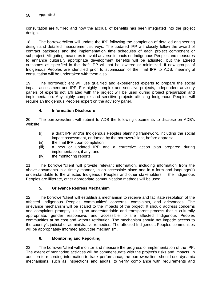consultation are fulfilled and how the accrual of benefits has been integrated into the project design.

18. The borrower/client will update the IPP following the completion of detailed engineering design and detailed measurement surveys. The updated IPP will closely follow the award of contract packages and the implementation time schedules of each project component or subproject. Mitigating measures to avoid adverse impacts on Indigenous Peoples and measures to enhance culturally appropriate development benefits will be adjusted, but the agreed outcomes as specified in the draft IPP will not be lowered or minimized. If new groups of Indigenous Peoples are identified prior to submission of the final IPP to ADB, meaningful consultation will be undertaken with them also.

19. The borrower/client will use qualified and experienced experts to prepare the social impact assessment and IPP. For highly complex and sensitive projects, independent advisory panels of experts not affiliated with the project will be used during project preparation and implementation. Any highly complex and sensitive projects affecting Indigenous Peoples will require an Indigenous Peoples expert on the advisory panel.

### **4. Information Disclosure**

20. The borrower/client will submit to ADB the following documents to disclose on ADB's website:

- (i) a draft IPP and/or Indigenous Peoples planning framework, including the social impact assessment, endorsed by the borrower/client, before appraisal;
- (ii) the final IPP upon completion;
- (iii) a new or updated IPP and a corrective action plan prepared during implementation, if any; and
- (iv) the monitoring reports.

21. The borrower/client will provide relevant information, including information from the above documents in a timely manner, in an accessible place and in a form and language(s) understandable to the affected Indigenous Peoples and other stakeholders. If the Indigenous Peoples are illiterate, other appropriate communication methods will be used.

#### **5. Grievance Redress Mechanism**

22. The borrower/client will establish a mechanism to receive and facilitate resolution of the affected Indigenous Peoples communities' concerns, complaints, and grievances. The grievance mechanism will be scaled to the impacts of the project. It should address concerns and complaints promptly, using an understandable and transparent process that is culturally appropriate, gender responsive, and accessible to the affected Indigenous Peoples communities at no cost and without retribution. The mechanism should not impede access to the country's judicial or administrative remedies. The affected Indigenous Peoples communities will be appropriately informed about the mechanism.

#### **6. Monitoring and Reporting**

23. The borrower/client will monitor and measure the progress of implementation of the IPP. The extent of monitoring activities will be commensurate with the project's risks and impacts. In addition to recording information to track performance, the borrower/client should use dynamic mechanisms, such as inspections and audits, to verify compliance with requirements and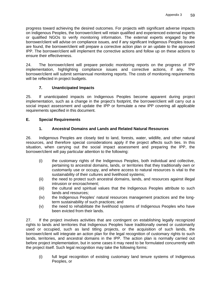progress toward achieving the desired outcomes. For projects with significant adverse impacts on Indigenous Peoples, the borrower/client will retain qualified and experienced external experts or qualified NGOs to verify monitoring information. The external experts engaged by the borrower/client will advise on compliance issues, and if any significant Indigenous Peoples issues are found, the borrower/client will prepare a corrective action plan or an update to the approved IPP. The borrower/client will implement the corrective actions and follow up on these actions to ensure their effectiveness.

24. The borrower/client will prepare periodic monitoring reports on the progress of IPP implementation, highlighting compliance issues and corrective actions, if any. The borrower/client will submit semiannual monitoring reports. The costs of monitoring requirements will be reflected in project budgets.

## **7. Unanticipated Impacts**

25. If unanticipated impacts on Indigenous Peoples become apparent during project implementation, such as a change in the project's footprint, the borrower/client will carry out a social impact assessment and update the IPP or formulate a new IPP covering all applicable requirements specified in this document.

#### **E. Special Requirements**

## **1. Ancestral Domains and Lands and Related Natural Resources**

26. Indigenous Peoples are closely tied to land, forests, water, wildlife, and other natural resources, and therefore special considerations apply if the project affects such ties. In this situation, when carrying out the social impact assessment and preparing the IPP, the borrower/client will pay particular attention to the following:

- (i) the customary rights of the Indigenous Peoples, both individual and collective, pertaining to ancestral domains, lands, or territories that they traditionally own or customarily use or occupy, and where access to natural resources is vital to the sustainability of their cultures and livelihood systems;
- (ii) the need to protect such ancestral domains, lands, and resources against illegal intrusion or encroachment;
- (iii) the cultural and spiritual values that the Indigenous Peoples attribute to such lands and resources;
- (iv) the Indigenous Peoples' natural resources management practices and the longterm sustainability of such practices; and
- (v) the need to rehabilitate the livelihood systems of Indigenous Peoples who have been evicted from their lands.

27. If the project involves activities that are contingent on establishing legally recognized rights to lands and territories that Indigenous Peoples have traditionally owned or customarily used or occupied, such as land titling projects, or the acquisition of such lands, the borrower/client will integrate an action plan for the legal recognition of customary rights to such lands, territories, and ancestral domains in the IPP. The action plan is normally carried out before project implementation, but in some cases it may need to be formulated concurrently with the project itself. Such legal recognition may take the following forms:

(i) full legal recognition of existing customary land tenure systems of Indigenous Peoples, or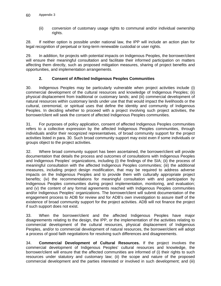(ii) conversion of customary usage rights to communal and/or individual ownership rights.

28. If neither option is possible under national law, the IPP will include an action plan for legal recognition of perpetual or long-term renewable custodial or user rights.

29. In addition, for projects with potential impacts on Indigenous Peoples, the borrower/client will ensure their meaningful consultation and facilitate their informed participation on matters affecting them directly, such as proposed mitigation measures, sharing of project benefits and opportunities, and implementation arrangements.

### **2. Consent of Affected Indigenous Peoples Communities**

30. Indigenous Peoples may be particularly vulnerable when project activities include (i) commercial development of the cultural resources and knowledge of Indigenous Peoples; (ii) physical displacement from traditional or customary lands; and (iii) commercial development of natural resources within customary lands under use that that would impact the livelihoods or the cultural, ceremonial, or spiritual uses that define the identity and community of Indigenous Peoples. In deciding whether to proceed with a project involving such project activities, the borrower/client will seek the consent of affected Indigenous Peoples communities.

31. For purposes of policy application, consent of affected Indigenous Peoples communities refers to a collective expression by the affected Indigenous Peoples communities, through individuals and/or their recognized representatives, of broad community support for the project activities listed in para. 30. Such broad community support may exist even if some individuals or groups object to the project activities.

32. Where broad community support has been ascertained, the borrower/client will provide documentation that details the process and outcomes of consultations with Indigenous Peoples and Indigenous Peoples' organizations, including (i) the findings of the SIA; (ii) the process of meaningful consultation with the affected Indigenous Peoples communities; (iii) the additional measures, including project design modification, that may be required to address adverse impacts on the Indigenous Peoples and to provide them with culturally appropriate project benefits; (iv) the recommendations for meaningful consultation with and participation by Indigenous Peoples communities during project implementation, monitoring, and evaluation; and (v) the content of any formal agreements reached with Indigenous Peoples communities and/or Indigenous Peoples' organizations. The borrower/client will submit documentation of the engagement process to ADB for review and for ADB's own investigation to assure itself of the existence of broad community support for the project activities. ADB will not finance the project if such support does not exist.

33. When the borrower/client and the affected Indigenous Peoples have major disagreements relating to the design, the IPP, or the implementation of the activities relating to commercial development of the cultural resources, physical displacement of Indigenous Peoples, and/or to commercial development of natural resources, the borrower/client will adopt a process of good faith negotiations for resolving such differences and disagreements.

34. **Commercial Development of Cultural Resources.** If the project involves the commercial development of Indigenous Peoples' cultural resources and knowledge, the borrower/client will ensure that the affected communities are informed of (i) their rights to such resources under statutory and customary law; (ii) the scope and nature of the proposed commercial development and the parties interested or involved in such development; and (iii)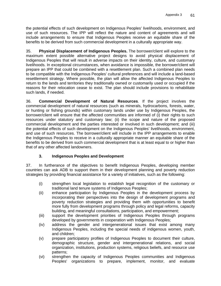the potential effects of such development on Indigenous Peoples' livelihoods, environment, and use of such resources. The IPP will reflect the nature and content of agreements and will include arrangements to ensure that Indigenous Peoples receive an equitable share of the benefits to be derived from such commercial development in a culturally appropriate way.

35. **Physical Displacement of Indigenous Peoples.** The borrower/client will explore to the maximum extent possible alternative project designs to avoid physical displacement of Indigenous Peoples that will result in adverse impacts on their identity, culture, and customary livelihoods. In exceptional circumstances, when avoidance is impossible, the borrower/client will prepare an IPP that could be combined with a resettlement plan. Such a combined plan needs to be compatible with the Indigenous Peoples' cultural preferences and will include a land-based resettlement strategy. Where possible, the plan will allow the affected Indigenous Peoples to return to the lands and territories they traditionally owned or customarily used or occupied if the reasons for their relocation cease to exist. The plan should include provisions to rehabilitate such lands, if needed.

36. **Commercial Development of Natural Resources**. If the project involves the commercial development of natural resources (such as minerals, hydrocarbons, forests, water, or hunting or fishing grounds) within customary lands under use by Indigenous Peoples, the borrower/client will ensure that the affected communities are informed of (i) their rights to such resources under statutory and customary law; (ii) the scope and nature of the proposed commercial development and the parties interested or involved in such development; and (iii) the potential effects of such development on the Indigenous Peoples' livelihoods, environment, and use of such resources. The borrower/client will include in the IPP arrangements to enable the Indigenous Peoples to receive in a culturally appropriate manner an equitable share of the benefits to be derived from such commercial development that is at least equal to or higher than that of any other affected landowners.

## **3. Indigenous Peoples and Development**

37. In furtherance of the objectives to benefit Indigenous Peoples, developing member countries can ask ADB to support them in their development planning and poverty reduction strategies by providing financial assistance for a variety of initiatives, such as the following:

- (i) strengthen local legislation to establish legal recognition of the customary or traditional land tenure systems of Indigenous Peoples;
- (ii) enhance participation by Indigenous Peoples in the development process by incorporating their perspectives into the design of development programs and poverty reduction strategies and providing them with opportunities to benefit more fully from development programs through policy and legal reforms, capacity building, and meaningful consultations, participation, and empowerment;
- (iii) support the development priorities of Indigenous Peoples through programs developed by governments in cooperation with Indigenous Peoples;
- (iv) address the gender and intergenerational issues that exist among many Indigenous Peoples, including the special needs of indigenous women, youth, and children;
- (v) prepare participatory profiles of Indigenous Peoples to document their culture, demographic structure, gender and intergenerational relations, and social organization, institutions, production systems, religious beliefs, and resource use patterns;
- (vi) strengthen the capacity of Indigenous Peoples communities and Indigenous Peoples' organizations to prepare, implement, monitor, and evaluate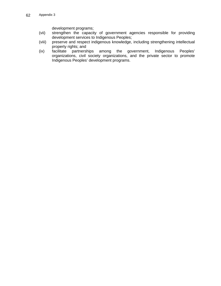development programs;

- (vii) strengthen the capacity of government agencies responsible for providing development services to Indigenous Peoples;
- (viii) preserve and respect indigenous knowledge, including strengthening intellectual property rights; and
- (ix) facilitate partnerships among the government, Indigenous Peoples' organizations, civil society organizations, and the private sector to promote Indigenous Peoples' development programs.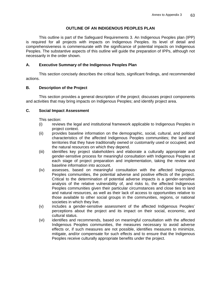### **OUTLINE OF AN INDIGENOUS PEOPLES PLAN**

This outline is part of the Safeguard Requirements 3. An Indigenous Peoples plan (IPP) is required for all projects with impacts on Indigenous Peoples. Its level of detail and comprehensiveness is commensurate with the significance of potential impacts on Indigenous Peoples. The substantive aspects of this outline will guide the preparation of IPPs, although not necessarily in the order shown.

### **A. Executive Summary of the Indigenous Peoples Plan**

This section concisely describes the critical facts, significant findings, and recommended actions.

### **B. Description of the Project**

 This section provides a general description of the project; discusses project components and activities that may bring impacts on Indigenous Peoples; and identify project area.

### **C. Social Impact Assessment**

This section:

- (i) reviews the legal and institutional framework applicable to Indigenous Peoples in project context.
- (ii) provides baseline information on the demographic, social, cultural, and political characteristics of the affected Indigenous Peoples communities; the land and territories that they have traditionally owned or customarily used or occupied; and the natural resources on which they depend.
- (iii) identifies key project stakeholders and elaborate a culturally appropriate and gender-sensitive process for meaningful consultation with Indigenous Peoples at each stage of project preparation and implementation, taking the review and baseline information into account.
- (iv) assesses, based on meaningful consultation with the affected Indigenous Peoples communities, the potential adverse and positive effects of the project. Critical to the determination of potential adverse impacts is a gender-sensitive analysis of the relative vulnerability of, and risks to, the affected Indigenous Peoples communities given their particular circumstances and close ties to land and natural resources, as well as their lack of access to opportunities relative to those available to other social groups in the communities, regions, or national societies in which they live.
- (v) includes a gender-sensitive assessment of the affected Indigenous Peoples' perceptions about the project and its impact on their social, economic, and cultural status.
- (vi) identifies and recommends, based on meaningful consultation with the affected Indigenous Peoples communities, the measures necessary to avoid adverse effects or, if such measures are not possible, identifies measures to minimize, mitigate, and/or compensate for such effects and to ensure that the Indigenous Peoples receive culturally appropriate benefits under the project.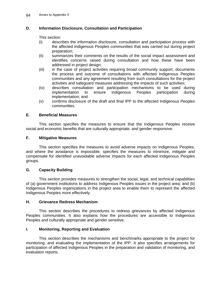### **D. Information Disclosure, Consultation and Participation**

This section:

- (i) describes the information disclosure, consultation and participation process with the affected Indigenous Peoples communities that was carried out during project preparation;
- (ii) summarizes their comments on the results of the social impact assessment and identifies concerns raised during consultation and how these have been addressed in project design;
- (iii) in the case of project activities requiring broad community support, documents the process and outcome of consultations with affected Indigenous Peoples communities and any agreement resulting from such consultations for the project activities and safeguard measures addressing the impacts of such activities;
- (iv) describes consultation and participation mechanisms to be used during implementation to ensure Indigenous Peoples participation during implementation; and
- (v) confirms disclosure of the draft and final IPP to the affected Indigenous Peoples communities.

#### **E. Beneficial Measures**

This section specifies the measures to ensure that the Indigenous Peoples receive social and economic benefits that are culturally appropriate, and gender responsive.

#### **F. Mitigative Measures**

This section specifies the measures to avoid adverse impacts on Indigenous Peoples; and where the avoidance is impossible, specifies the measures to minimize, mitigate and compensate for identified unavoidable adverse impacts for each affected Indigenous Peoples groups.

#### **G. Capacity Building**

 This section provides measures to strengthen the social, legal, and technical capabilities of (a) government institutions to address Indigenous Peoples issues in the project area; and (b) Indigenous Peoples organizations in the project area to enable them to represent the affected Indigenous Peoples more effectively.

#### **H. Grievance Redress Mechanism**

This section describes the procedures to redress grievances by affected Indigenous Peoples communities. It also explains how the procedures are accessible to Indigenous Peoples and culturally appropriate and gender sensitive.

#### **I. Monitoring, Reporting and Evaluation**

This section describes the mechanisms and benchmarks appropriate to the project for monitoring, and evaluating the implementation of the IPP. It also specifies arrangements for participation of affected Indigenous Peoples in the preparation and validation of monitoring, and evaluation reports.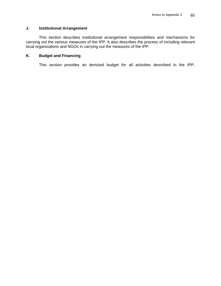### **J. Institutional Arrangement**

This section describes institutional arrangement responsibilities and mechanisms for carrying out the various measures of the IPP. It also describes the process of including relevant local organizations and NGOs in carrying out the measures of the IPP.

#### **K. Budget and Financing**

This section provides an itemized budget for all activities described in the IPP.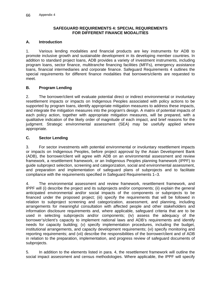#### **SAFEGUARD REQUIREMENTS 4: SPECIAL REQUIREMENTS FOR DIFFERENT FINANCE MODALITIES**

### **A. Introduction**

1. Various lending modalities and financial products are key instruments for ADB to promote inclusive growth and sustainable development in its developing member countries. In addition to standard project loans, ADB provides a variety of investment instruments, including program loans, sector finance, multitranche financing facilities (MFFs), emergency assistance loans, financial intermediaries and corporate finance. Safeguard Requirements 4 outlines the special requirements for different finance modalities that borrowers/clients are requested to meet.

### **B. Program Lending**

2. The borrower/client will evaluate potential direct or indirect environmental or involuntary resettlement impacts or impacts on Indigenous Peoples associated with policy actions to be supported by program loans, identify appropriate mitigation measures to address these impacts, and integrate the mitigation measures into the program's design. A matrix of potential impacts of each policy action, together with appropriate mitigation measures, will be prepared, with a qualitative indication of the likely order of magnitude of each impact, and brief reasons for the judgment. Strategic environmental assessment (SEA) may be usefully applied where appropriate.

#### **C. Sector Lending**

3. For sector investments with potential environmental or involuntary resettlement impacts or impacts on Indigenous Peoples, before project approval by the Asian Development Bank (ADB), the borrower/client will agree with ADB on an environmental assessment and review framework, a resettlement framework, or an Indigenous Peoples planning framework (IPPF) to guide subproject selection, screening and categorization, social and environmental assessment, and preparation and implementation of safeguard plans of subprojects and to facilitate compliance with the requirements specified in Safeguard Requirements 1–3.

4. The environmental assessment and review framework, resettlement framework, and IPPF will (i) describe the project and its subprojects and/or components; (ii) explain the general anticipated environmental and/or social impacts of the components or subprojects to be financed under the proposed project; (iii) specify the requirements that will be followed in relation to subproject screening and categorization, assessment, and planning, including arrangements for meaningful consultation with affected people and other stakeholders and information disclosure requirements and, where applicable, safeguard criteria that are to be used in selecting subprojects and/or components; (iv) assess the adequacy of the borrower's/client's capacity to implement national laws and ADB's requirements and identify needs for capacity building; (v) specify implementation procedures, including the budget, institutional arrangements, and capacity development requirements; (vi) specify monitoring and reporting requirements; and (vii) describe the responsibilities of the borrower/client and of ADB in relation to the preparation, implementation, and progress review of safeguard documents of subprojects.

5. In addition to the elements listed in para. 4, the resettlement framework will outline the social impact assessment and census methodologies. Where applicable, the IPPF will specify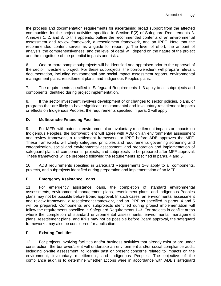the process and documentation requirements for ascertaining broad support from the affected communities for the project activities specified in Section E(2) of Safeguard Requirements 3. Annexes 1, 2, and 3, to this appendix outline the recommended contents of an environmental assessment and review framework, a resettlement framework, and an IPPF. Note that the recommended content serves as a guide for reporting. The level of effort, the amount of analysis, the comprehensiveness, and the level of detail will depend on the nature of the project and the magnitude of the potential impacts and risks.

6. One or more sample subprojects will be identified and appraised prior to the approval of the sector investment project. For these subprojects, the borrower/client will prepare relevant documentation, including environmental and social impact assessment reports, environmental management plans, resettlement plans, and Indigenous Peoples plans.

7. The requirements specified in Safeguard Requirements 1–3 apply to all subprojects and components identified during project implementation.

8. If the sector investment involves development of or changes to sector policies, plans, or programs that are likely to have significant environmental and involuntary resettlement impacts or effects on Indigenous Peoples, the requirements specified in para. 2 will apply.

### **D. Multitranche Financing Facilities**

9. For MFFs with potential environmental or involuntary resettlement impacts or impacts on Indigenous Peoples, the borrower/client will agree with ADB on an environmental assessment and review framework, a resettlement framework, or IPPF before ADB approves the MFF. These frameworks will clarify safeguard principles and requirements governing screening and categorization, social and environmental assessment, and preparation and implementation of safeguard plans of components, projects, and subprojects to be prepared after MFF approval. These frameworks will be prepared following the requirements specified in paras. 4 and 5.

10. ADB requirements specified in Safeguard Requirements 1–3 apply to all components, projects, and subprojects identified during preparation and implementation of an MFF.

## **E. Emergency Assistance Loans**

11. For emergency assistance loans, the completion of standard environmental assessments, environmental management plans, resettlement plans, and Indigenous Peoples plans may not be possible before Board approval. In such cases, an environmental assessment and review framework, a resettlement framework, and an IPPF as specified in paras. 4 and 5 will be prepared. Components and subprojects identified during project implementation will follow the requirements specified in Safeguard Requirements 1–3. For projects in conflict areas where the completion of standard environmental assessments, environmental management plans, resettlement plans, and IPPs may not be possible before Board approval, the safeguard frameworks may also be considered for application.

#### **F. Existing Facilities**

12. For projects involving facilities and/or business activities that already exist or are under construction, the borrower/client will undertake an environment and/or social compliance audit, including on-site assessment, to identify past or present concerns related to impacts on the environment, involuntary resettlement, and Indigenous Peoples. The objective of the compliance audit is to determine whether actions were in accordance with ADB's safeguard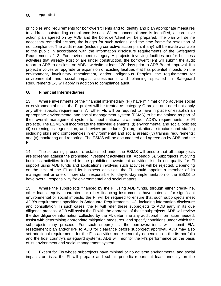principles and requirements for borrowers/clients and to identify and plan appropriate measures to address outstanding compliance issues. Where noncompliance is identified, a corrective action plan agreed on by ADB and the borrower/client will be prepared. The plan will define necessary remedial actions, the budget for such actions, and the time frame for resolution of noncompliance. The audit report (including corrective action plan, if any) will be made available to the public in accordance with the information disclosure requirements of the Safeguard Requirements 1–3. For environment category A projects involving facilities and/or business activities that already exist or are under construction, the borrower/client will submit the audit report to ADB to disclose on ADB's website at least 120 days prior to ADB Board approval. If a project involves an upgrade or expansion of existing facilities that has potential impacts on the environment, involuntary resettlement, and/or Indigenous Peoples, the requirements for environmental and social impact assessments and planning specified in Safeguard Requirements 1-3 will apply in addition to compliance audit.

## **G. Financial Intermediaries**

13. Where investments of the financial intermediary (FI) have minimal or no adverse social or environmental risks, the FI project will be treated as category C project and need not apply any other specific requirements. All other FIs will be required to have in place or establish an appropriate environmental and social management system (ESMS) to be maintained as part of their overall management system to meet national laws and/or ADB's requirements for FI projects. The ESMS will incorporate the following elements: (i) environmental and social policies; (ii) screening, categorization, and review procedure; (iii) organizational structure and staffing including skills and competencies in environmental and social areas; (iv) training requirements; and (v) monitoring and reporting. The ESMS will be documented and agreed on by ADB and the FI.

14. The screening procedure established under the ESMS will ensure that all subprojects are screened against the prohibited investment activities list (Appendix 5). Subprojects involving business activities included in the prohibited investment activities list do not qualify for FI support using ADB funds and applications involving such activities will be rejected. Depending on the size of the FI and its business activities, the FI should appoint a member of its management or one or more staff responsible for day-to-day implementation of the ESMS to have overall responsibility for environmental and social matters**.**

15. Where the subprojects financed by the FI using ADB funds, through either credit-line, other loans, equity, guarantee, or other financing instruments, have potential for significant environmental or social impacts, the FI will be required to ensure that such subprojects meet ADB's requirements specified in Safeguard Requirements 1–3, including information disclosure and consultation. In such cases, the FI will refer these subprojects to ADB early in its due diligence process. ADB will assist the FI with the appraisal of these subprojects. ADB will review the due diligence information collected by the FI, determine any additional information needed, assist with determining appropriate mitigation measures, and specify conditions under which the subprojects may proceed. For such subprojects, the borrower/clients will submit EIA, resettlement plan and/or IPP to ADB for clearance before subproject approval. ADB may also set additional requirements for the FI's activities more generally depending on the its portfolio and the host country's safeguard systems. ADB will monitor the FI's performance on the basis of its environment and social management system.

16. Except for FIs whose subprojects have minimal or no adverse environmental and social impacts or risks, the FI will prepare and submit periodic reports at least annually on the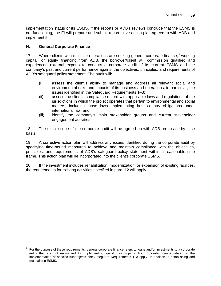implementation status of its ESMS. If the reports or ADB's reviews conclude that the ESMS is not functioning, the FI will prepare and submit a corrective action plan agreed to with ADB and implement it.

### **H. General Corporate Finance**

17. Where clients with multisite operations are seeking general corporate finance,  $1$  working capital, or equity financing from ADB, the borrower/client will commission qualified and experienced external experts to conduct a corporate audit of its current ESMS and the company's past and current performance against the objectives, principles, and requirements of ADB's safeguard policy statement. The audit will:

- (i) assess the client's ability to manage and address all relevant social and environmental risks and impacts of its business and operations, in particular, the issues identified in the Safeguard Requirements 1–3;
- (ii) assess the client's compliance record with applicable laws and regulations of the jurisdictions in which the project operates that pertain to environmental and social matters, including those laws implementing host country obligations under international law; and
- (iii) identify the company's main stakeholder groups and current stakeholder engagement activities.

18. The exact scope of the corporate audit will be agreed on with ADB on a case-by-case basis.

19. A corrective action plan will address any issues identified during the corporate audit by specifying time-bound measures to achieve and maintain compliance with the objectives, principles, and requirements of ADB's safeguard policy statement within a reasonable time frame. This action plan will be incorporated into the client's corporate ESMS.

20. If the investment includes rehabilitation, modernization, or expansion of existing facilities, the requirements for existing activities specified in para. 12 will apply.

 1 For the purpose of these requirements, general corporate finance refers to loans and/or investments to a corporate entity that are not earmarked for implementing specific subprojects. For corporate finance related to the implementation of specific subprojects, the Safeguard Requirements 1–3 apply, in addition to establishing and maintaining ESMS.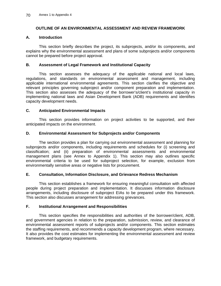## **OUTLINE OF AN ENVIRONMENTAL ASSESSMENT AND REVIEW FRAMEWORK**

### **A. Introduction**

This section briefly describes the project, its subprojects, and/or its components, and explains why the environmental assessment and plans of some subprojects and/or components cannot be prepared before project approval.

### **B. Assessment of Legal Framework and Institutional Capacity**

 This section assesses the adequacy of the applicable national and local laws, regulations, and standards on environmental assessment and management, including applicable international environmental agreements. This section clarifies the objective and relevant principles governing subproject and/or component preparation and implementation. This section also assesses the adequacy of the borrower's/client's institutional capacity in implementing national laws and Asian Development Bank (ADB) requirements and identifies capacity development needs.

### **C. Anticipated Environmental Impacts**

This section provides information on project activities to be supported, and their anticipated impacts on the environment.

#### **D. Environmental Assessment for Subprojects and/or Components**

The section provides a plan for carrying out environmental assessment and planning for subprojects and/or components, including requirements and schedules for (i) screening and classification; and (ii) preparation of environmental assessments and environmental management plans (see Annex to Appendix 1). This section may also outlines specific environmental criteria to be used for subproject selection, for example, exclusion from environmentally sensitive areas or negative lists for procurement.

### **E. Consultation, Information Disclosure, and Grievance Redress Mechanism**

This section establishes a framework for ensuring meaningful consultation with affected people during project preparation and implementation. It discusses information disclosure arrangements, including disclosure of subproject EIAs to be prepared under this framework. This section also discusses arrangement for addressing grievances.

## **F. Institutional Arrangement and Responsibilities**

This section specifies the responsibilities and authorities of the borrower/client, ADB, and government agencies in relation to the preparation, submission, review, and clearance of environmental assessment reports of subprojects and/or components. This section estimates the staffing requirements, and recommends a capacity development program, where necessary. It also provides the cost estimates for implementing the environmental assessment and review framework, and budgetary requirements.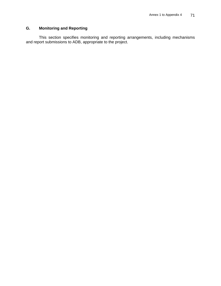## **G. Monitoring and Reporting**

This section specifies monitoring and reporting arrangements, including mechanisms and report submissions to ADB, appropriate to the project.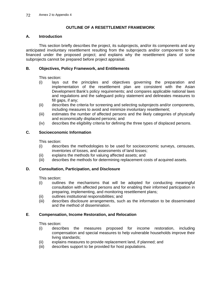## **OUTLINE OF A RESETTLEMENT FRAMEWORK**

### **A. Introduction**

This section briefly describes the project, its subprojects, and/or its components and any anticipated involuntary resettlement resulting from the subprojects and/or components to be financed under the proposed project; and explains why the resettlement plans of some subprojects cannot be prepared before project appraisal.

## **B. Objectives, Policy Framework, and Entitlements**

This section:

- (i) lays out the principles and objectives governing the preparation and implementation of the resettlement plan are consistent with the Asian Development Bank's policy requirements; and compares applicable national laws and regulations and the safeguard policy statement and delineates measures to fill gaps, if any;
- (ii) describes the criteria for screening and selecting subprojects and/or components, including measures to avoid and minimize involuntary resettlement;
- (iii) estimates the number of affected persons and the likely categories of physically and economically displaced persons; and
- (iv) describes the eligibility criteria for defining the three types of displaced persons.

## **C. Socioeconomic Information**

This section:

- (i) describes the methodologies to be used for socioeconomic surveys, censuses, inventories of losses, and assessments of land losses;
- (ii) explains the methods for valuing affected assets; and
- (iii) describes the methods for determining replacement costs of acquired assets.

## **D. Consultation, Participation, and Disclosure**

This section:

- (i) outlines the mechanisms that will be adopted for conducting meaningful consultation with affected persons and for enabling their informed participation in preparing, implementing, and monitoring resettlement plans;
- (ii) outlines institutional responsibilities; and
- (iii) describes disclosure arrangements, such as the information to be disseminated and the method of dissemination.

## **E**. **Compensation, Income Restoration, and Relocation**

This section:

- (i) describes the measures proposed for income restoration, including compensation and special measures to help vulnerable households improve their living standards;
- (ii) explains measures to provide replacement land, if planned; and
- (iii) describes support to be provided for host populations.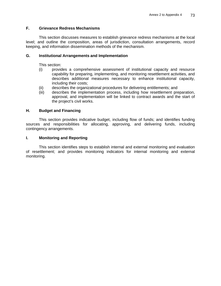## **F. Grievance Redress Mechanisms**

This section discusses measures to establish grievance redress mechanisms at the local level; and outline the composition, areas of jurisdiction, consultation arrangements, record keeping, and information dissemination methods of the mechanism.

### **G. Institutional Arrangements and Implementation**

This section:

- (i) provides a comprehensive assessment of institutional capacity and resource capability for preparing, implementing, and monitoring resettlement activities, and describes additional measures necessary to enhance institutional capacity, including their costs;
- (ii) describes the organizational procedures for delivering entitlements; and
- (iii) describes the implementation process, including how resettlement preparation, approval, and implementation will be linked to contract awards and the start of the project's civil works.

### **H. Budget and Financing**

This section provides indicative budget, including flow of funds; and identifies funding sources and responsibilities for allocating, approving, and delivering funds, including contingency arrangements.

#### **I. Monitoring and Reporting**

This section identifies steps to establish internal and external monitoring and evaluation of resettlement; and provides monitoring indicators for internal monitoring and external monitoring.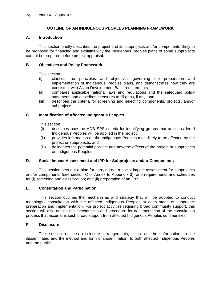## **OUTLINE OF AN INDIGENOUS PEOPLES PLANNING FRAMEWORK**

### **A. Introduction**

This section briefly describes the project and its subprojects and/or components likely to be proposed for financing and explains why the Indigenous Peoples plans of some subprojects cannot be prepared before project appraisal.

### **B. Objectives and Policy Framework**

This section

- (i) clarifies the principles and objectives governing the preparation and implementation of Indigenous Peoples plans, and demonstrates how they are consistent with Asian Development Bank requirements;
- (ii) compares applicable national laws and regulations and the safeguard policy statement, and describes measures to fill gaps, if any; and
- (iii) describes the criteria for screening and selecting components, projects, and/or subprojects.

### **C. Identification of Affected Indigenous Peoples**

This section

- (i) describes how the ADB SPS criteria for identifying groups that are considered Indigenous Peoples will be applied in the project;
- (ii) provides information on the Indigenous Peoples most likely to be affected by the project or subprojects; and
- (iii) delineates the potential positive and adverse effects of the project or subprojects on Indigenous Peoples.

### **D. Social Impact Assessment and IPP for Subprojects and/or Components**

This section sets out a plan for carrying out a social impact assessment for subprojects and/or components (see section C of Annex to Appendix 3), and requirements and schedules for (i) screening and classification; and (ii) preparation of an IPP.

#### **E. Consultation and Participation**

This section outlines the mechanisms and strategy that will be adopted to conduct meaningful consultation with the affected Indigenous Peoples at each stage of subproject preparation and implementation. For project activities requiring broad community support, this section will also outline the mechanisms and procedure for documentation of the consultation process that ascertains such broad support from affected Indigenous Peoples communities.

## **F. Disclosure**

The section outlines disclosure arrangements, such as the information to be disseminated and the method and form of dissemination, to both affected Indigenous Peoples and the public.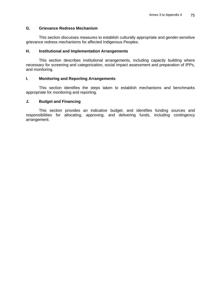#### **G. Grievance Redress Mechanism**

This section discusses measures to establish culturally appropriate and gender-sensitive grievance redress mechanisms for affected Indigenous Peoples.

#### **H. Institutional and Implementation Arrangements**

This section describes institutional arrangements, including capacity building where necessary for screening and categorization, social impact assessment and preparation of IPPs, and monitoring.

#### **I. Monitoring and Reporting Arrangements**

This section identifies the steps taken to establish mechanisms and benchmarks appropriate for monitoring and reporting.

### **J. Budget and Financing**

This section provides an indicative budget, and identifies funding sources and responsibilities for allocating, approving, and delivering funds, including contingency arrangement.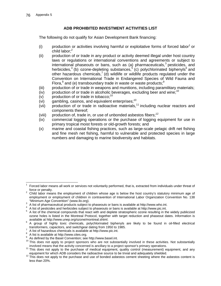## **ADB PROHIBITED INVESTMENT ACTIVITIES LIST**

The following do not qualify for Asian Development Bank financing:

- $(i)$  production or activities involving harmful or exploitative forms of forced labor<sup>1</sup> or child labor; $<sup>2</sup>$ </sup>
- (ii) production of or trade in any product or activity deemed illegal under host country laws or regulations or international conventions and agreements or subject to international phaseouts or bans, such as (a) pharmaceuticals, $3$  pesticides, and herbicides,<sup>4</sup> (b) ozone-depleting substances,<sup>5</sup> (c) polychlorinated biphenyls<sup>6</sup> and other hazardous chemicals,<sup>7</sup> (d) wildlife or wildlife products regulated under the Convention on International Trade in Endangered Species of Wild Fauna and Flora, $^8$  and (e) transboundary trade in waste or waste products; $^9$
- (iii) production of or trade in weapons and munitions, including paramilitary materials;
- (iv) production of or trade in alcoholic beverages, excluding beer and wine;<sup>10</sup>
- (v) production of or trade in tobacco;<sup>10</sup>
- (vi) gambling, casinos, and equivalent enterprises; $10$
- (vii) production of or trade in radioactive materials,<sup>11</sup> including nuclear reactors and components thereof;
- (viii) production of, trade in, or use of unbonded asbestos fibers;<sup>12</sup>
- (ix) commercial logging operations or the purchase of logging equipment for use in primary tropical moist forests or old-growth forests; and
- (x) marine and coastal fishing practices, such as large-scale pelagic drift net fishing and fine mesh net fishing, harmful to vulnerable and protected species in large numbers and damaging to marine biodiversity and habitats.

A list of hazardous chemicals is available at http://www.pic.int.

-

<sup>1</sup> Forced labor means all work or services not voluntarily performed, that is, extracted from individuals under threat of force or penalty.<br><sup>2</sup> Child labor means the employment of children whose age is below the host country's statutory minimum age of

employment or employment of children in contravention of International Labor Organization Convention No. 138 "Minimum Age Convention" (www.ilo.org). 3

A list of pharmaceutical products subject to phaseouts or bans is available at http://www.who.int. 4

 $^4$  A list of pesticides and herbicides subject to phaseouts or bans is available at http://www.pic.int.  $^5$  A list of the oberpiecl compounds that react with and deplete at reteapheric azone resulting in the

A list of the chemical compounds that react with and deplete stratospheric ozone resulting in the widely publicized ozone holes is listed in the Montreal Protocol, together with target reduction and phaseout dates. Information is available at http://www.unep.org/ozone/montreal.shtml. 6

A group of highly toxic chemicals, polychlorinated biphenyls are likely to be found in oil-filled electrical transformers, capacitors, and switchgear dating from 1950 to 1985.

<sup>8</sup> A list is available at http://www.cites.org.

<sup>9</sup> As defined by the Basel Convention; see http://www.basel.int.

 $10$  This does not apply to project sponsors who are not substantially involved in these activities. Not substantially involved means that the activity concerned is ancillary to a project sponsor's primary operations.

<sup>&</sup>lt;sup>11</sup> This does not apply to the purchase of medical equipment, quality control (measurement) equipment, and any equipment for which ADB considers the radioactive source to be trivial and adequately shielded.

equipment for which ADB considers the radioactive source to be trivial and and advertising where the asbestos content is less than 20%.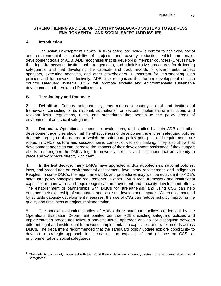### **STRENGTHENING AND USE OF COUNTRY SAFEGUARD SYSTEMS TO ADDRESS ENVIRONMENTAL AND SOCIAL SAFEGUARD ISSUES**

## **A. Introduction**

1. The Asian Development Bank's (ADB's) safeguard policy is central to achieving social and environmental sustainability of projects and poverty reduction, which are major development goals of ADB. ADB recognizes that its developing member countries (DMCs) have their legal frameworks, institutional arrangements, and administrative procedures for delivering safeguards, and that developing the capacity and track records of governments, project sponsors, executing agencies, and other stakeholders is important for implementing such policies and frameworks effectively. ADB also recognizes that further development of such country safeguard systems (CSS) will promote socially and environmentally sustainable development in the Asia and Pacific region.

## **B. Terminology and Rationale**

2. **Definition.** Country safeguard systems means a country's legal and institutional framework, consisting of its national, subnational, or sectoral implementing institutions and relevant laws, regulations, rules, and procedures that pertain to the policy areas of environmental and social safeguards.<sup>1</sup>

3. **Rationale.** Operational experience, evaluations, and studies by both ADB and other development agencies show that the effectiveness of development agencies' safeguard policies depends largely on the degree to which the safeguard policy principles and requirements are rooted in DMCs' culture and socioeconomic context of decision making. They also show that development agencies can increase the impacts of their development assistance if they support efforts to strengthen the DMCs' legal frameworks, policies, and institutions that are already in place and work more directly with them.

4. In the last decade, many DMCs have upgraded and/or adopted new national policies, laws, and procedures on environmental assessment, involuntary resettlement, and Indigenous Peoples. In some DMCs, the legal frameworks and procedures may well be equivalent to ADB's safeguard policy principles and requirements. In other DMCs, legal framework and institutional capacities remain weak and require significant improvement and capacity development efforts. The establishment of partnerships with DMCs for strengthening and using CSS can help enhance their ownership of safeguards and scale up development impacts. When accompanied by suitable capacity development measures, the use of CSS can reduce risks by improving the quality and timeliness of project implementation.

5. The special evaluation studies of ADB's three safeguard polices carried out by the Operations Evaluation Department pointed out that ADB's existing safeguard policies and implementation procedures follow a one-size-fits-all approach and do not distinguish between different legal and institutional frameworks, implementation capacities, and track records across DMCs. The department recommended that the safeguard policy update explore opportunity to develop a strategic approach for increasing the capacity of and reliance on CSS for environmental and social safeguards.

 1 This definition is largely consistent with the World Bank's definition of country system for environmental and social safeguards.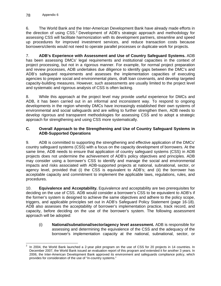6. The World Bank and the Inter-American Development Bank have already made efforts in the direction of using  $CSS.^2$  Development of ADB's strategic approach and methodology for assessing CSS will facilitate harmonization with its development partners, streamline and speed up procedures for improved investment services, and reduce transaction costs because borrowers/clients would not need to operate parallel processes or duplicate work for projects.

7. **ADB's Experience with Assessment and Use of Country Safeguard Systems.** ADB has been assessing DMCs' legal requirements and institutional capacities in the context of project processing, but not in a rigorous manner. For example, for normal project preparation and review processes, ADB undertakes due diligence to identify gaps between the DMC's and ADB's safeguard requirements and assesses the implementation capacities of executing agencies to prepare social and environmental plans, draft loan covenants, and develop targeted capacity-building measures. However, such assessments are usually limited to the project level and systematic and rigorous analysis of CSS is often lacking.

8. While this approach at the project level may provide useful experience for DMCs and ADB, it has been carried out in an informal and inconsistent way. To respond to ongoing developments in the region whereby DMCs have increasingly established their own systems of environmental and social safeguards and are willing to further strengthen them, ADB needs to develop rigorous and transparent methodologies for assessing CSS and to adopt a strategic approach for strengthening and using CSS more systematically.

## **C. Overall Approach to the Strengthening and Use of Country Safeguard Systems in ADB-Supported Operations**

9. ADB is committed to supporting the strengthening and effective application of the DMCs' country safeguard systems (CSS) with a focus on the capacity development of borrowers. At the same time, ADB needs to ensure that application of country safeguard systems (CSS) in ADB projects does not undermine the achievement of ADB's policy objectives and principles. ADB may consider using a borrower's CSS to identify and manage the social and environmental impacts and risks associated with ADB-supported projects at national, subnational, sector, or agency level, provided that (i) the CSS is equivalent to ADB's; and (ii) the borrower has acceptable capacity and commitment to implement the applicable laws, regulations, rules, and procedures.

10. **Equivalence and Acceptability.** Equivalence and acceptability are two prerequisites for deciding on the use of CSS. ADB would consider a borrower's CSS to be equivalent to ADB's if the former's system is designed to achieve the same objectives and adhere to the policy scope, triggers, and applicable principles set out in ADB's Safeguard Policy Statement (page 16-18). ADB also assesses the acceptability of borrower's implementation practice, track record, and capacity, before deciding on the use of the borrower's system. The following assessment approach will be adopted:

(i) **National/subnational/sector/agency level assessment.** ADB is responsible for assessing and determining the equivalence of the CSS and the adequacy of the borrower's implementation capacity at the national, subnational, sector, or

<sup>-</sup>2 In 2004, the World Bank launched a 2-year pilot program on the use of CSS for 20 projects in 14 countries. In December 2007, the World Bank issued an evaluation report of this program and extended it for another 3 years. In 2006, the Inter-American Development Bank approved its environment and safeguards compliance policy, which provides for consideration of the use of "in-country systems."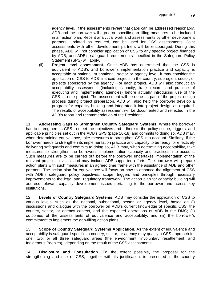agency level. If the assessments reveal that gaps can be addressed reasonably, ADB and the borrower will agree on specific gap-filling measures to be included in an action plan. Recent analytical work and assessments by other development partners, updated as required, can be used for CSS assessments. Joint assessments with other development partners will be encouraged. During this phase, ADB will not consider application of CSS to any specific project financed by ADB, and ADB's safeguard requirements specified in the Safeguard Policy Statement (SPS) will apply.

(ii) **Project level assessment.** Once ADB has determined that the CSS is equivalent to ADB's and borrower's implementation practice and capacity is acceptable at national, subnational, sector or agency level, it may consider the application of CSS to ADB-financed projects in the country, subregion, sector, or projects sponsored by the agency. For each project, ADB will also conduct an acceptability assessment (including capacity, track record, and practice of executing and implementing agencies) before actually introducing use of the CSS into the project. The assessment will be done as part of the project design process during project preparation. ADB will also help the borrower develop a program for capacity building and integrated it into project design as required. The results of acceptability assessment will be documented and reflected in the ADB's report and recommendation of the President.

11. **Addressing Gaps to Strengthen Country Safeguard Systems.** Where the borrower has to strengthen its CSS to meet the objectives and adhere to the policy scope, triggers, and applicable principles set out in the ADB's SPS (page 16-18) and commits to doing so, ADB may, when determining equivalence, take measures to strengthen CSS into account. Similarly, if the borrower needs to strengthen its implementation practice and capacity to be ready for effectively delivering safeguards and commits to doing so, ADB may, when determining acceptability, take measures to strengthen the borrower's implementation capacity and practices into account. Such measures are to be carried out before the borrower undertakes implementation of the relevant project activities, and may include ADB-supported efforts. The borrower will prepare action plans with such measures in an agreed time frame with the assistance of ADB and other partners. The action plan for equivalence will focus on how to enhance the alignment of CSS with ADB's safeguard policy objectives, scope, triggers and principles through necessary improvements to the legal and regulatory framework. The action plan for capacity building will address relevant capacity development issues pertaining to the borrower and across key institutions.

12. **Levels of Country Safeguard Systems.** ADB may consider the application of CSS to various levels, such as the national, subnational, sector, or agency level, based on (i) discussions and dialogue with the borrower on ADB's current knowledge of specific CSS, the country, sector, or agency context, and the expected operations of ADB in the DMC; (ii) outcomes of the assessments of equivalence and acceptability; and (iii) the borrower's commitment to implement the gap-filling action plans.

13. **Scope of Country Safeguard Systems Application.** As the extent of equivalence and acceptability is safeguard-specific, a country, sector, or agency may qualify a CSS approach for one, two, or all three safeguard areas (the environment, involuntary resettlement, and Indigenous Peoples), depending on the result of the CSS assessments.

14. **Disclosure and Consultation.** To the extent possible, the proposal for the strengthening and use of CSS, together with its justification, is presented in the country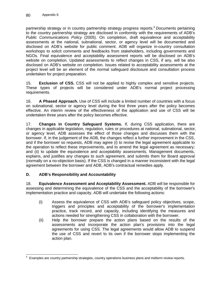partnership strategy or in country partnership strategy progress reports.<sup>3</sup> Documents pertaining to the country partnership strategy are disclosed in conformity with the requirements of ADB's *Public Communications Policy* (2005). On completion, draft equivalence and acceptability assessments at the national, subnational, sector, or agency level will be documented and disclosed on ADB's website for public comment. ADB will organize in-country consultation workshops to solicit comments and feedbacks from stakeholders, including governments and NGOs. Final equivalence and acceptability assessment reports will be disclosed on ADB's website on completion. Updated assessments to reflect changes in CSS, if any, will be also disclosed on ADB's website on completion. Issues related to acceptability assessments at the project level will be an element of the normal safeguard disclosure and consultation process undertaken for project preparation.

15. **Exclusion of CSS.** CSS will not be applied to highly complex and sensitive projects. These types of projects will be considered under ADB's normal project processing requirements.

16. **A Phased Approach.** Use of CSS will include a limited number of countries with a focus on subnational, sector or agency level during the first three years after the policy becomes effective. An interim review of the effectiveness of the application and use of CSS will be undertaken three years after the policy becomes effective.

17. **Changes in Country Safeguard Systems.** If, during CSS application, there are changes in applicable legislation, regulation, rules or procedures at national, subnational, sector, or agency level, ADB assesses the effect of those changes and discusses them with the borrower. If, in the judgement of the ADB, the changes reflect a further improvement in the CSS, and if the borrower so requests, ADB may agree (i) to revise the legal agreement applicable to the operation to reflect these improvements, and to amend the legal agreement as necessary; and (ii) to update the equivalence and acceptability assessments. Management documents, explains, and justifies any changes to such agreement, and submits them for Board approval (normally on a no-objection basis). If the CSS is changed in a manner inconsistent with the legal agreement between the borrower and ADB, ADB's contractual remedies apply.

## **D. ADB's Responsibility and Accountability**

18. **Equivalence Assessment and Acceptability Assessment.** ADB will be responsible for assessing and determining the equivalence of the CSS and the acceptability of the borrower's implementation practice and capacity. ADB will undertake the following actions:

- (i) Assess the equivalence of CSS with ADB's safeguard policy objectives, scope, triggers and principles and acceptability of the borrower's implementation practice, track record, and capacity, including identifying the measures and actions needed for strengthening CSS in collaboration with the borrower.
- (ii) Help the borrower prepare the action plans based on the results of the assessments and incorporate the action plan's provisions into the legal agreements for using CSS. The legal agreements would allow ADB to suspend the use of CSS and revert to its own if the borrower stops implementing the action plan.

 3 Examples are country partnership strategies, country operations business plans and midterm review reports.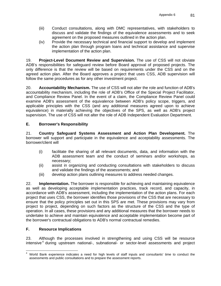- (iii) Conduct consultations, along with DMC representatives, with stakeholders to discuss and validate the findings of the equivalence assessments and to seek agreement on the proposed measures outlined in the action plan.
- (iv) Provide the necessary technical and financial support to develop and implement the action plan through program loans and technical assistance and supervise implementation of the action plan.

19. **Project-Level Document Review and Supervision.** The use of CSS will not obviate ADB's responsibilities for safeguard review before Board approval of proposed projects. The only difference is that the review will be based on requirements under the CSS and on the agreed action plan. After the Board approves a project that uses CSS, ADB supervision will follow the same procedures as for any other investment project.

20. **Accountability Mechanism.** The use of CSS will not alter the role and function of ADB's accountability mechanism, including the role of ADB's Office of the Special Project Facilitator, and Compliance Review Panel. In the event of a claim, the Compliance Review Panel could examine ADB's assessment of the equivalence between ADB's policy scope, triggers, and applicable principles with the CSS (and any additional measures agreed upon to achieve equivalence) in materially achieving the objectives of the SPS, as well as ADB's project supervision. The use of CSS will not alter the role of ADB Independent Evaluation Department.

## **E. Borrower's Responsibility**

21. **Country Safeguard Systems Assessment and Action Plan Development.** The borrower will support and participate in the equivalence and acceptability assessments. The borrower/client will

- (i) facilitate the sharing of all relevant documents, data, and information with the ADB assessment team and the conduct of seminars and/or workshops, as necessary;
- (ii) assist in organizing and conducting consultations with stakeholders to discuss and validate the findings of the assessments; and
- (iii) develop action plans outlining measures to address needed changes.

22. **Implementation.** The borrower is responsible for achieving and maintaining equivalence as well as developing acceptable implementation practices, track record, and capacity, in accordance with ADB's assessment, including the implementation of the action plans. For each project that uses CSS, the borrower identifies those provisions of the CSS that are necessary to ensure that the policy principles set out in this SPS are met. These provisions may vary from project to project, depending on such factors as the structure of the CSS and the type of operation. In all cases, these provisions and any additional measures that the borrower needs to undertake to achieve and maintain equivalence and acceptable implementation become part of the borrower's contractual obligations to ADB's normal contractual remedies.

## **F. Resource Implications**

23. Although the processes involved in strengthening and using CSS will be resource intensive<sup>4</sup> during upstream national-, subnational- or sector-level assessments and project

 4 World Bank experience indicates a need for high levels of staff inputs and consultants' time to conduct the assessments and public consultations and to prepare the assessment reports.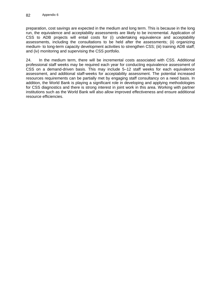preparation, cost savings are expected in the medium and long term. This is because in the long run, the equivalence and acceptability assessments are likely to be incremental. Application of CSS to ADB projects will entail costs for (i) undertaking equivalence and acceptability assessments, including the consultations to be held after the assessments; (ii) organizing medium- to long-term capacity development activities to strengthen CSS; (iii) training ADB staff; and (iv) monitoring and supervising the CSS portfolio.

24. In the medium term, there will be incremental costs associated with CSS. Additional professional staff weeks may be required each year for conducting equivalence assessment of CSS on a demand-driven basis. This may include 5–12 staff weeks for each equivalence assessment, and additional staff-weeks for acceptability assessment. The potential increased resources requirements can be partially met by engaging staff consultancy on a need basis. In addition, the World Bank is playing a significant role in developing and applying methodologies for CSS diagnostics and there is strong interest in joint work in this area. Working with partner institutions such as the World Bank will also allow improved effectiveness and ensure additional resource efficiencies.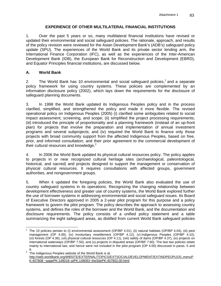## **EXPERIENCE OF OTHER MULTILATERAL FINANCIAL INSTITUTIONS**

1. Over the past 5 years or so, many multilateral financial institutions have revised or updated their environmental and social safeguard policies. The rationale, approach, and results of the policy revision were reviewed for the Asian Development Bank's (ADB's) safeguard policy update (SPU). The experiences of the World Bank and its private sector lending arm, the International Finance Corporation (IFC), as well as the experiences of the Inter-American Development Bank (IDB), the European Bank for Reconstruction and Development (EBRD), and Equator Principles financial institutions, are discussed below.

## **A. World Bank**

 $\overline{a}$ 

2. The World Bank has 10 environmental and social safeguard policies,<sup>1</sup> and a separate policy framework for using country systems. These policies are complemented by an information disclosure policy (2002), which lays down the requirements for the disclosure of safeguard planning documents.

3. In 1998 the World Bank updated its Indigenous Peoples policy and in the process clarified, simplified, and strengthened the policy and made it more flexible. The revised operational policy on Indigenous Peoples (2005) (i) clarified some ambiguities related to social impact assessment, screening, and scope; (ii) simplified the project processing requirements; (iii) introduced the principle of proportionality and a planning framework (instead of an up-front plan) for projects that involve the preparation and implementation of annual investment programs and several subprojects; and (iv) required the World Bank to finance only those projects with broad community support from the affected Indigenous Peoples, based on free, prior, and informed consultation, and their prior agreement to the commercial development of their cultural resources and knowledge. $2$ 

4. In 2006 the World Bank updated its physical cultural resources policy. The policy applies to projects in or near recognized cultural heritage sites (archaeological, paleontological, historical, and sacred) and projects designed to support the management or conservation of physical cultural resources. It requires consultations with affected groups, government authorities, and nongovernment groups.

5. When it updated the foregoing policies, the World Bank also evaluated the use of country safeguard systems in its operations. Recognizing the changing relationship between development effectiveness and greater use of country systems, the World Bank explored further the use of borrower systems in addressing environmental and social safeguard issues. Its Board of Executive Directors approved in 2005 a 2-year pilot program for this purpose and a policy framework to govern the pilot program. The policy describes the approach to assessing country systems, and defines the roles of the borrower and the World Bank, and the documentation and disclosure requirements. The policy consists of a unified policy statement and a table summarizing the eight safeguard areas, as distilled from current World Bank safeguard policies

<sup>1</sup> The 10 policies pertain to (i) environmental assessment (OP/BP 4.01), (ii) natural habitats (OP/BP 4.04), (iii) pest management (OP 4.09), (iv) involuntary resettlement (OP/BP 4.12), (v) Indigenous Peoples (OP/BP 4.10), (vi) forests (OP 4.36), (vii) physical cultural resources (OP 4.11), (viii) safety of dams (OP/BP 4.37), (ix) projects on international waterways (OP/BP 7.50), and (x) projects in disputed areas (OP/BP 7.60). The last two policies relate mainly to international law, and hence were not included in the pilot program (OP 4.00) discussed in paras. 5 and

<sup>6.&</sup>lt;br><sup>2</sup> The Indigenous Peoples website of the World Bank is at: http://web.worldbank.org/WBSITE/EXTERNAL/TOPICS/EXTSOCIALDEVELOPMENT/EXTINDPEOPLE/0,,menuP K:407808 ~pagePK:149018~piPK:149093~theSitePK:407802,00.html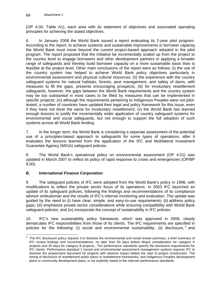(OP 4.00, Table A1), each area with its statement of objectives and associated operating principles for achieving the stated objectives.

6. In January 2008 the World Bank issued a report evaluating its 2-year pilot program. According to the report, to achieve systemic and sustainable improvements in borrower capacity, the World Bank must move beyond the current project-based approach adopted in the pilot program. The report proposed that the initiative be incrementally scaled up from the project to the country level to engage borrowers and other development partners in applying a broader range of safeguards and thereby build borrower capacity on a more sustainable basis than is feasible at the project level. Other main conclusions of the report were as follows: (i) the use of the country system has helped to achieve World Bank policy objectives particularly in environmental assessment and physical cultural resources; (ii) the experience with the country safeguard systems for natural habitats, forests, pest management, and safety of dams, with measures to fill the gaps, presents encouraging prospects; (iii) for involuntary resettlement safeguards, however, the gaps between the World Bank requirements and the country system may be too substantial in most cases to be filled by measures that can be implemented in specific projects; (iv) although the requirements pertaining to Indigenous Peoples were not pilottested, a number of countries have updated their legal and policy framework for this issue, even if they have not done the same for involuntary resettlement; (v) the World Bank has learned enough lessons to justify the incrementally wider application of country safeguard systems for environmental and social safeguards, but not enough to support the full adoption of such systems across all World Bank lending.

7. In the longer term, the World Bank is considering a separate assessment of the potential use of a principles-based approach to safeguards for some types of operations, after it evaluates the lessons learned from the application of the IFC and Multilateral Investment Guarantee Agency (MIGA) safeguard policies.

8. The World Bank's operational policy on environmental assessment (OP 4.01) was updated in March 2007 to reflect its policy of rapid response to crises and emergencies (OP/BP 8.00).

## **B. International Finance Corporation**

9. The safeguard policies of IFC were adopted from the World Bank's policy in 1998, with modifications to reflect the private sector focus of its operations. In 2003 IFC launched an update of its safeguard policies, following the findings and recommendations of its compliance advisor ombudsman and the results of IFC's internal monitoring and evaluation. The update was guided by the need to (i) have clear, simple, and easy-to-use requirements; (ii) address policy gaps; (iii) emphasize private sector considerations while ensuring compatibility with World Bank safeguard policies; and (iv) incorporate the concept of sustainability in IFC policies.

10. IFC's new sustainability policy framework, which was approved in 2006, clearly demarcates IFC responsibilities from those of its clients. The IFC requirements are specified in policies for the following: (i) social and environmental sustainability, (ii) disclosure,  $3$  and

 3 The IFC disclosure policy requires it to disclose the environmental and social review summary, a brief summary of IFC review findings and recommendations, no later than 60 days before Board consideration for category A projects and 30 days for category B projects,. The performance standards specify the disclosure requirements for IFC clients. Performance standard 1 (social and environmental assessment management system) requires IFC to disclose the assessment document for projects with adverse impact before the start of project construction. The timing of disclosure of resettlement action plans or resettlement frameworks, and Indigenous Peoples development plans or community development plans, is not explicitly stated in the relevant performance standards.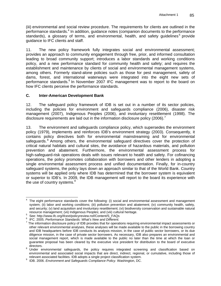(iii) environmental and social review procedure. The requirements for clients are outlined in the performance standards.<sup>4</sup> In addition, guidance notes (companion documents to the performance standards), a glossary of terms, and environmental, health, and safety guidelines<sup>5</sup> provide guidance to IFC clients and staff.

11. The new policy framework fully integrates social and environmental assessment; provides an approach to community engagement through free, prior, and informed consultation leading to broad community support; introduces a labor standards and working conditions policy, and a new performance standard for community health and safety; and requires the establishment and maintenance by clients of social and environmental management systems, among others. Formerly stand-alone policies such as those for pest management, safety of dams, forest, and international waterways were integrated into the eight new sets of performance standards.<sup>6</sup> In November 2007 IFC management was to report to the board on how IFC clients perceive the performance standards.

### **C. Inter-American Development Bank**

12. The safeguard policy framework of IDB is set out in a number of its sector policies, including the policies for environment and safeguards compliance (2006), disaster risk management (2007), Indigenous Peoples (2006), and involuntary resettlement (1998). The disclosure requirements are laid out in the information disclosure policy (2006).<sup>7</sup>

13. The environment and safeguards compliance policy, which supersedes the environment policy (1979), implements and reinforces IDB's environment strategy (2003). Consequently, it contains policy directives both for environmental mainstreaming and for environmental safeguards. $8$  Among others, the environmental safeguard directives cover the protection of critical natural habitats and cultural sites, the avoidance of hazardous materials, and pollution prevention and abatement. Furthermore, the environmental assessment process for high-safeguard-risk operations deals with issues relevant to health and safety. For cofinancing operations, the policy promotes collaboration with borrowers and other lenders in adopting a single environmental assessment process and unified documentation. Finally, for in-country safeguard systems, the policy lays down an approach similar to that of the World Bank. Country systems will be applied only where IDB has determined that the borrower system is equivalent or superior to IDB's. In 2009, the IDB management will report to the board its experience with the use of country systems.<sup>9</sup>

 $\overline{\phantom{a}}$ 4 The eight performance standards cover the following: (i) social and environmental assessment and management system; (ii) labor and working conditions; (iii) pollution prevention and abatement; (iv) community health, safety, and security; (v) land acquisition and involuntary resettlement; (vi) biodiversity conservation and sustainable natural resource management; (vii) Indigenous Peoples; and (viii) cultural heritage.

resource management; (vii) Indigenous Peoples; and (viii) cultural heritage.<br>
<sup>5</sup> See: http://www.ife.org/ifeaut/peliaurariau.net/Centert/S. FAOs

<sup>&</sup>lt;sup>S</sup> See: http://www.ifc.org/ifcext/policyreview.nsf/Content/S\_FAQs<br><sup>6</sup> JEC 2005, *Porformance Standards: Whot'e Naw and Different* 

<sup>&</sup>lt;sup>6</sup> IFC. 2005. *Performance Standards: What's New and Different.*<br><sup>7</sup> The information disclosure policy of IDB provides that for operations requiring environmental impact assessments or other relevant environmental analyses, these analyses will be made available to the public in the borrowing country and IDB headquarters before IDB conducts its analysis mission, in the case of public sector borrowers, or its due diligence mission, in the case of private sector borrowers. As necessary, IDB also prepares an environmental and social management report, which is made available to the public no later than the time at which the loan or guarantee proposal has been cleared by the executive vice president for distribution to the board of executive directors.<br><sup>8</sup> Under environmental safeguards, the policy requires integrated screening and classification based on

environmental and associated social impacts that are direct, indirect, regional, or cumulative, including those of relevant associated facilities. IDB adopts a single project classification system.

relevant associated facilities. IDB adopts a single project classification system. 9 IDB. 2006. *Environment and Safeguards Compliance Policy*. Washington, DC.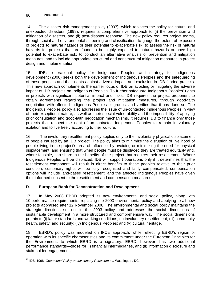14. The disaster risk management policy (2007), which replaces the policy for natural and unexpected disasters (1999), requires a comprehensive approach to (i) the prevention and mitigation of disasters, and (ii) post-disaster response. The new policy requires project teams, through social and environmental screening and classification, to gauge the extent of exposure of projects to natural hazards or their potential to exacerbate risk; to assess the risk of natural hazards for projects that are found to be highly exposed to natural hazards or have high potential to exacerbate risk; to conduct an alternative analysis of prevention and mitigation measures; and to include appropriate structural and nonstructural mitigation measures in project design and implementation.

15. IDB's operational policy for Indigenous Peoples and strategy for indigenous development (2006) seeks both the development of Indigenous Peoples and the safeguarding of these peoples and their rights against adverse impact and exclusion in IDB-funded projects. This new approach complements the earlier focus of IDB on avoiding or mitigating the adverse impact of IDB projects on Indigenous Peoples. To further safeguard Indigenous Peoples' rights in projects with significant potential impact and risks, IDB requires the project proponent to obtain agreements regarding the project and mitigation measures, through good-faith negotiation with affected Indigenous Peoples or groups, and verifies that it has done so. The Indigenous Peoples policy also addresses the issue of un-contacted Indigenous Peoples in view of their exceptional nature, as well as their special vulnerability and the impossibility of applying prior consultation and good-faith negotiation mechanisms. It requires IDB to finance only those projects that respect the right of un-contacted Indigenous Peoples to remain in voluntary isolation and to live freely according to their culture.

16. The involuntary resettlement policy applies only to the involuntary physical displacement of people caused by an IDB project. The policy aims to minimize the disruption of livelihood of people living in the project's area of influence, by avoiding or minimizing the need for physical displacement, and ensuring that when people must be displaced they are treated equitably and, where feasible, can share in the benefits of the project that requires their resettlement. Where Indigenous Peoples will be displaced, IDB will support operations only if it determines that the resettlement component will result in direct benefits to these peoples relative to their prior condition, customary rights will be fully recognized and fairly compensated, compensation options will include land-based resettlement, and the affected Indigenous Peoples have given their informed consent to the resettlement and compensation measures.<sup>10</sup>

## **D. European Bank for Reconstruction and Development**

17. In May 2008 EBRD adopted its new environmental and social policy, along with 10 performance requirements, replacing the 2003 environmental policy and applying to all new projects appraised after 12 November 2008. The environmental and social policy maintains the strategic directions set out in the 2003 policy and addresses the social dimensions of sustainable development in a more structured and comprehensive way. The social dimensions pertain to (i) labor standards and working conditions; (ii) involuntary resettlement; (iii) community health, safety, and security; (iv) Indigenous Peoples; and (v) cultural heritage.

18. EBRD's policy was modeled on IFC's approach, while reflecting EBRD's region of operation with its specific characteristics and its commitment under the European Principles for the Environment, to which EBRD is a signatory. EBRD, however, has two additional performance standards—those for (i) financial intermediaries, and (ii) information disclosure and stakeholder engagement.

<sup>-</sup>10 IDB. 1998. *Operational Policy on Involuntary Resettlement.* Washington, DC.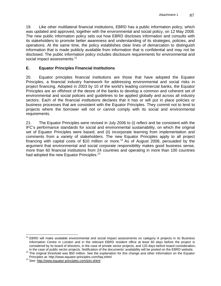19. Like other multilateral financial institutions, EBRD has a public information policy, which was updated and approved, together with the environmental and social policy, on 12 May 2008. The new public information policy sets out how EBRD discloses information and consults with its stakeholders to promote better awareness and understanding of its strategies, policies, and operations. At the same time, the policy establishes clear lines of demarcation to distinguish information that is made publicly available from information that is confidential and may not be disclosed. The public information policy includes disclosure requirements for environmental and social impact assessments.<sup>11</sup>

## **E. Equator Principles Financial Institutions**

20. Equator principles financial institutions are those that have adopted the Equator Principles, a financial industry framework for addressing environmental and social risks in project financing. Adopted in 2003 by 10 of the world's leading commercial banks, the Equator Principles are an offshoot of the desire of the banks to develop a common and coherent set of environmental and social policies and guidelines to be applied globally and across all industry sectors. Each of the financial institutions declares that it has or will put in place policies or business processes that are consistent with the Equator Principles. They commit not to lend to projects where the borrower will not or cannot comply with its social and environmental requirements.

21. The Equator Principles were revised in July 2006 to (i) reflect and be consistent with the IFC's performance standards for social and environmental sustainability, on which the original set of Equator Principles were based; and (ii) incorporate learning from implementation and comments from a variety of stakeholders. The new Equator Principles apply to all project financing with capital costs of \$10 million or more.<sup>12</sup> As of August 2008, persuaded by the argument that environmental and social corporate responsibility makes good business sense, more than 60 financial institutions from 24 countries and operating in more than 100 countries had adopted the new Equator Principles.<sup>13</sup>

 $\overline{a}$ <sup>11</sup> EBRD will make available environmental and social impact assessments on category A projects in its Business Information Centre in London and in the relevant EBRD resident office at least 60 days before the project is considered by its board of directors, in the case of private sector projects, and 120 days before board consideration,

in the case of public sector projects. Notification of the documents' availability will be posted on the EBRD website.<br><sup>12</sup> The original threshold was \$50 million. See the explanation for this change and other information

<sup>&</sup>lt;sup>13</sup> See: http://www.equator-principles.com/join.shtml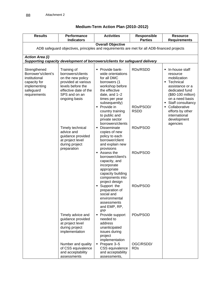# **Medium-Term Action Plan (2010–2012)**

| <b>Results</b>                                                                                                    | Performance<br><b>Indicators</b>                                                                                                                                                                                                                                         | <b>Activities</b>                                                                                                                                                                                                                                                                                                                                                                                                                                                                                                                                                                                          | Responsible<br><b>Parties</b>                                            | <b>Resource</b><br><b>Requirements</b>                                                                                                                                                                                                              |
|-------------------------------------------------------------------------------------------------------------------|--------------------------------------------------------------------------------------------------------------------------------------------------------------------------------------------------------------------------------------------------------------------------|------------------------------------------------------------------------------------------------------------------------------------------------------------------------------------------------------------------------------------------------------------------------------------------------------------------------------------------------------------------------------------------------------------------------------------------------------------------------------------------------------------------------------------------------------------------------------------------------------------|--------------------------------------------------------------------------|-----------------------------------------------------------------------------------------------------------------------------------------------------------------------------------------------------------------------------------------------------|
|                                                                                                                   |                                                                                                                                                                                                                                                                          | <b>Overall Objective</b>                                                                                                                                                                                                                                                                                                                                                                                                                                                                                                                                                                                   |                                                                          |                                                                                                                                                                                                                                                     |
| ADB safeguard objectives, principles and requirements are met for all ADB-financed projects                       |                                                                                                                                                                                                                                                                          |                                                                                                                                                                                                                                                                                                                                                                                                                                                                                                                                                                                                            |                                                                          |                                                                                                                                                                                                                                                     |
| <b>Action Area (i)</b>                                                                                            |                                                                                                                                                                                                                                                                          |                                                                                                                                                                                                                                                                                                                                                                                                                                                                                                                                                                                                            |                                                                          |                                                                                                                                                                                                                                                     |
|                                                                                                                   | Supporting capacity development of borrowers/clients for safeguard delivery                                                                                                                                                                                              |                                                                                                                                                                                                                                                                                                                                                                                                                                                                                                                                                                                                            |                                                                          |                                                                                                                                                                                                                                                     |
| Strengthened<br>Borrower's/client's<br>institutional<br>capacity for<br>implementing<br>safeguard<br>requirements | Training of<br>borrowers/clients<br>on the new policy<br>provided at various<br>levels before the<br>effective date of the<br>SPS and on an<br>ongoing basis<br>Timely technical<br>advice and<br>guidance provided<br>at project level<br>during project<br>preparation | • Provide bank-<br>wide orientations<br>for all DMC<br>borrowers (1<br>workshop before<br>the effective<br>date, and 1-2<br>times per year<br>subsequently)<br>• Provide in<br>country training<br>to public and<br>private sector<br>borrowers/clients<br>Disseminate<br>copies of new<br>policy to each<br>borrower/client<br>and explain new<br>provisions<br>■ Assess the<br>borrower/client's<br>capacity, and<br>incorporate<br>appropriate<br>capacity building<br>components into<br>project design<br>Support the<br>preparation of<br>social and<br>environmental<br>assessments<br>and EMP, RP, | RDs/RSDD<br>RDs/PSOD/<br><b>RSDD</b><br>RDs/PSOD<br>RDs/PSOD<br>RDs/PSOD | • In-house staff<br>resource<br>mobilization<br>• Technical<br>assistance or a<br>dedicated fund<br>(\$80-100 million)<br>on a need basis<br>• Staff consultancy<br>• Collaborative<br>efforts by other<br>international<br>development<br>agencies |
|                                                                                                                   | Timely advice and<br>guidance provided<br>at project level<br>during project<br>implementation                                                                                                                                                                           | <b>IPP</b><br>• Provide support<br>needed to<br>address<br>unanticipated<br>issues during<br>project                                                                                                                                                                                                                                                                                                                                                                                                                                                                                                       | PDs/PSOD                                                                 |                                                                                                                                                                                                                                                     |
|                                                                                                                   | Number and quality<br>of CSS equivalence<br>and acceptability<br>assessments                                                                                                                                                                                             | implementation<br>$\blacksquare$ Prepare 3-5<br>CSS equivalence<br>and acceptability<br>assessments,                                                                                                                                                                                                                                                                                                                                                                                                                                                                                                       | OGC/RSDD/<br><b>RDs</b>                                                  |                                                                                                                                                                                                                                                     |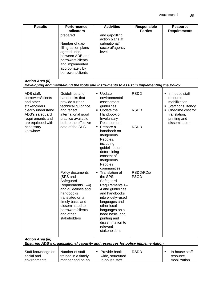| <b>Results</b>                                                                                                                                                         | Performance<br><b>Indicators</b>                                                                                                                                                                              | <b>Activities</b>                                                                                                                                                                                                                                                                                                                                                                          | <b>Responsible</b><br><b>Parties</b>      | <b>Resource</b><br><b>Requirements</b>                                                                                                    |
|------------------------------------------------------------------------------------------------------------------------------------------------------------------------|---------------------------------------------------------------------------------------------------------------------------------------------------------------------------------------------------------------|--------------------------------------------------------------------------------------------------------------------------------------------------------------------------------------------------------------------------------------------------------------------------------------------------------------------------------------------------------------------------------------------|-------------------------------------------|-------------------------------------------------------------------------------------------------------------------------------------------|
|                                                                                                                                                                        | prepared<br>Number of gap-<br>filling action plans<br>agreed upon<br>between ADB and<br>borrowers/clients,<br>and implemented<br>appropriately by<br>borrowers/clients                                        | and gap-filling<br>action plans at<br>subnational/<br>sectoral/agency<br>level.                                                                                                                                                                                                                                                                                                            |                                           |                                                                                                                                           |
| <b>Action Area (ii)</b>                                                                                                                                                |                                                                                                                                                                                                               | Developing and maintaining the tools and instruments to assist in implementing the Policy                                                                                                                                                                                                                                                                                                  |                                           |                                                                                                                                           |
| ADB staff,<br>borrowers/clients<br>and other<br>stakeholders<br>clearly understand<br>ADB's safeguard<br>requirements and<br>are equipped with<br>necessary<br>knowhow | Guidelines and<br>handbooks that<br>provide further<br>technical guidance,<br>and reflect<br>international good<br>practice available<br>before the effective<br>date of the SPS                              | • Update<br>environmental<br>assessment<br>guidelines<br>٠<br>Update the<br>Handbook of<br>Involuntary<br>Resettlement<br>• Prepare a<br>handbook on                                                                                                                                                                                                                                       | <b>RSDD</b><br><b>RSDD</b><br><b>RSDD</b> | • In-house staff<br>resource<br>mobilization<br>• Staff consultancy<br>One-time cost for<br>translation,<br>printing and<br>dissemination |
|                                                                                                                                                                        | Policy documents<br>(SPS and<br>Safeguard<br>Requirements 1-4)<br>and guidelines and<br>handbooks<br>translated on a<br>timely basis and<br>disseminated to<br>borrowers/clients<br>and other<br>stakeholders | Indigenous<br>Peoples,<br>including<br>guidelines on<br>determining<br>consent of<br>Indigenous<br>Peoples<br>communities<br>Translation of<br>Ξ<br>the SPS,<br>Safeguard<br>Requirements 1-<br>4 and guidelines<br>and handbooks<br>into widely-used<br>languages and<br>other local<br>languages on a<br>need basis, and<br>printing and<br>dissemination to<br>relevant<br>stakeholders | RSDD/RDs/<br><b>PSOD</b>                  |                                                                                                                                           |
| <b>Action Area (iii)</b><br>Ensuring ADB's organizational capacity and resources for policy implementation                                                             |                                                                                                                                                                                                               |                                                                                                                                                                                                                                                                                                                                                                                            |                                           |                                                                                                                                           |
| Staff knowledge on<br>social and<br>environmental                                                                                                                      | Number of staff<br>trained in a timely<br>manner and on an                                                                                                                                                    | Provide bank-<br>٠<br>wide, structured<br>in-house staff                                                                                                                                                                                                                                                                                                                                   | <b>RSDD</b>                               | In-house staff<br>٠<br>resource<br>mobilization                                                                                           |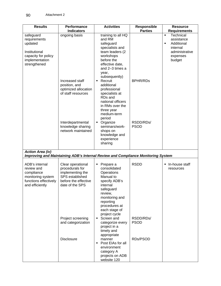| <b>Results</b>                                                                                                 | Performance<br><b>Indicators</b>                                                                                       | <b>Activities</b>                                                                                                                                                                                | <b>Responsible</b><br><b>Parties</b> | <b>Resource</b><br><b>Requirements</b>                                                                           |
|----------------------------------------------------------------------------------------------------------------|------------------------------------------------------------------------------------------------------------------------|--------------------------------------------------------------------------------------------------------------------------------------------------------------------------------------------------|--------------------------------------|------------------------------------------------------------------------------------------------------------------|
| safeguard<br>requirements<br>updated<br>Institutional<br>capacity for policy<br>implementation<br>strengthened | ongoing basis                                                                                                          | training to all HQ<br>and RM<br>safeguard<br>specialists and<br>team leaders (2<br>workshops<br>before the<br>effective date,<br>and 2-3 times a<br>year,                                        |                                      | Technical<br>$\blacksquare$<br>assistance<br>Additional<br>Ξ<br>internal<br>administrative<br>expenses<br>budget |
|                                                                                                                | Increased staff<br>position, and<br>optimized allocation<br>of staff resources                                         | subsequently)<br>Recruit<br>additional<br>professional<br>specialists at<br>RDs and<br>national officers<br>in RMs over the<br>three year<br>medium-term<br>period                               | <b>BPHR/RDs</b>                      |                                                                                                                  |
|                                                                                                                | Interdepartmental<br>knowledge sharing<br>network maintained                                                           | Organize<br>٠<br>seminars/work-<br>shops on<br>knowledge and<br>experience<br>sharing                                                                                                            | RSDD/RDs/<br><b>PSOD</b>             |                                                                                                                  |
| <b>Action Area (iv)</b>                                                                                        | Improving and Maintaining ADB's Internal Review and Compliance Monitoring System                                       |                                                                                                                                                                                                  |                                      |                                                                                                                  |
| ADB's internal<br>review and<br>compliance<br>monitoring system<br>functions effectively<br>and efficiently    | Clear operational<br>procedurals for<br>implementing the<br>SPS established<br>before the effective<br>date of the SPS | Prepare a<br>٠<br>consolidated<br>Operations<br>Manual to<br>specify ADB's<br>internal<br>safeguard<br>review,<br>monitoring and<br>reporting<br>procedures at<br>each stage of<br>project cycle | <b>RSDD</b>                          | • In-house staff<br>resources                                                                                    |
|                                                                                                                | Project screening<br>and categorization<br><b>Disclosure</b>                                                           | Screen and<br>٠<br>categorize every<br>project in a<br>timely and<br>appropriate<br>manner<br>Post EIAs for all<br>٠<br>environment<br>category A                                                | RSDD/RDs/<br><b>PSOD</b><br>RDs/PSOD |                                                                                                                  |
|                                                                                                                |                                                                                                                        | projects on ADB<br>website 120                                                                                                                                                                   |                                      |                                                                                                                  |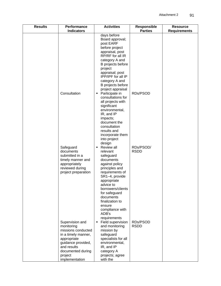| <b>Results</b> | Performance<br><b>Indicators</b>                                                                                                                                                 | <b>Activities</b>                                                                                                                                                                                                                                                                                                                                                                                                                                                                                                                                                                                                                                                  | <b>Responsible</b><br><b>Parties</b> | <b>Resource</b><br><b>Requirements</b> |
|----------------|----------------------------------------------------------------------------------------------------------------------------------------------------------------------------------|--------------------------------------------------------------------------------------------------------------------------------------------------------------------------------------------------------------------------------------------------------------------------------------------------------------------------------------------------------------------------------------------------------------------------------------------------------------------------------------------------------------------------------------------------------------------------------------------------------------------------------------------------------------------|--------------------------------------|----------------------------------------|
|                | Consultation<br>Safeguard<br>documents<br>submitted in a<br>timely manner and<br>appropriately<br>reviewed during<br>project preparation                                         | days before<br>Board approval;<br>post EARF<br>before project<br>appraisal, post<br>RP/RF for all IR<br>category A and<br>B projects before<br>project<br>appraisal; post<br>IPP/IPF for all IP<br>category A and<br>B projects before<br>project appraisal<br>Participate in<br>п<br>consultations for<br>all projects with<br>significant<br>environmental,<br>IR, and IP<br>impacts;<br>document the<br>consultation<br>results and<br>incorporate them<br>into project<br>design<br>Review all<br>relevant<br>safeguard<br>documents<br>against policy<br>principles and<br>requirements of<br>SR1-4, provide<br>appropriate<br>advice to<br>borrowers/clients | RDs/PSOD<br>RDs/PSOD/<br><b>RSDD</b> |                                        |
|                | Supervision and<br>monitoring<br>missions conducted<br>in a timely manner,<br>appropriate<br>guidance provided,<br>and results<br>documented during<br>project<br>implementation | for safeguard<br>documents<br>finalization to<br>ensure<br>compliance with<br>ADB's<br>requirements<br>Field supervision<br>П<br>and monitoring<br>mission by<br>safeguard<br>specialists for all<br>environmental,<br>IR, and IP<br>category A<br>projects; agree<br>with the                                                                                                                                                                                                                                                                                                                                                                                     | RDs/PSOD<br><b>RSDD</b>              |                                        |